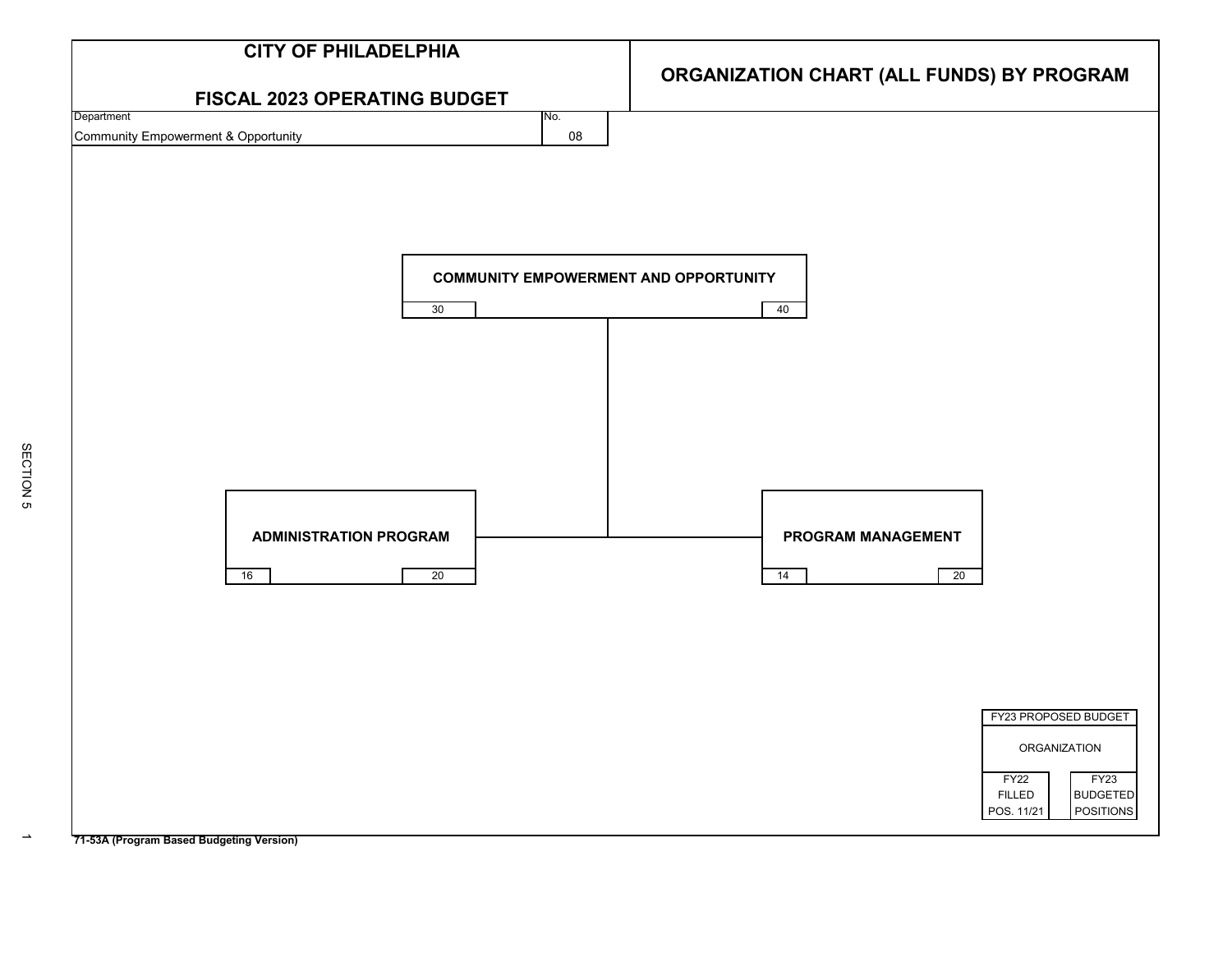

**71-53A (Program Based Budgeting Version)**

SECTION<sub>5</sub>

 $\rightarrow$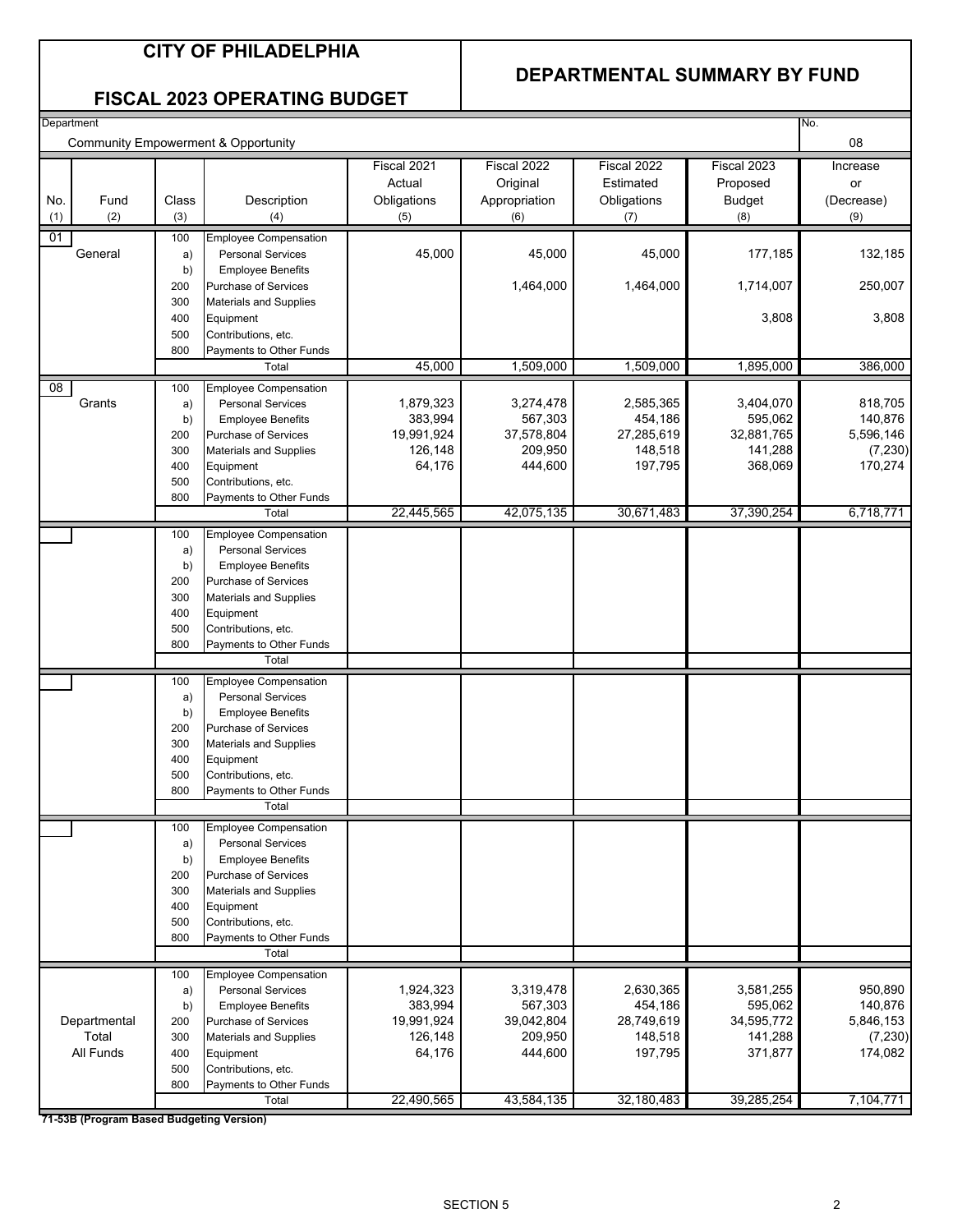#### **DEPARTMENTAL SUMMARY BY FUND**

#### **FISCAL 2023 OPERATING BUDGET**

| Department<br>No.                              |              |            |                                                       |                       |                       |                       |                       |                       |
|------------------------------------------------|--------------|------------|-------------------------------------------------------|-----------------------|-----------------------|-----------------------|-----------------------|-----------------------|
| <b>Community Empowerment &amp; Opportunity</b> |              |            |                                                       |                       |                       |                       |                       |                       |
|                                                |              |            |                                                       | Fiscal 2021           | Fiscal 2022           | Fiscal 2022           | Fiscal 2023           | Increase              |
|                                                |              |            |                                                       | Actual                | Original              | Estimated             | Proposed              | or                    |
| No.                                            | Fund         | Class      | Description                                           | Obligations           | Appropriation         | Obligations           | <b>Budget</b>         | (Decrease)            |
| (1)                                            | (2)          | (3)        | (4)                                                   | (5)                   | (6)                   | (7)                   | (8)                   | (9)                   |
| 01                                             |              | 100        | <b>Employee Compensation</b>                          |                       |                       |                       |                       |                       |
|                                                | General      | a)         | <b>Personal Services</b>                              | 45,000                | 45,000                | 45,000                | 177,185               | 132,185               |
|                                                |              | b)         | <b>Employee Benefits</b>                              |                       |                       |                       |                       |                       |
|                                                |              | 200        | Purchase of Services                                  |                       | 1,464,000             | 1,464,000             | 1,714,007             | 250,007               |
|                                                |              | 300        | <b>Materials and Supplies</b>                         |                       |                       |                       |                       |                       |
|                                                |              | 400        | Equipment                                             |                       |                       |                       | 3,808                 | 3,808                 |
|                                                |              | 500        | Contributions, etc.                                   |                       |                       |                       |                       |                       |
|                                                |              | 800        | Payments to Other Funds                               |                       |                       |                       |                       |                       |
|                                                |              |            | Total                                                 | 45,000                | 1,509,000             | 1,509,000             | 1,895,000             | 386,000               |
| 08                                             |              | 100        | <b>Employee Compensation</b>                          |                       |                       |                       |                       |                       |
|                                                | Grants       | a)         | <b>Personal Services</b>                              | 1,879,323             | 3,274,478             | 2,585,365             | 3,404,070             | 818,705               |
|                                                |              | b)         | <b>Employee Benefits</b>                              | 383,994               | 567,303               | 454,186               | 595,062               | 140,876               |
|                                                |              | 200<br>300 | Purchase of Services<br><b>Materials and Supplies</b> | 19,991,924<br>126,148 | 37,578,804<br>209,950 | 27,285,619<br>148,518 | 32,881,765<br>141,288 | 5,596,146<br>(7, 230) |
|                                                |              | 400        | Equipment                                             | 64,176                | 444,600               | 197,795               | 368,069               | 170,274               |
|                                                |              | 500        | Contributions, etc.                                   |                       |                       |                       |                       |                       |
|                                                |              | 800        | Payments to Other Funds                               |                       |                       |                       |                       |                       |
|                                                |              |            | Total                                                 | 22,445,565            | 42,075,135            | 30,671,483            | 37,390,254            | 6,718,771             |
|                                                |              | 100        | <b>Employee Compensation</b>                          |                       |                       |                       |                       |                       |
|                                                |              | a)         | <b>Personal Services</b>                              |                       |                       |                       |                       |                       |
|                                                |              | b)         | <b>Employee Benefits</b>                              |                       |                       |                       |                       |                       |
|                                                |              | 200        | Purchase of Services                                  |                       |                       |                       |                       |                       |
|                                                |              | 300        | <b>Materials and Supplies</b>                         |                       |                       |                       |                       |                       |
|                                                |              | 400        | Equipment                                             |                       |                       |                       |                       |                       |
|                                                |              | 500        | Contributions, etc.                                   |                       |                       |                       |                       |                       |
|                                                |              | 800        | Payments to Other Funds<br>Total                      |                       |                       |                       |                       |                       |
|                                                |              | 100        | <b>Employee Compensation</b>                          |                       |                       |                       |                       |                       |
|                                                |              | a)         | <b>Personal Services</b>                              |                       |                       |                       |                       |                       |
|                                                |              | b)         | <b>Employee Benefits</b>                              |                       |                       |                       |                       |                       |
|                                                |              | 200        | Purchase of Services                                  |                       |                       |                       |                       |                       |
|                                                |              | 300        | <b>Materials and Supplies</b>                         |                       |                       |                       |                       |                       |
|                                                |              | 400        | Equipment                                             |                       |                       |                       |                       |                       |
|                                                |              | 500        | Contributions, etc.                                   |                       |                       |                       |                       |                       |
|                                                |              | 800        | Payments to Other Funds                               |                       |                       |                       |                       |                       |
|                                                |              |            | Total                                                 |                       |                       |                       |                       |                       |
|                                                |              | 100        | <b>Employee Compensation</b>                          |                       |                       |                       |                       |                       |
|                                                |              | a)         | <b>Personal Services</b>                              |                       |                       |                       |                       |                       |
|                                                |              | b)         | <b>Employee Benefits</b>                              |                       |                       |                       |                       |                       |
|                                                |              | 200        | Purchase of Services                                  |                       |                       |                       |                       |                       |
|                                                |              | 300<br>400 | <b>Materials and Supplies</b><br>Equipment            |                       |                       |                       |                       |                       |
|                                                |              | 500        | Contributions, etc.                                   |                       |                       |                       |                       |                       |
|                                                |              | 800        | Payments to Other Funds                               |                       |                       |                       |                       |                       |
|                                                |              |            | Total                                                 |                       |                       |                       |                       |                       |
|                                                |              | 100        | <b>Employee Compensation</b>                          |                       |                       |                       |                       |                       |
|                                                |              | a)         | <b>Personal Services</b>                              | 1,924,323             | 3,319,478             | 2,630,365             | 3,581,255             | 950,890               |
|                                                |              | b)         | <b>Employee Benefits</b>                              | 383,994               | 567,303               | 454,186               | 595,062               | 140,876               |
|                                                | Departmental | 200        | <b>Purchase of Services</b>                           | 19,991,924            | 39,042,804            | 28,749,619            | 34,595,772            | 5,846,153             |
|                                                | Total        | 300        | Materials and Supplies                                | 126,148               | 209,950               | 148,518               | 141,288               | (7, 230)              |
|                                                | All Funds    | 400        | Equipment                                             | 64,176                | 444,600               | 197,795               | 371,877               | 174,082               |
|                                                |              | 500        | Contributions, etc.                                   |                       |                       |                       |                       |                       |
|                                                |              | 800        | Payments to Other Funds                               | 22,490,565            | 43,584,135            | 32,180,483            | 39,285,254            | 7,104,771             |
|                                                |              |            | Total                                                 |                       |                       |                       |                       |                       |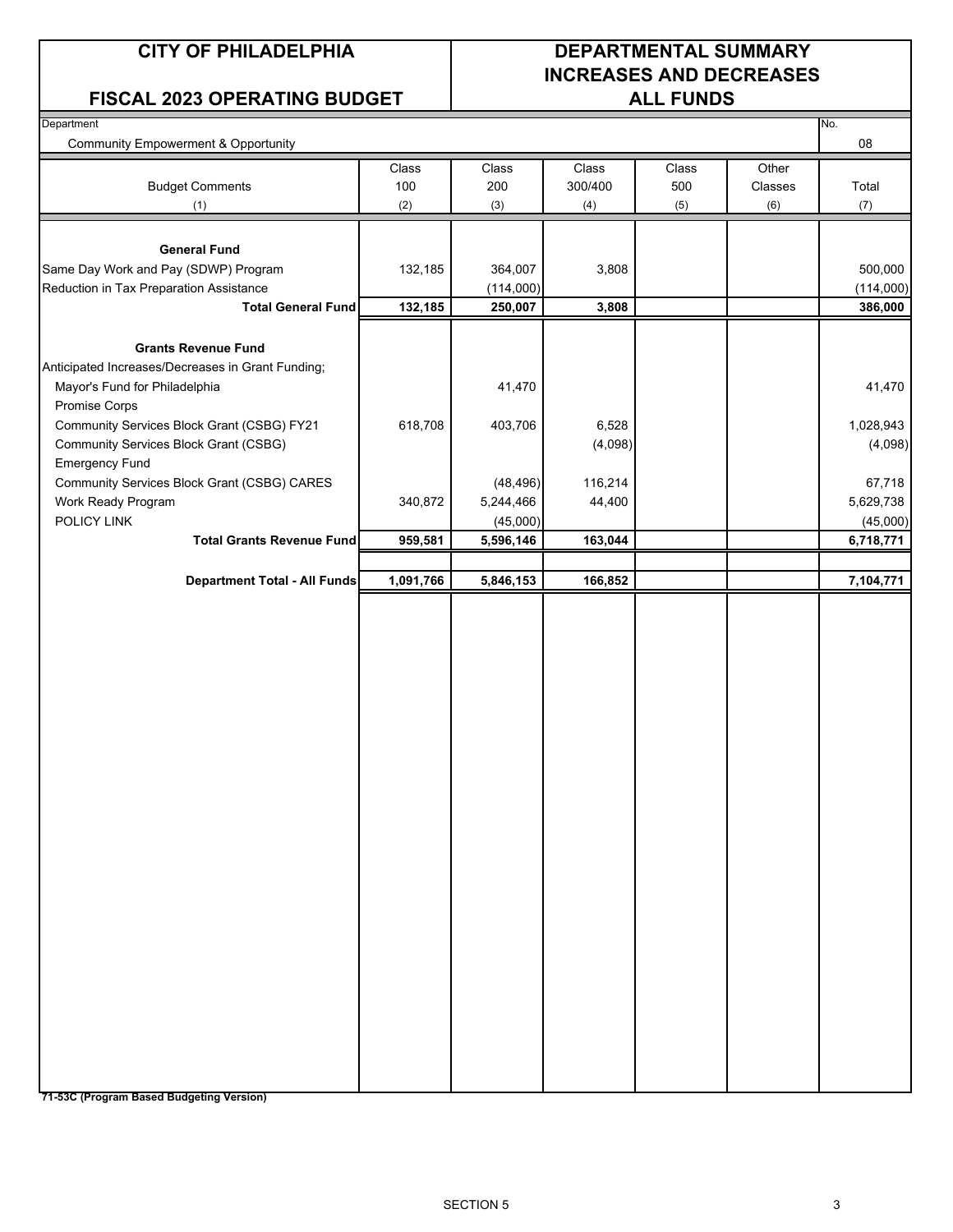#### **FISCAL 2023 OPERATING BUDGET**

### **CITY OF PHILADELPHIA DEPARTMENTAL SUMMARY INCREASES AND DECREASES**

| Department                                        |           |           |         |       |         | No.       |
|---------------------------------------------------|-----------|-----------|---------|-------|---------|-----------|
| <b>Community Empowerment &amp; Opportunity</b>    |           |           |         |       |         | 08        |
|                                                   | Class     | Class     | Class   | Class | Other   |           |
| <b>Budget Comments</b>                            | 100       | 200       | 300/400 | 500   | Classes | Total     |
| (1)                                               | (2)       | (3)       | (4)     | (5)   | (6)     | (7)       |
|                                                   |           |           |         |       |         |           |
| <b>General Fund</b>                               |           |           |         |       |         |           |
| Same Day Work and Pay (SDWP) Program              | 132,185   | 364,007   | 3,808   |       |         | 500,000   |
| Reduction in Tax Preparation Assistance           |           | (114,000) |         |       |         | (114,000) |
| <b>Total General Fund</b>                         | 132,185   | 250,007   | 3,808   |       |         | 386,000   |
|                                                   |           |           |         |       |         |           |
| <b>Grants Revenue Fund</b>                        |           |           |         |       |         |           |
| Anticipated Increases/Decreases in Grant Funding; |           |           |         |       |         |           |
|                                                   |           | 41,470    |         |       |         |           |
| Mayor's Fund for Philadelphia                     |           |           |         |       |         | 41,470    |
| Promise Corps                                     |           |           |         |       |         |           |
| Community Services Block Grant (CSBG) FY21        | 618,708   | 403,706   | 6,528   |       |         | 1,028,943 |
| Community Services Block Grant (CSBG)             |           |           | (4,098) |       |         | (4,098)   |
| <b>Emergency Fund</b>                             |           |           |         |       |         |           |
| Community Services Block Grant (CSBG) CARES       |           | (48, 496) | 116,214 |       |         | 67,718    |
| Work Ready Program                                | 340,872   | 5,244,466 | 44,400  |       |         | 5,629,738 |
| POLICY LINK                                       |           | (45,000)  |         |       |         | (45,000)  |
| <b>Total Grants Revenue Fund</b>                  | 959,581   | 5,596,146 | 163,044 |       |         | 6,718,771 |
|                                                   |           |           |         |       |         |           |
| Department Total - All Funds                      | 1,091,766 | 5,846,153 | 166,852 |       |         | 7,104,771 |
|                                                   |           |           |         |       |         |           |
|                                                   |           |           |         |       |         |           |
|                                                   |           |           |         |       |         |           |
|                                                   |           |           |         |       |         |           |
|                                                   |           |           |         |       |         |           |
|                                                   |           |           |         |       |         |           |
|                                                   |           |           |         |       |         |           |
|                                                   |           |           |         |       |         |           |
|                                                   |           |           |         |       |         |           |
|                                                   |           |           |         |       |         |           |
|                                                   |           |           |         |       |         |           |
|                                                   |           |           |         |       |         |           |
|                                                   |           |           |         |       |         |           |
|                                                   |           |           |         |       |         |           |
|                                                   |           |           |         |       |         |           |
|                                                   |           |           |         |       |         |           |
|                                                   |           |           |         |       |         |           |
|                                                   |           |           |         |       |         |           |
|                                                   |           |           |         |       |         |           |
|                                                   |           |           |         |       |         |           |
|                                                   |           |           |         |       |         |           |
|                                                   |           |           |         |       |         |           |
|                                                   |           |           |         |       |         |           |
|                                                   |           |           |         |       |         |           |
|                                                   |           |           |         |       |         |           |
|                                                   |           |           |         |       |         |           |
|                                                   |           |           |         |       |         |           |
|                                                   |           |           |         |       |         |           |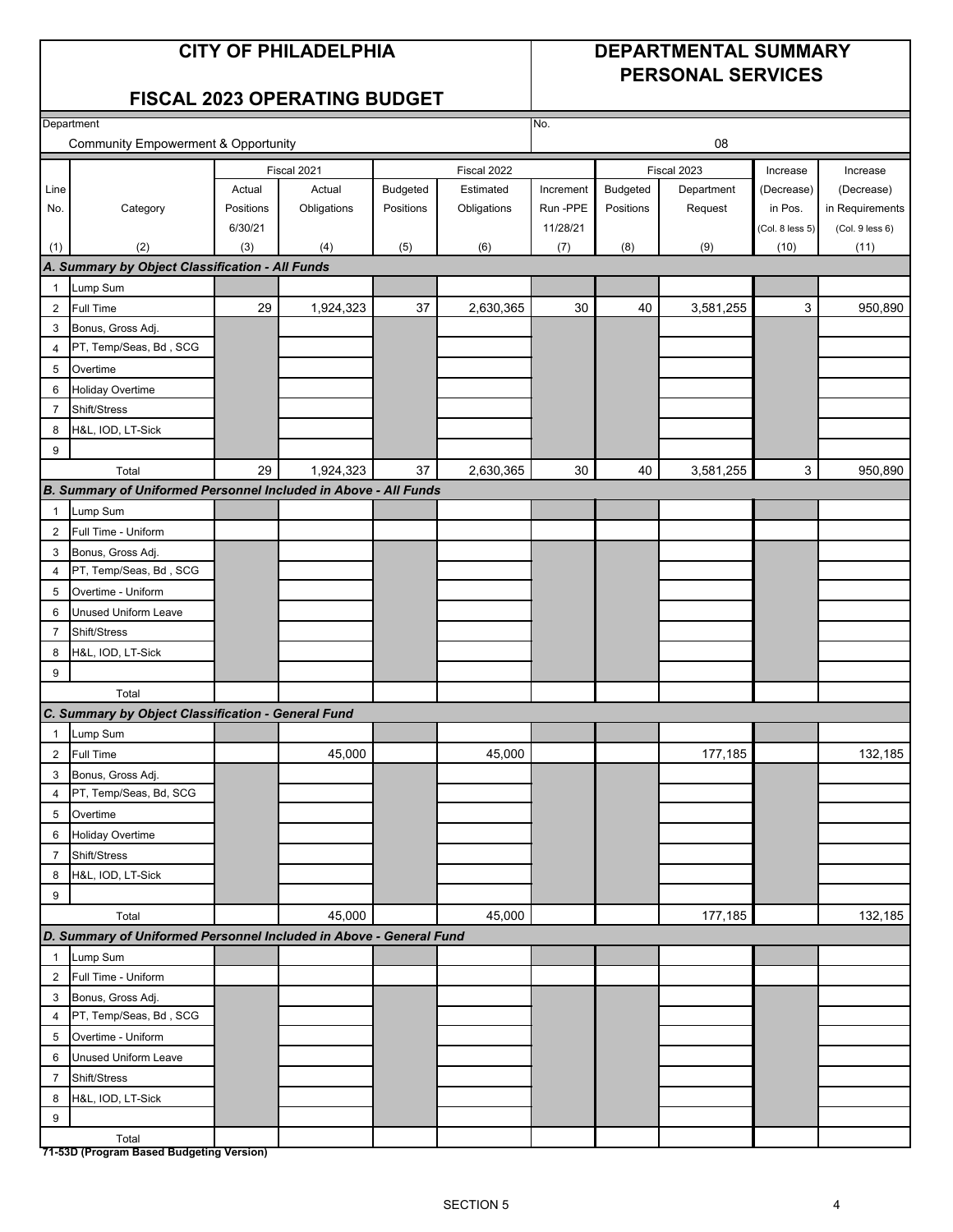#### **CITY OF PHILADELPHIA DEPARTMENTAL SUMMARY PERSONAL SERVICES**

### **FISCAL 2023 OPERATING BUDGET**

|                | Department                                                         |           |             |                 |             | No.       |           |             |                 |                 |
|----------------|--------------------------------------------------------------------|-----------|-------------|-----------------|-------------|-----------|-----------|-------------|-----------------|-----------------|
|                | <b>Community Empowerment &amp; Opportunity</b>                     | 08        |             |                 |             |           |           |             |                 |                 |
|                |                                                                    |           | Fiscal 2021 |                 | Fiscal 2022 |           |           | Fiscal 2023 | Increase        | Increase        |
| Line           |                                                                    | Actual    | Actual      | <b>Budgeted</b> | Estimated   | Increment | Budgeted  | Department  | (Decrease)      | (Decrease)      |
| No.            | Category                                                           | Positions | Obligations | Positions       | Obligations | Run-PPE   | Positions | Request     | in Pos.         | in Requirements |
|                |                                                                    | 6/30/21   |             |                 |             | 11/28/21  |           |             | (Col. 8 less 5) | (Col. 9 less 6) |
| (1)            | (2)                                                                | (3)       | (4)         | (5)             | (6)         | (7)       | (8)       | (9)         | (10)            | (11)            |
|                | A. Summary by Object Classification - All Funds                    |           |             |                 |             |           |           |             |                 |                 |
| $\mathbf{1}$   | Lump Sum                                                           |           |             |                 |             |           |           |             |                 |                 |
| $\overline{2}$ | <b>Full Time</b>                                                   | 29        | 1,924,323   | 37              | 2,630,365   | 30        | 40        | 3,581,255   | 3               | 950,890         |
| 3              | Bonus, Gross Adj.                                                  |           |             |                 |             |           |           |             |                 |                 |
| 4              | PT, Temp/Seas, Bd, SCG                                             |           |             |                 |             |           |           |             |                 |                 |
| 5              | Overtime                                                           |           |             |                 |             |           |           |             |                 |                 |
| 6              | <b>Holiday Overtime</b>                                            |           |             |                 |             |           |           |             |                 |                 |
| 7              | Shift/Stress                                                       |           |             |                 |             |           |           |             |                 |                 |
| 8              | H&L, IOD, LT-Sick                                                  |           |             |                 |             |           |           |             |                 |                 |
| 9              |                                                                    |           |             |                 |             |           |           |             |                 |                 |
|                | Total                                                              | 29        | 1,924,323   | 37              | 2,630,365   | 30        | 40        | 3,581,255   | 3               | 950,890         |
|                | B. Summary of Uniformed Personnel Included in Above - All Funds    |           |             |                 |             |           |           |             |                 |                 |
| $\mathbf{1}$   | Lump Sum                                                           |           |             |                 |             |           |           |             |                 |                 |
| $\overline{2}$ | Full Time - Uniform                                                |           |             |                 |             |           |           |             |                 |                 |
| 3              | Bonus, Gross Adj.                                                  |           |             |                 |             |           |           |             |                 |                 |
| 4              | PT, Temp/Seas, Bd, SCG                                             |           |             |                 |             |           |           |             |                 |                 |
| 5              | Overtime - Uniform                                                 |           |             |                 |             |           |           |             |                 |                 |
| 6              | Unused Uniform Leave                                               |           |             |                 |             |           |           |             |                 |                 |
| $\overline{7}$ | Shift/Stress                                                       |           |             |                 |             |           |           |             |                 |                 |
| 8              | H&L, IOD, LT-Sick                                                  |           |             |                 |             |           |           |             |                 |                 |
| 9              |                                                                    |           |             |                 |             |           |           |             |                 |                 |
|                | Total                                                              |           |             |                 |             |           |           |             |                 |                 |
|                | C. Summary by Object Classification - General Fund                 |           |             |                 |             |           |           |             |                 |                 |
| 1              | Lump Sum                                                           |           |             |                 |             |           |           |             |                 |                 |
| $\overline{2}$ | Full Time                                                          |           | 45,000      |                 | 45,000      |           |           | 177,185     |                 | 132,185         |
| 3              | Bonus, Gross Adj.                                                  |           |             |                 |             |           |           |             |                 |                 |
| 4              | PT, Temp/Seas, Bd, SCG                                             |           |             |                 |             |           |           |             |                 |                 |
| 5              | Overtime                                                           |           |             |                 |             |           |           |             |                 |                 |
| 6              | <b>Holiday Overtime</b>                                            |           |             |                 |             |           |           |             |                 |                 |
| 7              | Shift/Stress                                                       |           |             |                 |             |           |           |             |                 |                 |
| 8              | H&L, IOD, LT-Sick                                                  |           |             |                 |             |           |           |             |                 |                 |
| 9              |                                                                    |           |             |                 |             |           |           |             |                 |                 |
|                | Total                                                              |           | 45,000      |                 | 45,000      |           |           | 177,185     |                 | 132,185         |
|                | D. Summary of Uniformed Personnel Included in Above - General Fund |           |             |                 |             |           |           |             |                 |                 |
| $\mathbf{1}$   | Lump Sum                                                           |           |             |                 |             |           |           |             |                 |                 |
| $\overline{2}$ | Full Time - Uniform                                                |           |             |                 |             |           |           |             |                 |                 |
| 3              | Bonus, Gross Adj.                                                  |           |             |                 |             |           |           |             |                 |                 |
| 4              | PT, Temp/Seas, Bd, SCG                                             |           |             |                 |             |           |           |             |                 |                 |
| 5              | Overtime - Uniform                                                 |           |             |                 |             |           |           |             |                 |                 |
| 6              | Unused Uniform Leave                                               |           |             |                 |             |           |           |             |                 |                 |
| $\overline{7}$ | Shift/Stress                                                       |           |             |                 |             |           |           |             |                 |                 |
| 8              | H&L, IOD, LT-Sick                                                  |           |             |                 |             |           |           |             |                 |                 |
| 9              |                                                                    |           |             |                 |             |           |           |             |                 |                 |
|                | Total                                                              |           |             |                 |             |           |           |             |                 |                 |
|                | 71-53D (Program Based Budgeting Version)                           |           |             |                 |             |           |           |             |                 |                 |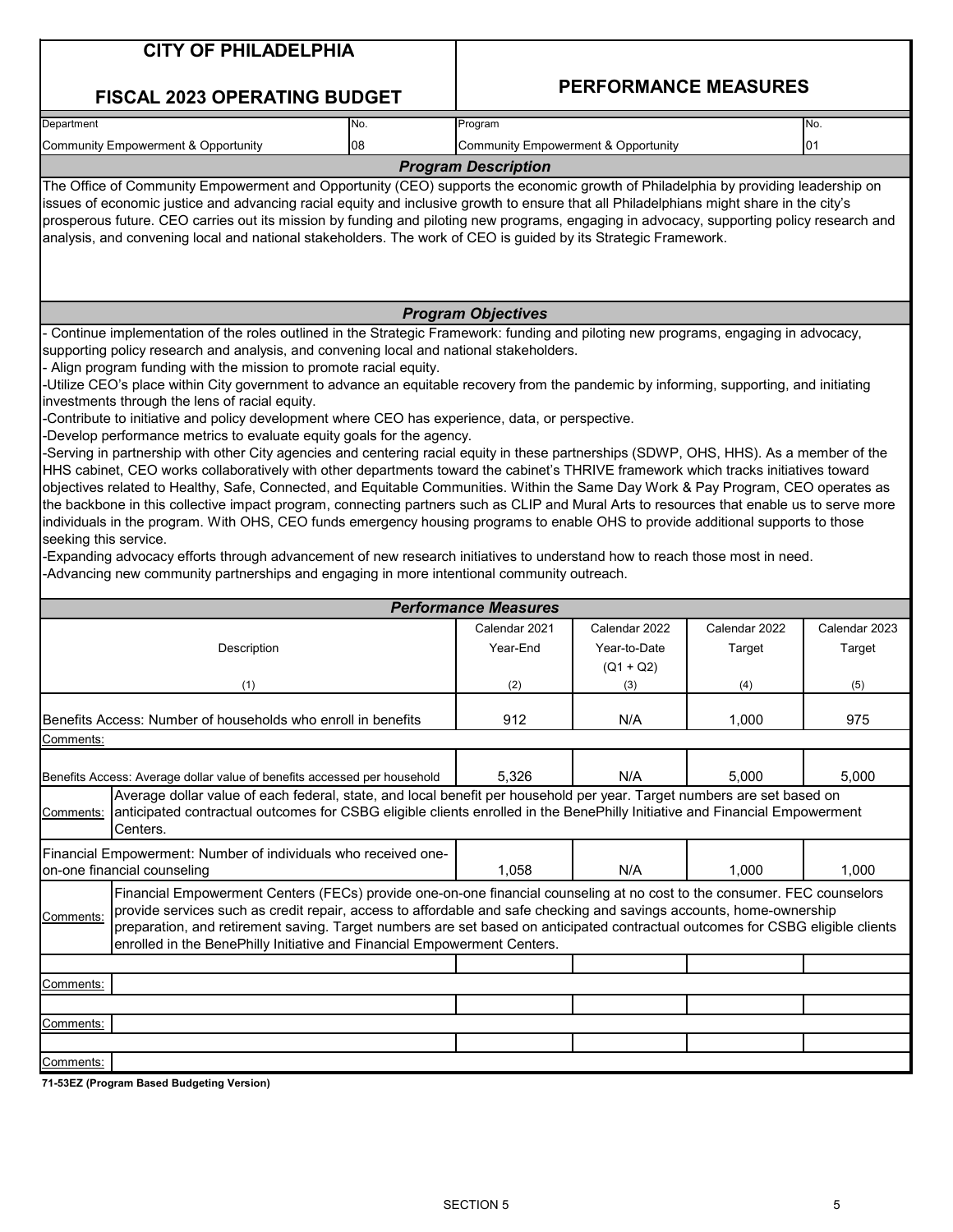| <b>CITY OF PHILADELPHIA</b>                                                                                                                                                                                                                                                                                                                                                                                                                                                                                                                                                                                                                                                                                                                                                                                                                                                                                                                                                                                                                                                                                                                                                                                                                                                                                                                                                                                                                                                                                                                                                                                                               |                                                                                                                                                                                                                                                                                                                                                                                                                                                              |               |                             |               |  |  |  |  |
|-------------------------------------------------------------------------------------------------------------------------------------------------------------------------------------------------------------------------------------------------------------------------------------------------------------------------------------------------------------------------------------------------------------------------------------------------------------------------------------------------------------------------------------------------------------------------------------------------------------------------------------------------------------------------------------------------------------------------------------------------------------------------------------------------------------------------------------------------------------------------------------------------------------------------------------------------------------------------------------------------------------------------------------------------------------------------------------------------------------------------------------------------------------------------------------------------------------------------------------------------------------------------------------------------------------------------------------------------------------------------------------------------------------------------------------------------------------------------------------------------------------------------------------------------------------------------------------------------------------------------------------------|--------------------------------------------------------------------------------------------------------------------------------------------------------------------------------------------------------------------------------------------------------------------------------------------------------------------------------------------------------------------------------------------------------------------------------------------------------------|---------------|-----------------------------|---------------|--|--|--|--|
| <b>FISCAL 2023 OPERATING BUDGET</b>                                                                                                                                                                                                                                                                                                                                                                                                                                                                                                                                                                                                                                                                                                                                                                                                                                                                                                                                                                                                                                                                                                                                                                                                                                                                                                                                                                                                                                                                                                                                                                                                       |                                                                                                                                                                                                                                                                                                                                                                                                                                                              |               | <b>PERFORMANCE MEASURES</b> |               |  |  |  |  |
| Department<br>No.                                                                                                                                                                                                                                                                                                                                                                                                                                                                                                                                                                                                                                                                                                                                                                                                                                                                                                                                                                                                                                                                                                                                                                                                                                                                                                                                                                                                                                                                                                                                                                                                                         | Program                                                                                                                                                                                                                                                                                                                                                                                                                                                      |               |                             | No.           |  |  |  |  |
| Community Empowerment & Opportunity<br>08                                                                                                                                                                                                                                                                                                                                                                                                                                                                                                                                                                                                                                                                                                                                                                                                                                                                                                                                                                                                                                                                                                                                                                                                                                                                                                                                                                                                                                                                                                                                                                                                 | <b>Community Empowerment &amp; Opportunity</b>                                                                                                                                                                                                                                                                                                                                                                                                               |               |                             | 01            |  |  |  |  |
|                                                                                                                                                                                                                                                                                                                                                                                                                                                                                                                                                                                                                                                                                                                                                                                                                                                                                                                                                                                                                                                                                                                                                                                                                                                                                                                                                                                                                                                                                                                                                                                                                                           | <b>Program Description</b>                                                                                                                                                                                                                                                                                                                                                                                                                                   |               |                             |               |  |  |  |  |
| The Office of Community Empowerment and Opportunity (CEO) supports the economic growth of Philadelphia by providing leadership on<br>issues of economic justice and advancing racial equity and inclusive growth to ensure that all Philadelphians might share in the city's<br>prosperous future. CEO carries out its mission by funding and piloting new programs, engaging in advocacy, supporting policy research and<br>analysis, and convening local and national stakeholders. The work of CEO is guided by its Strategic Framework.                                                                                                                                                                                                                                                                                                                                                                                                                                                                                                                                                                                                                                                                                                                                                                                                                                                                                                                                                                                                                                                                                               |                                                                                                                                                                                                                                                                                                                                                                                                                                                              |               |                             |               |  |  |  |  |
|                                                                                                                                                                                                                                                                                                                                                                                                                                                                                                                                                                                                                                                                                                                                                                                                                                                                                                                                                                                                                                                                                                                                                                                                                                                                                                                                                                                                                                                                                                                                                                                                                                           | <b>Program Objectives</b>                                                                                                                                                                                                                                                                                                                                                                                                                                    |               |                             |               |  |  |  |  |
| Continue implementation of the roles outlined in the Strategic Framework: funding and piloting new programs, engaging in advocacy,<br>supporting policy research and analysis, and convening local and national stakeholders.<br>Align program funding with the mission to promote racial equity.<br>-Utilize CEO's place within City government to advance an equitable recovery from the pandemic by informing, supporting, and initiating<br>investments through the lens of racial equity.<br>-Contribute to initiative and policy development where CEO has experience, data, or perspective.<br>-Develop performance metrics to evaluate equity goals for the agency.<br>-Serving in partnership with other City agencies and centering racial equity in these partnerships (SDWP, OHS, HHS). As a member of the<br>HHS cabinet, CEO works collaboratively with other departments toward the cabinet's THRIVE framework which tracks initiatives toward<br>objectives related to Healthy, Safe, Connected, and Equitable Communities. Within the Same Day Work & Pay Program, CEO operates as<br>the backbone in this collective impact program, connecting partners such as CLIP and Mural Arts to resources that enable us to serve more<br>individuals in the program. With OHS, CEO funds emergency housing programs to enable OHS to provide additional supports to those<br>seeking this service.<br>-Expanding advocacy efforts through advancement of new research initiatives to understand how to reach those most in need.<br>-Advancing new community partnerships and engaging in more intentional community outreach. |                                                                                                                                                                                                                                                                                                                                                                                                                                                              |               |                             |               |  |  |  |  |
|                                                                                                                                                                                                                                                                                                                                                                                                                                                                                                                                                                                                                                                                                                                                                                                                                                                                                                                                                                                                                                                                                                                                                                                                                                                                                                                                                                                                                                                                                                                                                                                                                                           | <b>Performance Measures</b>                                                                                                                                                                                                                                                                                                                                                                                                                                  |               |                             |               |  |  |  |  |
|                                                                                                                                                                                                                                                                                                                                                                                                                                                                                                                                                                                                                                                                                                                                                                                                                                                                                                                                                                                                                                                                                                                                                                                                                                                                                                                                                                                                                                                                                                                                                                                                                                           | Calendar 2021                                                                                                                                                                                                                                                                                                                                                                                                                                                | Calendar 2022 | Calendar 2022               | Calendar 2023 |  |  |  |  |
| Description                                                                                                                                                                                                                                                                                                                                                                                                                                                                                                                                                                                                                                                                                                                                                                                                                                                                                                                                                                                                                                                                                                                                                                                                                                                                                                                                                                                                                                                                                                                                                                                                                               | Year-End                                                                                                                                                                                                                                                                                                                                                                                                                                                     | Year-to-Date  | Target                      | Target        |  |  |  |  |
|                                                                                                                                                                                                                                                                                                                                                                                                                                                                                                                                                                                                                                                                                                                                                                                                                                                                                                                                                                                                                                                                                                                                                                                                                                                                                                                                                                                                                                                                                                                                                                                                                                           |                                                                                                                                                                                                                                                                                                                                                                                                                                                              | $(Q1 + Q2)$   |                             |               |  |  |  |  |
| (1)                                                                                                                                                                                                                                                                                                                                                                                                                                                                                                                                                                                                                                                                                                                                                                                                                                                                                                                                                                                                                                                                                                                                                                                                                                                                                                                                                                                                                                                                                                                                                                                                                                       | (2)                                                                                                                                                                                                                                                                                                                                                                                                                                                          | (3)           | (4)                         | (5)           |  |  |  |  |
| Benefits Access: Number of households who enroll in benefits                                                                                                                                                                                                                                                                                                                                                                                                                                                                                                                                                                                                                                                                                                                                                                                                                                                                                                                                                                                                                                                                                                                                                                                                                                                                                                                                                                                                                                                                                                                                                                              | 912                                                                                                                                                                                                                                                                                                                                                                                                                                                          | N/A           | 1,000                       | 975           |  |  |  |  |
| Comments:                                                                                                                                                                                                                                                                                                                                                                                                                                                                                                                                                                                                                                                                                                                                                                                                                                                                                                                                                                                                                                                                                                                                                                                                                                                                                                                                                                                                                                                                                                                                                                                                                                 |                                                                                                                                                                                                                                                                                                                                                                                                                                                              |               |                             |               |  |  |  |  |
| Benefits Access: Average dollar value of benefits accessed per household                                                                                                                                                                                                                                                                                                                                                                                                                                                                                                                                                                                                                                                                                                                                                                                                                                                                                                                                                                                                                                                                                                                                                                                                                                                                                                                                                                                                                                                                                                                                                                  | 5,326                                                                                                                                                                                                                                                                                                                                                                                                                                                        | N/A           | 5,000                       | 5,000         |  |  |  |  |
| Average dollar value of each federal, state, and local benefit per household per year. Target numbers are set based on<br>anticipated contractual outcomes for CSBG eligible clients enrolled in the BenePhilly Initiative and Financial Empowerment<br>Comments:<br>Centers.                                                                                                                                                                                                                                                                                                                                                                                                                                                                                                                                                                                                                                                                                                                                                                                                                                                                                                                                                                                                                                                                                                                                                                                                                                                                                                                                                             |                                                                                                                                                                                                                                                                                                                                                                                                                                                              |               |                             |               |  |  |  |  |
| Financial Empowerment: Number of individuals who received one-                                                                                                                                                                                                                                                                                                                                                                                                                                                                                                                                                                                                                                                                                                                                                                                                                                                                                                                                                                                                                                                                                                                                                                                                                                                                                                                                                                                                                                                                                                                                                                            |                                                                                                                                                                                                                                                                                                                                                                                                                                                              |               |                             |               |  |  |  |  |
| on-one financial counseling                                                                                                                                                                                                                                                                                                                                                                                                                                                                                                                                                                                                                                                                                                                                                                                                                                                                                                                                                                                                                                                                                                                                                                                                                                                                                                                                                                                                                                                                                                                                                                                                               | 1,058                                                                                                                                                                                                                                                                                                                                                                                                                                                        | N/A           | 1,000                       | 1,000         |  |  |  |  |
| Comments:                                                                                                                                                                                                                                                                                                                                                                                                                                                                                                                                                                                                                                                                                                                                                                                                                                                                                                                                                                                                                                                                                                                                                                                                                                                                                                                                                                                                                                                                                                                                                                                                                                 | Financial Empowerment Centers (FECs) provide one-on-one financial counseling at no cost to the consumer. FEC counselors<br>provide services such as credit repair, access to affordable and safe checking and savings accounts, home-ownership<br>preparation, and retirement saving. Target numbers are set based on anticipated contractual outcomes for CSBG eligible clients<br>enrolled in the BenePhilly Initiative and Financial Empowerment Centers. |               |                             |               |  |  |  |  |
| Comments:                                                                                                                                                                                                                                                                                                                                                                                                                                                                                                                                                                                                                                                                                                                                                                                                                                                                                                                                                                                                                                                                                                                                                                                                                                                                                                                                                                                                                                                                                                                                                                                                                                 |                                                                                                                                                                                                                                                                                                                                                                                                                                                              |               |                             |               |  |  |  |  |
|                                                                                                                                                                                                                                                                                                                                                                                                                                                                                                                                                                                                                                                                                                                                                                                                                                                                                                                                                                                                                                                                                                                                                                                                                                                                                                                                                                                                                                                                                                                                                                                                                                           |                                                                                                                                                                                                                                                                                                                                                                                                                                                              |               |                             |               |  |  |  |  |
| <u>Comments:</u>                                                                                                                                                                                                                                                                                                                                                                                                                                                                                                                                                                                                                                                                                                                                                                                                                                                                                                                                                                                                                                                                                                                                                                                                                                                                                                                                                                                                                                                                                                                                                                                                                          |                                                                                                                                                                                                                                                                                                                                                                                                                                                              |               |                             |               |  |  |  |  |
|                                                                                                                                                                                                                                                                                                                                                                                                                                                                                                                                                                                                                                                                                                                                                                                                                                                                                                                                                                                                                                                                                                                                                                                                                                                                                                                                                                                                                                                                                                                                                                                                                                           |                                                                                                                                                                                                                                                                                                                                                                                                                                                              |               |                             |               |  |  |  |  |
| Comments:                                                                                                                                                                                                                                                                                                                                                                                                                                                                                                                                                                                                                                                                                                                                                                                                                                                                                                                                                                                                                                                                                                                                                                                                                                                                                                                                                                                                                                                                                                                                                                                                                                 |                                                                                                                                                                                                                                                                                                                                                                                                                                                              |               |                             |               |  |  |  |  |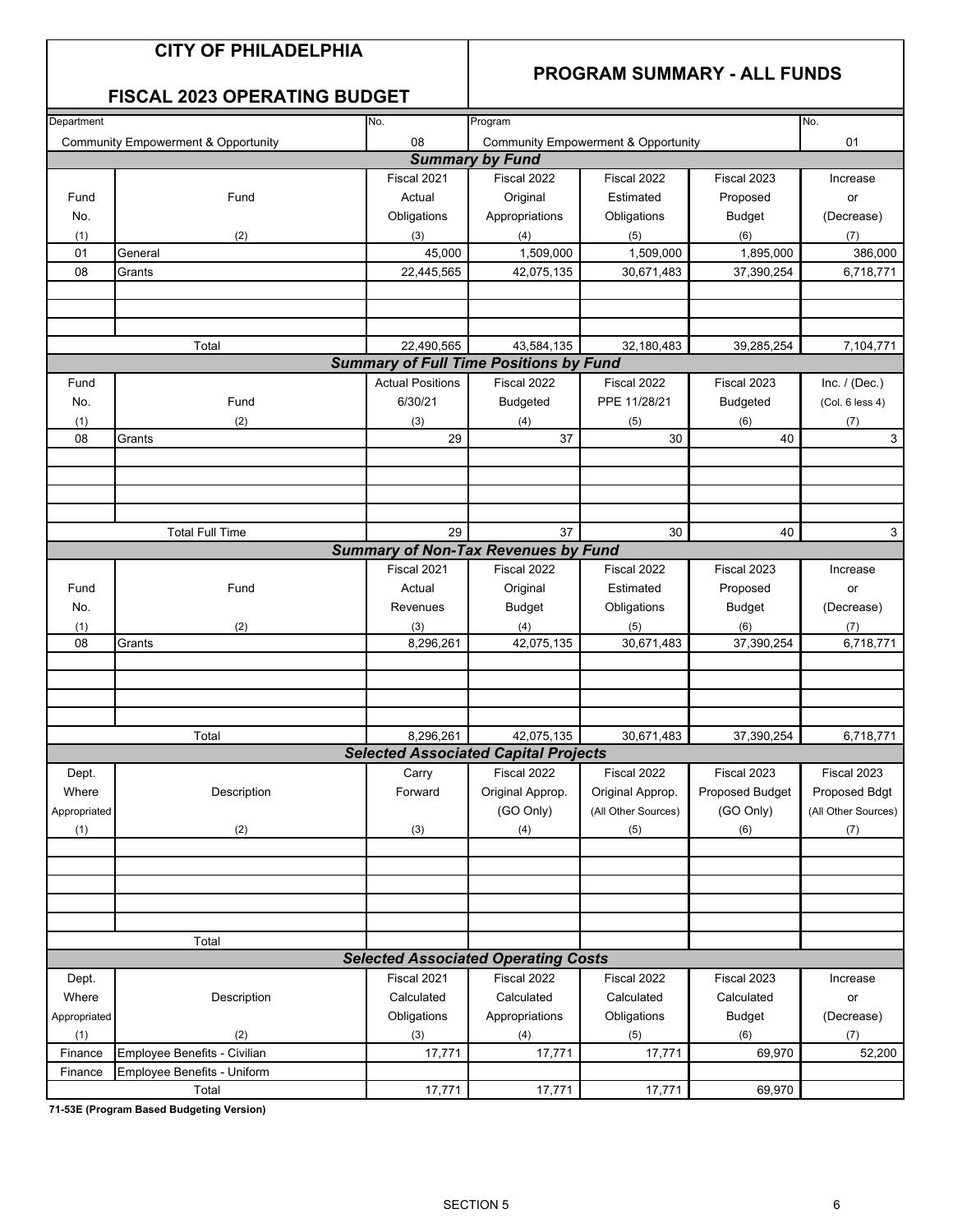#### **PROGRAM SUMMARY - ALL FUNDS**

#### **FISCAL 2023 OPERATING BUDGET**

| Department                                     |                                                | No.                     | Program                                       | No.                                            |                        |                     |  |
|------------------------------------------------|------------------------------------------------|-------------------------|-----------------------------------------------|------------------------------------------------|------------------------|---------------------|--|
|                                                | <b>Community Empowerment &amp; Opportunity</b> | 08                      |                                               | <b>Community Empowerment &amp; Opportunity</b> |                        | 01                  |  |
|                                                |                                                |                         | <b>Summary by Fund</b>                        |                                                |                        |                     |  |
|                                                |                                                | Fiscal 2021             | Fiscal 2022                                   | Fiscal 2022                                    | Fiscal 2023            | Increase            |  |
| Fund                                           | Fund                                           | Actual                  | Original                                      | Estimated                                      | Proposed               | or                  |  |
| No.                                            |                                                | Obligations             | Appropriations                                | Obligations                                    | <b>Budget</b>          | (Decrease)          |  |
| (1)                                            | (2)                                            | (3)                     | (4)                                           | (5)                                            | (6)                    | (7)                 |  |
| 01                                             | General                                        | 45,000                  | 1,509,000                                     | 1,509,000                                      | 1,895,000              | 386,000             |  |
| 08                                             | Grants                                         | 22,445,565              | 42,075,135                                    | 30,671,483                                     | 37,390,254             | 6,718,771           |  |
|                                                |                                                |                         |                                               |                                                |                        |                     |  |
|                                                |                                                |                         |                                               |                                                |                        |                     |  |
|                                                |                                                |                         |                                               |                                                |                        |                     |  |
|                                                | Total                                          | 22,490,565              | 43,584,135                                    | 32,180,483                                     | 39,285,254             | 7,104,771           |  |
|                                                |                                                |                         | <b>Summary of Full Time Positions by Fund</b> |                                                |                        |                     |  |
| Fund                                           |                                                | <b>Actual Positions</b> | Fiscal 2022                                   | Fiscal 2022                                    | Fiscal 2023            | Inc. $/$ (Dec.)     |  |
|                                                |                                                | 6/30/21                 |                                               |                                                |                        |                     |  |
| No.                                            | Fund                                           |                         | <b>Budgeted</b>                               | PPE 11/28/21                                   | <b>Budgeted</b>        | (Col. 6 less 4)     |  |
| (1)                                            | (2)                                            | (3)                     | (4)                                           | (5)                                            | (6)                    | (7)                 |  |
| 08                                             | Grants                                         | 29                      | 37                                            | 30                                             | 40                     | 3                   |  |
|                                                |                                                |                         |                                               |                                                |                        |                     |  |
|                                                |                                                |                         |                                               |                                                |                        |                     |  |
|                                                |                                                |                         |                                               |                                                |                        |                     |  |
|                                                |                                                |                         |                                               |                                                |                        | 3                   |  |
| <b>Total Full Time</b><br>29<br>37<br>30<br>40 |                                                |                         |                                               |                                                |                        |                     |  |
|                                                |                                                |                         | <b>Summary of Non-Tax Revenues by Fund</b>    |                                                |                        |                     |  |
|                                                |                                                | Fiscal 2021             | Fiscal 2022                                   | Fiscal 2022                                    | Fiscal 2023            | Increase            |  |
| Fund                                           | Fund                                           | Actual                  | Original                                      | Estimated                                      | Proposed               | or                  |  |
| No.                                            |                                                | Revenues                | <b>Budget</b>                                 | Obligations                                    | <b>Budget</b>          | (Decrease)          |  |
| (1)                                            | (2)                                            | (3)                     | (4)                                           | (5)                                            | (6)                    | (7)                 |  |
| 08                                             | Grants                                         | 8,296,261               | 42,075,135                                    | 30,671,483                                     | 37,390,254             | 6,718,771           |  |
|                                                |                                                |                         |                                               |                                                |                        |                     |  |
|                                                |                                                |                         |                                               |                                                |                        |                     |  |
|                                                |                                                |                         |                                               |                                                |                        |                     |  |
|                                                |                                                |                         |                                               |                                                |                        |                     |  |
|                                                | Total                                          | 8,296,261               | 42,075,135                                    | 30,671,483                                     | 37,390,254             | 6,718,771           |  |
|                                                |                                                |                         | <b>Selected Associated Capital Projects</b>   |                                                |                        |                     |  |
| Dept.                                          |                                                | Carry                   | Fiscal 2022                                   | Fiscal 2022                                    | Fiscal 2023            | Fiscal 2023         |  |
| Where                                          | Description                                    | Forward                 | Original Approp.                              | Original Approp.                               | <b>Proposed Budget</b> | Proposed Bdgt       |  |
| Appropriated                                   |                                                |                         | (GO Only)                                     | (All Other Sources)                            | (GO Only)              | (All Other Sources) |  |
| (1)                                            | (2)                                            | (3)                     | (4)                                           | (5)                                            | (6)                    | (7)                 |  |
|                                                |                                                |                         |                                               |                                                |                        |                     |  |
|                                                |                                                |                         |                                               |                                                |                        |                     |  |
|                                                |                                                |                         |                                               |                                                |                        |                     |  |
|                                                |                                                |                         |                                               |                                                |                        |                     |  |
|                                                |                                                |                         |                                               |                                                |                        |                     |  |
|                                                | Total                                          |                         |                                               |                                                |                        |                     |  |
|                                                |                                                |                         | <b>Selected Associated Operating Costs</b>    |                                                |                        |                     |  |
| Dept.                                          |                                                | Fiscal 2021             | Fiscal 2022                                   | Fiscal 2022                                    | Fiscal 2023            | Increase            |  |
| Where                                          | Description                                    | Calculated              | Calculated                                    | Calculated                                     | Calculated             | or                  |  |
|                                                |                                                |                         |                                               |                                                |                        |                     |  |
| Appropriated                                   |                                                | Obligations             | Appropriations                                | Obligations                                    | <b>Budget</b>          | (Decrease)          |  |
| (1)                                            | (2)                                            | (3)                     | (4)                                           | (5)                                            | (6)                    | (7)                 |  |
| Finance                                        | Employee Benefits - Civilian                   | 17,771                  | 17,771                                        | 17,771                                         | 69,970                 | 52,200              |  |
| Finance                                        | Employee Benefits - Uniform                    |                         |                                               |                                                |                        |                     |  |
|                                                | Total                                          | 17,771                  | 17,771                                        | 17,771                                         | 69,970                 |                     |  |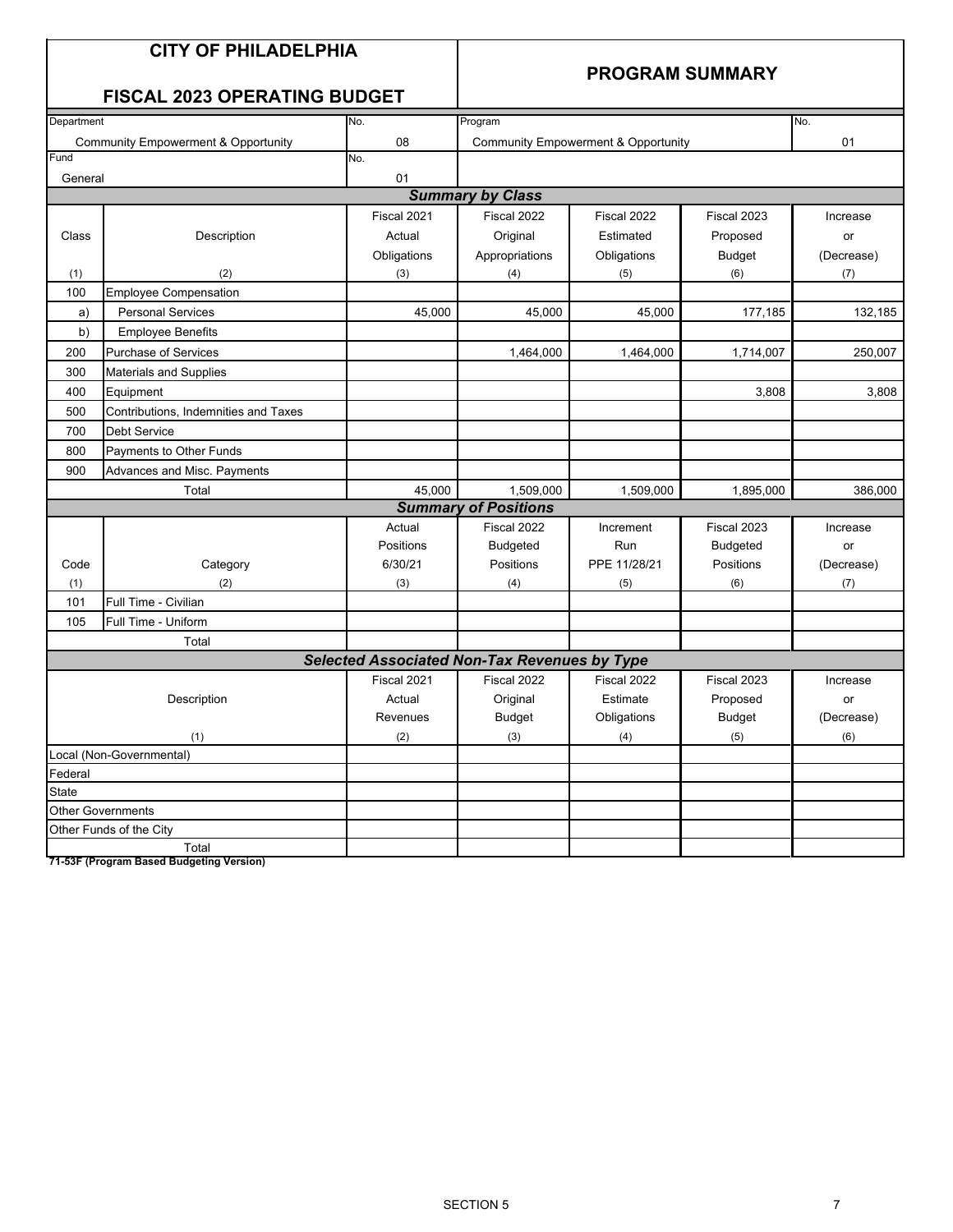#### No. No. 08 01 Community Empowerment & Opportunity Community Empowerment & Opportunity No. 01 Fiscal 2021 Fiscal 2022 Fiscal 2022 Fiscal 2023 Increase Class Description Actual Original Estimated Proposed or Obligations | Appropriations | Obligations | Budget | (Decrease) (1) (1) (2) (2) (3) (4) (5) (6) (6) (7) 100 Employee Compensation a) Personal Services and the 45,000 45,000 45,000 45,000 45,000 177,185 132,185 b) Employee Benefits 200 Purchase of Services 250,007 1,464,000 1,464,000 1,464,000 1,714,007 250,007 300 Materials and Supplies 400 Equipment 3,808 3,808 500 Contributions, Indemnities and Taxes 700 Debt Service 800 Payments to Other Funds 900 Advances and Misc. Payments 45,000 1,509,000 1,509,000 1,895,000 386,000 Actual Fiscal 2022 Increment Fiscal 2023 Increase Positions | Budgeted | Run | Budgeted or Code Category 6/30/21 Positions PPE 11/28/21 Positions (Decrease) (1) (1) (2) (2) (3) (4) (5) (5) (6) (7) 101 Full Time - Civilian 105 Full Time - Uniform Fiscal 2021 Fiscal 2022 Fiscal 2022 Fiscal 2023 Increase Actual | Original | Estimate | Proposed | or Revenues | Budget | Obligations | Budget (Decrease)  $(2)$  (3) (4) (5) (5) Total Fund General **CITY OF PHILADELPHIA PROGRAM SUMMARY FISCAL 2023 OPERATING BUDGET** Department **Program** Program **Program Program** *Summary by Class* Total *Summary of Positions* Total *Selected Associated Non-Tax Revenues by Type* State Other Governments Other Funds of the City Description (1) Local (Non-Governmental) Federal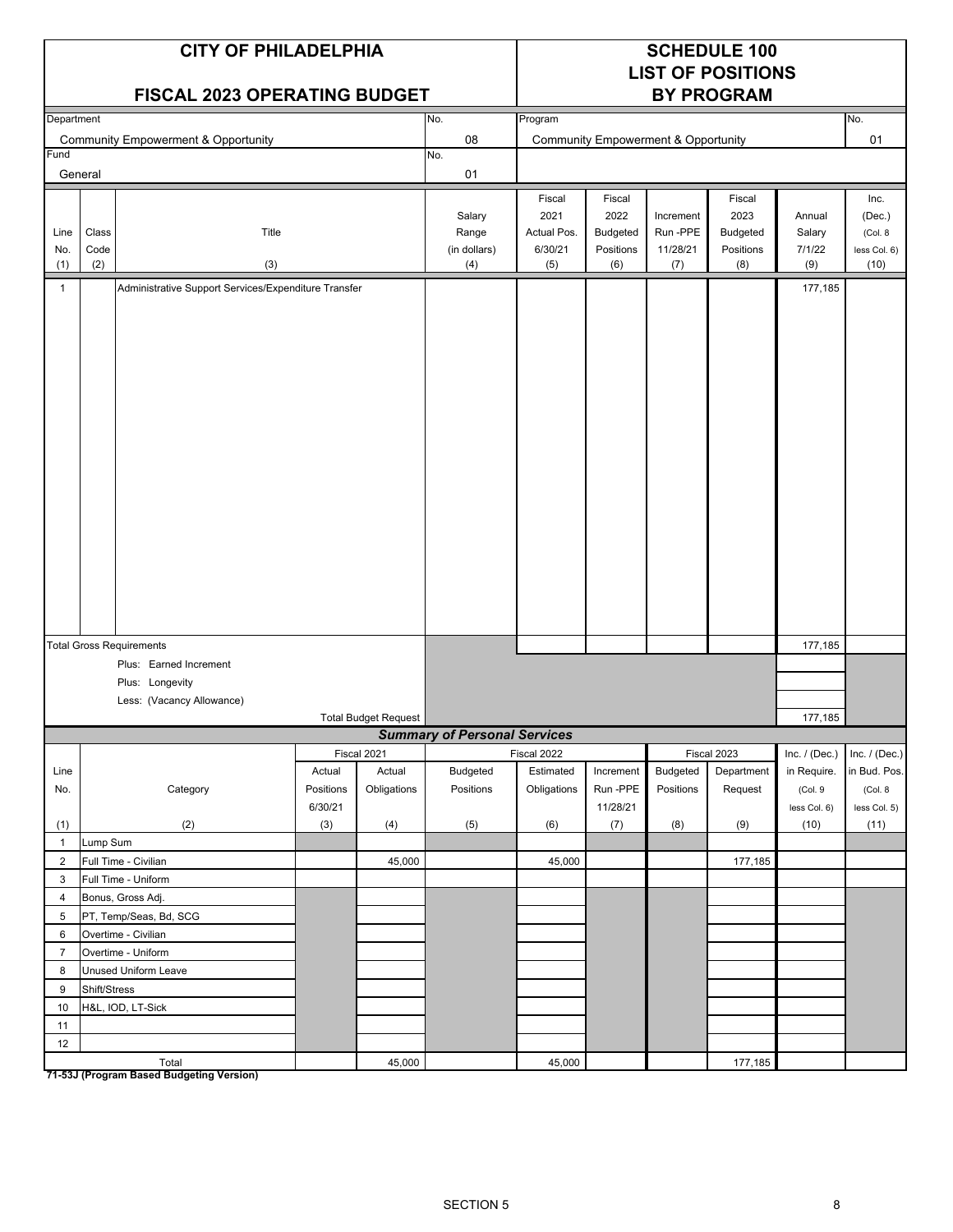|                    |                      | <b>CITY OF PHILADELPHIA</b><br>FISCAL 2023 OPERATING BUDGET |                      |                             | <b>SCHEDULE 100</b><br><b>LIST OF POSITIONS</b><br><b>BY PROGRAM</b> |                                                 |                                                       |                                                |                                                |                                   |                                                    |
|--------------------|----------------------|-------------------------------------------------------------|----------------------|-----------------------------|----------------------------------------------------------------------|-------------------------------------------------|-------------------------------------------------------|------------------------------------------------|------------------------------------------------|-----------------------------------|----------------------------------------------------|
| Department         |                      |                                                             |                      |                             | No.                                                                  | No.<br>Program                                  |                                                       |                                                |                                                |                                   |                                                    |
|                    |                      | <b>Community Empowerment &amp; Opportunity</b>              |                      |                             | 08                                                                   |                                                 |                                                       | <b>Community Empowerment &amp; Opportunity</b> |                                                |                                   | 01                                                 |
| Fund               |                      |                                                             |                      |                             | No.                                                                  |                                                 |                                                       |                                                |                                                |                                   |                                                    |
|                    | General              |                                                             |                      |                             | 01                                                                   |                                                 |                                                       |                                                |                                                |                                   |                                                    |
| Line<br>No.<br>(1) | Class<br>Code<br>(2) | Title<br>(3)                                                |                      |                             | Salary<br>Range<br>(in dollars)<br>(4)                               | Fiscal<br>2021<br>Actual Pos.<br>6/30/21<br>(5) | Fiscal<br>2022<br><b>Budgeted</b><br>Positions<br>(6) | Increment<br>Run-PPE<br>11/28/21<br>(7)        | Fiscal<br>2023<br>Budgeted<br>Positions<br>(8) | Annual<br>Salary<br>7/1/22<br>(9) | Inc.<br>(Dec.)<br>(Col. 8)<br>less Col. 6)<br>(10) |
| $\mathbf{1}$       |                      | Administrative Support Services/Expenditure Transfer        |                      |                             |                                                                      |                                                 |                                                       |                                                |                                                | 177,185                           |                                                    |
|                    |                      |                                                             |                      |                             |                                                                      |                                                 |                                                       |                                                |                                                |                                   |                                                    |
|                    |                      | <b>Total Gross Requirements</b>                             |                      |                             |                                                                      |                                                 |                                                       |                                                |                                                | 177,185                           |                                                    |
|                    |                      | Plus: Earned Increment                                      |                      |                             |                                                                      |                                                 |                                                       |                                                |                                                |                                   |                                                    |
|                    |                      | Plus: Longevity                                             |                      |                             |                                                                      |                                                 |                                                       |                                                |                                                |                                   |                                                    |
|                    |                      | Less: (Vacancy Allowance)                                   |                      |                             |                                                                      |                                                 |                                                       |                                                |                                                |                                   |                                                    |
|                    |                      |                                                             |                      | <b>Total Budget Request</b> |                                                                      |                                                 |                                                       |                                                |                                                | 177,185                           |                                                    |
|                    |                      |                                                             |                      | Fiscal 2021                 | <b>Summary of Personal Services</b>                                  | Fiscal 2022                                     |                                                       |                                                | Fiscal 2023                                    | Inc. $/$ (Dec.)                   | Inc. $/$ (Dec.)                                    |
| Line               |                      |                                                             | Actual               | Actual                      | <b>Budgeted</b>                                                      | Estimated                                       | Increment                                             | <b>Budgeted</b>                                | Department                                     | in Require.                       | in Bud. Pos.                                       |
| No.                |                      | Category                                                    | Positions<br>6/30/21 | Obligations                 | Positions                                                            | Obligations                                     | Run-PPE<br>11/28/21                                   | Positions                                      | Request                                        | (Col.9                            | (Col. 8<br>less Col. 5)                            |
| (1)                |                      | (2)                                                         | (3)                  | (4)                         | (5)                                                                  | (6)                                             | (7)                                                   | (8)                                            | (9)                                            | less Col. 6)<br>(10)              | (11)                                               |
| $\mathbf{1}$       | Lump Sum             |                                                             |                      |                             |                                                                      |                                                 |                                                       |                                                |                                                |                                   |                                                    |
| $\overline{2}$     |                      | Full Time - Civilian                                        |                      | 45,000                      |                                                                      | 45,000                                          |                                                       |                                                | 177,185                                        |                                   |                                                    |
| $\mathbf{3}$       |                      | Full Time - Uniform                                         |                      |                             |                                                                      |                                                 |                                                       |                                                |                                                |                                   |                                                    |
| 4                  |                      | Bonus, Gross Adj.                                           |                      |                             |                                                                      |                                                 |                                                       |                                                |                                                |                                   |                                                    |
| 5                  |                      | PT, Temp/Seas, Bd, SCG                                      |                      |                             |                                                                      |                                                 |                                                       |                                                |                                                |                                   |                                                    |
| 6                  |                      | Overtime - Civilian                                         |                      |                             |                                                                      |                                                 |                                                       |                                                |                                                |                                   |                                                    |
| $\overline{7}$     |                      | Overtime - Uniform                                          |                      |                             |                                                                      |                                                 |                                                       |                                                |                                                |                                   |                                                    |
| 8                  |                      | Unused Uniform Leave                                        |                      |                             |                                                                      |                                                 |                                                       |                                                |                                                |                                   |                                                    |
| 9                  | Shift/Stress         |                                                             |                      |                             |                                                                      |                                                 |                                                       |                                                |                                                |                                   |                                                    |
| 10                 |                      | H&L, IOD, LT-Sick                                           |                      |                             |                                                                      |                                                 |                                                       |                                                |                                                |                                   |                                                    |
| 11                 |                      |                                                             |                      |                             |                                                                      |                                                 |                                                       |                                                |                                                |                                   |                                                    |
| $12\,$             |                      | Total                                                       |                      | 45,000                      |                                                                      | 45,000                                          |                                                       |                                                | 177,185                                        |                                   |                                                    |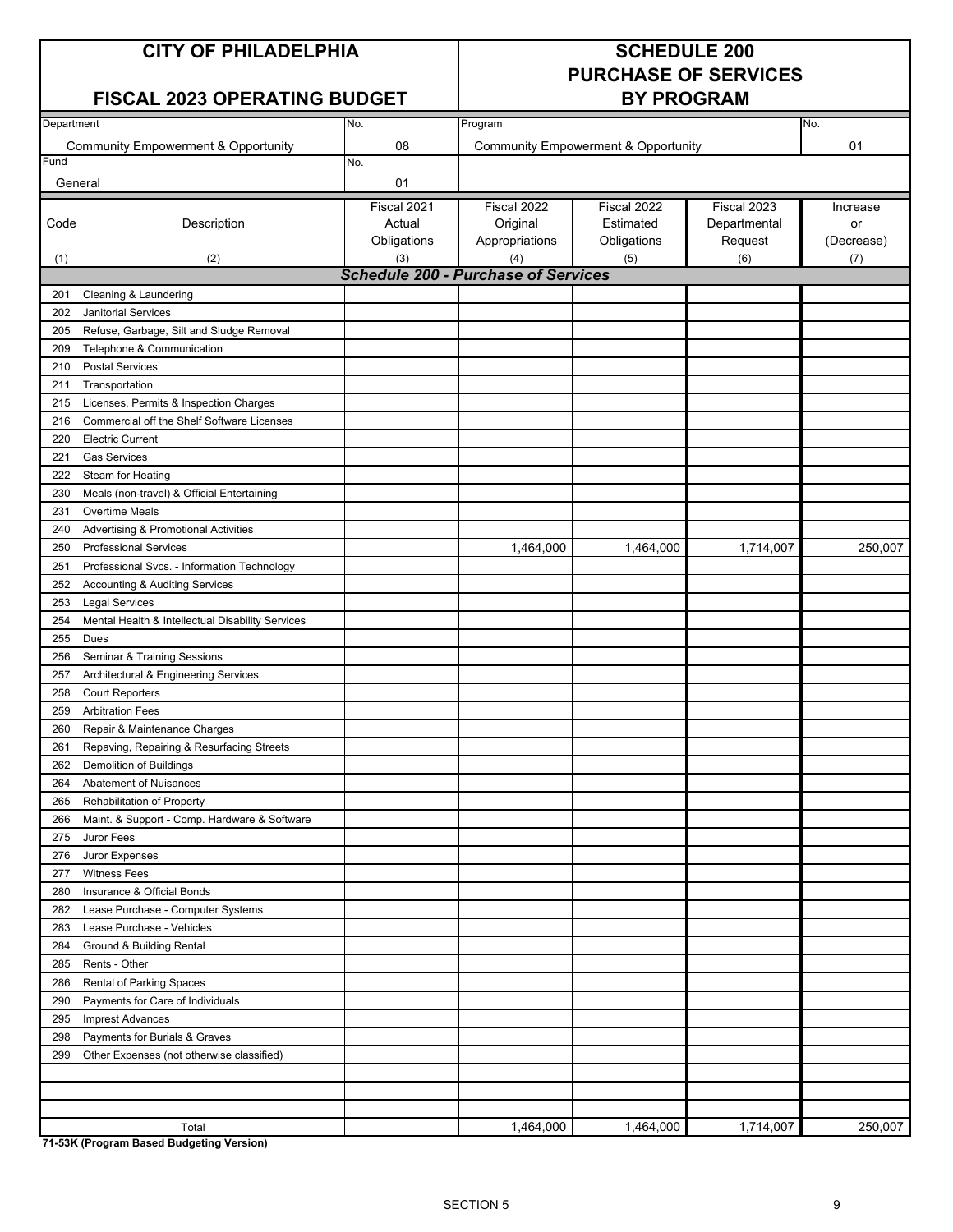#### **CITY OF PHILADELPHIA SCHEDULE 200**

#### **FISCAL 2023 OPERATING BUDGET**

# **PURCHASE OF SERVICES**

| Department<br>No. |                                                  |             | Program                                    | No.                                            |              |            |
|-------------------|--------------------------------------------------|-------------|--------------------------------------------|------------------------------------------------|--------------|------------|
|                   |                                                  |             |                                            |                                                |              |            |
| Fund              | <b>Community Empowerment &amp; Opportunity</b>   | 08<br>No.   |                                            | <b>Community Empowerment &amp; Opportunity</b> |              | 01         |
|                   |                                                  |             |                                            |                                                |              |            |
| General           |                                                  | 01          |                                            |                                                |              |            |
|                   |                                                  | Fiscal 2021 | Fiscal 2022                                | Fiscal 2022                                    | Fiscal 2023  | Increase   |
| Code              | Description                                      | Actual      | Original                                   | Estimated                                      | Departmental | or         |
|                   |                                                  | Obligations | Appropriations                             | Obligations                                    | Request      | (Decrease) |
| (1)               | (2)                                              | (3)         | (4)                                        | (5)                                            | (6)          | (7)        |
|                   |                                                  |             | <b>Schedule 200 - Purchase of Services</b> |                                                |              |            |
| 201               | Cleaning & Laundering                            |             |                                            |                                                |              |            |
| 202               | <b>Janitorial Services</b>                       |             |                                            |                                                |              |            |
| 205               | Refuse, Garbage, Silt and Sludge Removal         |             |                                            |                                                |              |            |
| 209               | Telephone & Communication                        |             |                                            |                                                |              |            |
| 210               | <b>Postal Services</b>                           |             |                                            |                                                |              |            |
| 211               | Transportation                                   |             |                                            |                                                |              |            |
| 215               | Licenses, Permits & Inspection Charges           |             |                                            |                                                |              |            |
| 216               | Commercial off the Shelf Software Licenses       |             |                                            |                                                |              |            |
| 220               | <b>Electric Current</b>                          |             |                                            |                                                |              |            |
| 221               | <b>Gas Services</b>                              |             |                                            |                                                |              |            |
| 222               | Steam for Heating                                |             |                                            |                                                |              |            |
| 230               | Meals (non-travel) & Official Entertaining       |             |                                            |                                                |              |            |
| 231               | Overtime Meals                                   |             |                                            |                                                |              |            |
| 240               | Advertising & Promotional Activities             |             |                                            |                                                |              |            |
| 250               | <b>Professional Services</b>                     |             | 1,464,000                                  | 1,464,000                                      | 1,714,007    | 250,007    |
| 251               | Professional Svcs. - Information Technology      |             |                                            |                                                |              |            |
| 252               | <b>Accounting &amp; Auditing Services</b>        |             |                                            |                                                |              |            |
| 253               | Legal Services                                   |             |                                            |                                                |              |            |
| 254               | Mental Health & Intellectual Disability Services |             |                                            |                                                |              |            |
| 255               | Dues                                             |             |                                            |                                                |              |            |
| 256               | Seminar & Training Sessions                      |             |                                            |                                                |              |            |
| 257               | Architectural & Engineering Services             |             |                                            |                                                |              |            |
| 258               | <b>Court Reporters</b>                           |             |                                            |                                                |              |            |
| 259               | <b>Arbitration Fees</b>                          |             |                                            |                                                |              |            |
| 260               | Repair & Maintenance Charges                     |             |                                            |                                                |              |            |
| 261               | Repaving, Repairing & Resurfacing Streets        |             |                                            |                                                |              |            |
| 262               | Demolition of Buildings                          |             |                                            |                                                |              |            |
| 264               | Abatement of Nuisances                           |             |                                            |                                                |              |            |
| 265               | Rehabilitation of Property                       |             |                                            |                                                |              |            |
| 266               | Maint. & Support - Comp. Hardware & Software     |             |                                            |                                                |              |            |
| 275               | Juror Fees                                       |             |                                            |                                                |              |            |
| 276               | Juror Expenses                                   |             |                                            |                                                |              |            |
| 277               | <b>Witness Fees</b>                              |             |                                            |                                                |              |            |
| 280               | Insurance & Official Bonds                       |             |                                            |                                                |              |            |
| 282               | Lease Purchase - Computer Systems                |             |                                            |                                                |              |            |
| 283               | Lease Purchase - Vehicles                        |             |                                            |                                                |              |            |
| 284               | Ground & Building Rental                         |             |                                            |                                                |              |            |
| 285               | Rents - Other                                    |             |                                            |                                                |              |            |
| 286               | Rental of Parking Spaces                         |             |                                            |                                                |              |            |
| 290               | Payments for Care of Individuals                 |             |                                            |                                                |              |            |
| 295               | <b>Imprest Advances</b>                          |             |                                            |                                                |              |            |
| 298               | Payments for Burials & Graves                    |             |                                            |                                                |              |            |
| 299               | Other Expenses (not otherwise classified)        |             |                                            |                                                |              |            |
|                   |                                                  |             |                                            |                                                |              |            |
|                   |                                                  |             |                                            |                                                |              |            |
|                   |                                                  |             |                                            |                                                |              |            |
|                   | Total                                            |             | 1,464,000                                  | 1,464,000                                      | 1,714,007    | 250,007    |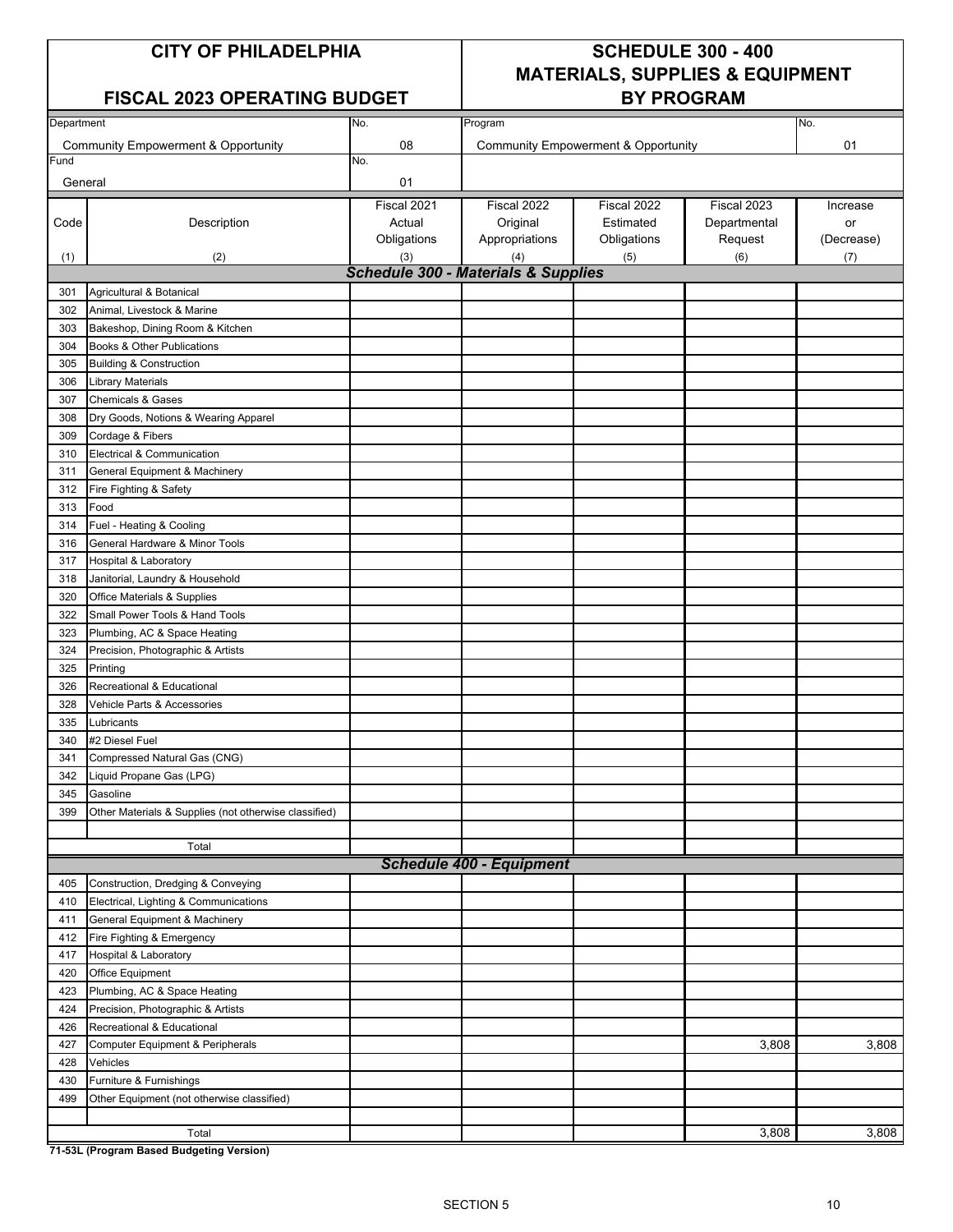#### **FISCAL 2023 OPERATING BUDGET BY PROGRAM**

### **CITY OF PHILADELPHIA SCHEDULE 300 - 400 MATERIALS, SUPPLIES & EQUIPMENT**

| Department |                                                       | No.         | Program                                        |                                                |              | No.        |
|------------|-------------------------------------------------------|-------------|------------------------------------------------|------------------------------------------------|--------------|------------|
|            | <b>Community Empowerment &amp; Opportunity</b>        | 08          |                                                | <b>Community Empowerment &amp; Opportunity</b> |              | 01         |
| Fund       |                                                       | No.         |                                                |                                                |              |            |
| General    |                                                       | 01          |                                                |                                                |              |            |
|            |                                                       | Fiscal 2021 | Fiscal 2022                                    | Fiscal 2022                                    | Fiscal 2023  | Increase   |
| Code       | Description                                           | Actual      | Original                                       | Estimated                                      | Departmental | or         |
|            |                                                       | Obligations | Appropriations                                 | Obligations                                    | Request      | (Decrease) |
| (1)        | (2)                                                   | (3)         | (4)                                            | (5)                                            | (6)          | (7)        |
|            |                                                       |             | <b>Schedule 300 - Materials &amp; Supplies</b> |                                                |              |            |
| 301        | Agricultural & Botanical                              |             |                                                |                                                |              |            |
| 302        | Animal, Livestock & Marine                            |             |                                                |                                                |              |            |
| 303        | Bakeshop, Dining Room & Kitchen                       |             |                                                |                                                |              |            |
| 304        | Books & Other Publications                            |             |                                                |                                                |              |            |
| 305        | <b>Building &amp; Construction</b>                    |             |                                                |                                                |              |            |
| 306        | <b>Library Materials</b>                              |             |                                                |                                                |              |            |
| 307        | <b>Chemicals &amp; Gases</b>                          |             |                                                |                                                |              |            |
| 308        | Dry Goods, Notions & Wearing Apparel                  |             |                                                |                                                |              |            |
| 309        | Cordage & Fibers                                      |             |                                                |                                                |              |            |
| 310        | Electrical & Communication                            |             |                                                |                                                |              |            |
| 311        | General Equipment & Machinery                         |             |                                                |                                                |              |            |
| 312        | Fire Fighting & Safety                                |             |                                                |                                                |              |            |
| 313        | Food                                                  |             |                                                |                                                |              |            |
| 314        | Fuel - Heating & Cooling                              |             |                                                |                                                |              |            |
| 316        | General Hardware & Minor Tools                        |             |                                                |                                                |              |            |
| 317        | <b>Hospital &amp; Laboratory</b>                      |             |                                                |                                                |              |            |
| 318        | Janitorial, Laundry & Household                       |             |                                                |                                                |              |            |
| 320        | Office Materials & Supplies                           |             |                                                |                                                |              |            |
| 322        | Small Power Tools & Hand Tools                        |             |                                                |                                                |              |            |
| 323        | Plumbing, AC & Space Heating                          |             |                                                |                                                |              |            |
| 324        | Precision, Photographic & Artists                     |             |                                                |                                                |              |            |
| 325        | Printing                                              |             |                                                |                                                |              |            |
| 326        | Recreational & Educational                            |             |                                                |                                                |              |            |
| 328        | Vehicle Parts & Accessories                           |             |                                                |                                                |              |            |
| 335        | Lubricants                                            |             |                                                |                                                |              |            |
| 340        | #2 Diesel Fuel                                        |             |                                                |                                                |              |            |
| 341        | Compressed Natural Gas (CNG)                          |             |                                                |                                                |              |            |
| 342        | Liquid Propane Gas (LPG)                              |             |                                                |                                                |              |            |
| 345        | Gasoline                                              |             |                                                |                                                |              |            |
| 399        | Other Materials & Supplies (not otherwise classified) |             |                                                |                                                |              |            |
|            | Total                                                 |             |                                                |                                                |              |            |
|            |                                                       |             | <b>Schedule 400 - Equipment</b>                |                                                |              |            |
| 405        | Construction, Dredging & Conveying                    |             |                                                |                                                |              |            |
| 410        | Electrical, Lighting & Communications                 |             |                                                |                                                |              |            |
| 411        | General Equipment & Machinery                         |             |                                                |                                                |              |            |
| 412        | Fire Fighting & Emergency                             |             |                                                |                                                |              |            |
| 417        | <b>Hospital &amp; Laboratory</b>                      |             |                                                |                                                |              |            |
| 420        | Office Equipment                                      |             |                                                |                                                |              |            |
| 423        | Plumbing, AC & Space Heating                          |             |                                                |                                                |              |            |
| 424        | Precision, Photographic & Artists                     |             |                                                |                                                |              |            |
| 426        | Recreational & Educational                            |             |                                                |                                                |              |            |
| 427        | Computer Equipment & Peripherals                      |             |                                                |                                                | 3,808        | 3,808      |
| 428        | Vehicles                                              |             |                                                |                                                |              |            |
| 430        | Furniture & Furnishings                               |             |                                                |                                                |              |            |
| 499        | Other Equipment (not otherwise classified)            |             |                                                |                                                |              |            |
|            |                                                       |             |                                                |                                                |              |            |
|            | Total                                                 |             |                                                |                                                | 3,808        | 3,808      |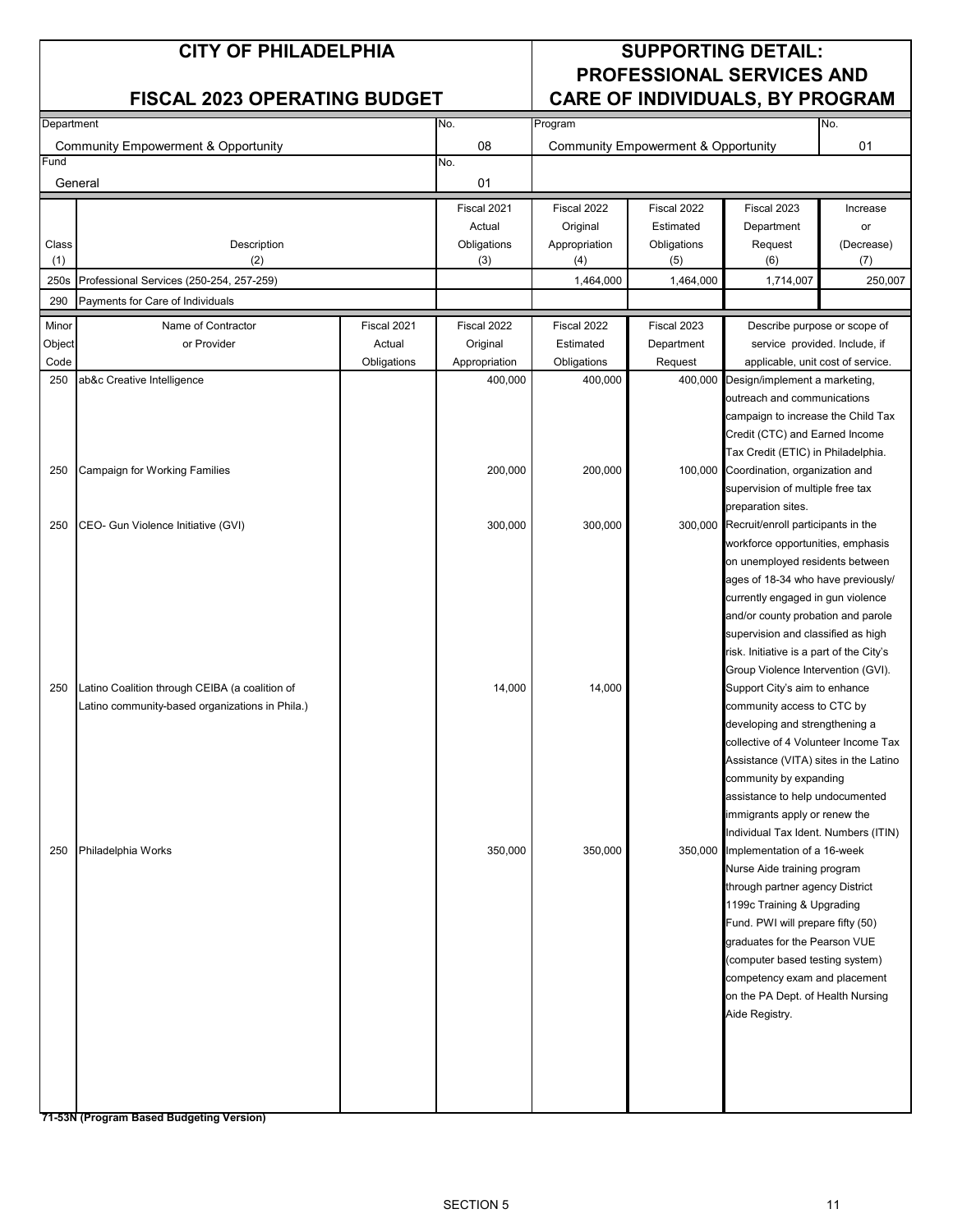|            | <b>CITY OF PHILADELPHIA</b>                     |             |                       | <b>SUPPORTING DETAIL:</b><br><b>PROFESSIONAL SERVICES AND</b> |                                                |                                                                               |                |  |
|------------|-------------------------------------------------|-------------|-----------------------|---------------------------------------------------------------|------------------------------------------------|-------------------------------------------------------------------------------|----------------|--|
|            | <b>FISCAL 2023 OPERATING BUDGET</b>             |             |                       |                                                               |                                                | <b>CARE OF INDIVIDUALS, BY PROGRAM</b>                                        |                |  |
| Department |                                                 |             | No.                   | Program                                                       |                                                |                                                                               | No.            |  |
|            | <b>Community Empowerment &amp; Opportunity</b>  |             | 08                    |                                                               | <b>Community Empowerment &amp; Opportunity</b> |                                                                               | 01             |  |
| Fund       |                                                 |             | No.                   |                                                               |                                                |                                                                               |                |  |
|            | General                                         |             | 01                    |                                                               |                                                |                                                                               |                |  |
|            |                                                 |             | Fiscal 2021<br>Actual | Fiscal 2022<br>Original                                       | Fiscal 2022<br>Estimated                       | Fiscal 2023<br>Department                                                     | Increase<br>or |  |
| Class      | Description                                     |             | Obligations           | Appropriation                                                 | Obligations                                    | Request                                                                       | (Decrease)     |  |
| (1)        | (2)                                             |             | (3)                   | (4)                                                           | (5)                                            | (6)                                                                           | (7)            |  |
| 250s       | Professional Services (250-254, 257-259)        |             |                       | 1,464,000                                                     | 1,464,000                                      | 1,714,007                                                                     | 250,007        |  |
| 290        | Payments for Care of Individuals                |             |                       |                                                               |                                                |                                                                               |                |  |
| Minor      | Name of Contractor                              | Fiscal 2021 | Fiscal 2022           | Fiscal 2022                                                   | Fiscal 2023                                    | Describe purpose or scope of                                                  |                |  |
| Object     | or Provider                                     | Actual      | Original              | Estimated                                                     | Department                                     | service provided. Include, if                                                 |                |  |
| Code       |                                                 | Obligations | Appropriation         | Obligations                                                   | Request                                        | applicable, unit cost of service.                                             |                |  |
| 250        | ab&c Creative Intelligence                      |             | 400,000               | 400.000                                                       | 400,000                                        | Design/implement a marketing,                                                 |                |  |
|            |                                                 |             |                       |                                                               |                                                | outreach and communications                                                   |                |  |
|            |                                                 |             |                       |                                                               |                                                | campaign to increase the Child Tax<br>Credit (CTC) and Earned Income          |                |  |
|            |                                                 |             |                       |                                                               |                                                | Tax Credit (ETIC) in Philadelphia.                                            |                |  |
| 250        | Campaign for Working Families                   |             | 200,000               | 200,000                                                       |                                                | 100,000 Coordination, organization and                                        |                |  |
|            |                                                 |             |                       |                                                               |                                                | supervision of multiple free tax                                              |                |  |
|            |                                                 |             |                       |                                                               |                                                | preparation sites.                                                            |                |  |
| 250        | CEO- Gun Violence Initiative (GVI)              |             | 300,000               | 300,000                                                       |                                                | 300,000 Recruit/enroll participants in the                                    |                |  |
|            |                                                 |             |                       |                                                               |                                                | workforce opportunities, emphasis                                             |                |  |
|            |                                                 |             |                       |                                                               |                                                | on unemployed residents between                                               |                |  |
|            |                                                 |             |                       |                                                               |                                                | ages of 18-34 who have previously/<br>currently engaged in gun violence       |                |  |
|            |                                                 |             |                       |                                                               |                                                | and/or county probation and parole                                            |                |  |
|            |                                                 |             |                       |                                                               |                                                | supervision and classified as high                                            |                |  |
|            |                                                 |             |                       |                                                               |                                                | risk. Initiative is a part of the City's                                      |                |  |
|            |                                                 |             |                       |                                                               |                                                | Group Violence Intervention (GVI).                                            |                |  |
| 250        | Latino Coalition through CEIBA (a coalition of  |             | 14,000                | 14,000                                                        |                                                | Support City's aim to enhance                                                 |                |  |
|            | Latino community-based organizations in Phila.) |             |                       |                                                               |                                                | community access to CTC by                                                    |                |  |
|            |                                                 |             |                       |                                                               |                                                | developing and strengthening a                                                |                |  |
|            |                                                 |             |                       |                                                               |                                                | collective of 4 Volunteer Income Tax<br>Assistance (VITA) sites in the Latino |                |  |
|            |                                                 |             |                       |                                                               |                                                | community by expanding                                                        |                |  |
|            |                                                 |             |                       |                                                               |                                                | assistance to help undocumented                                               |                |  |
|            |                                                 |             |                       |                                                               |                                                | immigrants apply or renew the                                                 |                |  |
|            |                                                 |             |                       |                                                               |                                                | Individual Tax Ident. Numbers (ITIN)                                          |                |  |
| 250        | Philadelphia Works                              |             | 350,000               | 350,000                                                       | 350,000                                        | Implementation of a 16-week                                                   |                |  |
|            |                                                 |             |                       |                                                               |                                                | Nurse Aide training program                                                   |                |  |
|            |                                                 |             |                       |                                                               |                                                | through partner agency District                                               |                |  |
|            |                                                 |             |                       |                                                               |                                                | 1199c Training & Upgrading<br>Fund. PWI will prepare fifty (50)               |                |  |
|            |                                                 |             |                       |                                                               |                                                | graduates for the Pearson VUE                                                 |                |  |
|            |                                                 |             |                       |                                                               |                                                | (computer based testing system)                                               |                |  |
|            |                                                 |             |                       |                                                               |                                                | competency exam and placement                                                 |                |  |
|            |                                                 |             |                       |                                                               |                                                | on the PA Dept. of Health Nursing                                             |                |  |
|            |                                                 |             |                       |                                                               |                                                | Aide Registry.                                                                |                |  |
|            |                                                 |             |                       |                                                               |                                                |                                                                               |                |  |
|            |                                                 |             |                       |                                                               |                                                |                                                                               |                |  |
|            |                                                 |             |                       |                                                               |                                                |                                                                               |                |  |
|            |                                                 |             |                       |                                                               |                                                |                                                                               |                |  |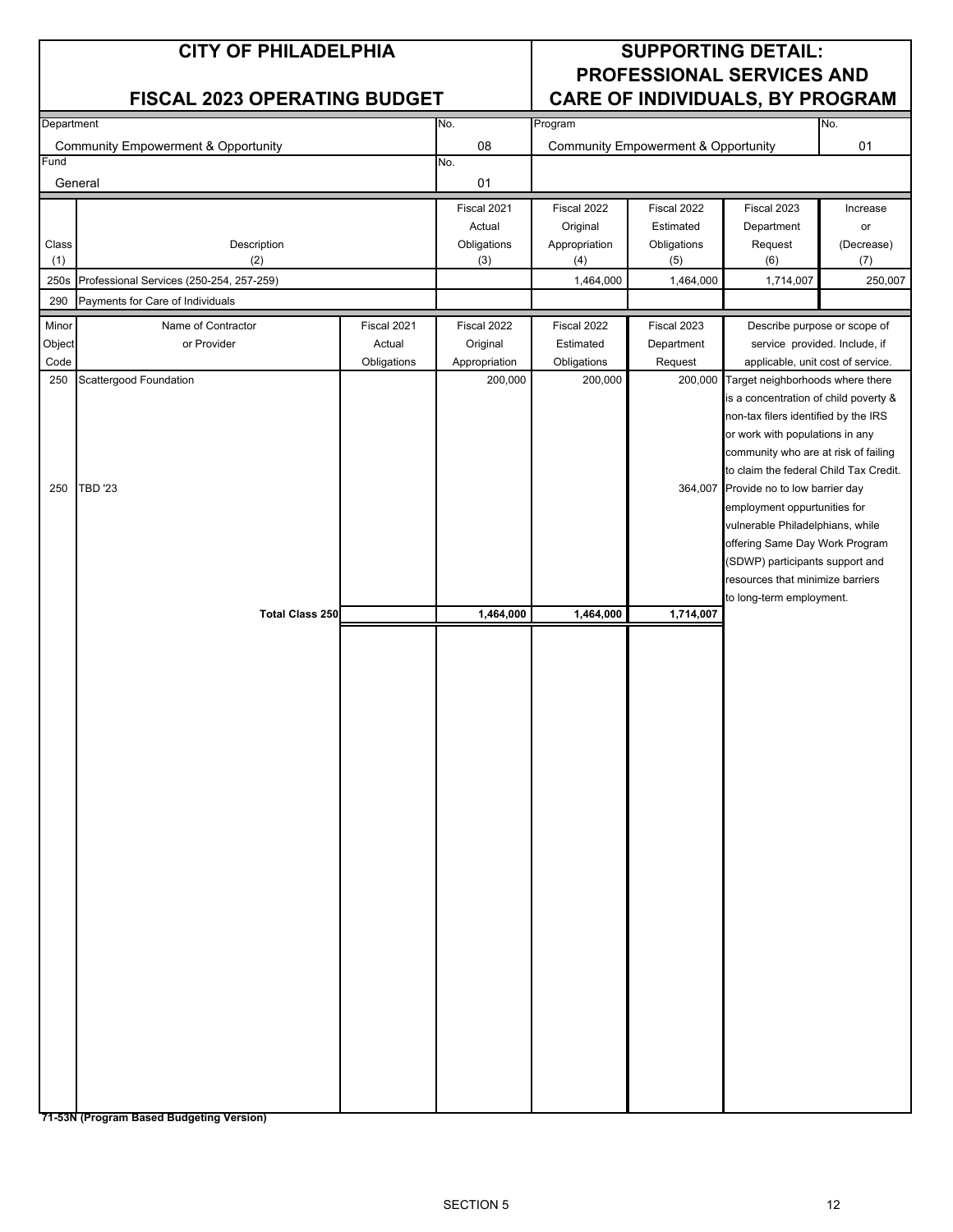#### **CITY OF PHILADELPHIA SUPPORTING DETAIL: PROFESSIONAL SERVICES AND FISCAL 2023 OPERATING BUDGET CARE OF INDIVIDUALS, BY PROGRAM**

| Department |                                                |             | No.           | Program       |                                                |                                        | No.                           |
|------------|------------------------------------------------|-------------|---------------|---------------|------------------------------------------------|----------------------------------------|-------------------------------|
|            | <b>Community Empowerment &amp; Opportunity</b> |             | 08            |               | <b>Community Empowerment &amp; Opportunity</b> |                                        | 01                            |
| Fund       |                                                |             | No.           |               |                                                |                                        |                               |
|            | General                                        |             | $01$          |               |                                                |                                        |                               |
|            |                                                |             | Fiscal 2021   | Fiscal 2022   | Fiscal 2022                                    | Fiscal 2023                            | Increase                      |
|            |                                                |             | Actual        | Original      | Estimated                                      | Department                             | or                            |
| Class      | Description                                    |             | Obligations   | Appropriation | Obligations                                    | Request                                | (Decrease)                    |
| (1)        | (2)                                            |             | (3)           | (4)           | (5)                                            | (6)                                    | (7)                           |
| 250s       | Professional Services (250-254, 257-259)       |             |               | 1,464,000     | 1,464,000                                      | 1,714,007                              | 250,007                       |
| 290        | Payments for Care of Individuals               |             |               |               |                                                |                                        |                               |
| Minor      | Name of Contractor                             | Fiscal 2021 | Fiscal 2022   | Fiscal 2022   | Fiscal 2023                                    |                                        | Describe purpose or scope of  |
| Object     | or Provider                                    | Actual      | Original      | Estimated     | Department                                     |                                        | service provided. Include, if |
| Code       |                                                | Obligations | Appropriation | Obligations   | Request                                        | applicable, unit cost of service.      |                               |
| 250        | Scattergood Foundation                         |             | 200,000       | 200,000       | 200,000                                        | Target neighborhoods where there       |                               |
|            |                                                |             |               |               |                                                | is a concentration of child poverty &  |                               |
|            |                                                |             |               |               |                                                | non-tax filers identified by the IRS   |                               |
|            |                                                |             |               |               |                                                | or work with populations in any        |                               |
|            |                                                |             |               |               |                                                | community who are at risk of failing   |                               |
|            |                                                |             |               |               |                                                | to claim the federal Child Tax Credit. |                               |
| 250        | <b>TBD '23</b>                                 |             |               |               |                                                | 364,007 Provide no to low barrier day  |                               |
|            |                                                |             |               |               |                                                | employment oppurtunities for           |                               |
|            |                                                |             |               |               |                                                | vulnerable Philadelphians, while       |                               |
|            |                                                |             |               |               |                                                | offering Same Day Work Program         |                               |
|            |                                                |             |               |               |                                                | (SDWP) participants support and        |                               |
|            |                                                |             |               |               |                                                | resources that minimize barriers       |                               |
|            | Total Class 250                                |             |               |               |                                                | to long-term employment.               |                               |
|            |                                                |             | 1,464,000     | 1,464,000     | 1,714,007                                      |                                        |                               |
|            |                                                |             |               |               |                                                |                                        |                               |
|            |                                                |             |               |               |                                                |                                        |                               |
|            |                                                |             |               |               |                                                |                                        |                               |
|            |                                                |             |               |               |                                                |                                        |                               |
|            |                                                |             |               |               |                                                |                                        |                               |
|            |                                                |             |               |               |                                                |                                        |                               |
|            |                                                |             |               |               |                                                |                                        |                               |
|            |                                                |             |               |               |                                                |                                        |                               |
|            |                                                |             |               |               |                                                |                                        |                               |
|            |                                                |             |               |               |                                                |                                        |                               |
|            |                                                |             |               |               |                                                |                                        |                               |
|            |                                                |             |               |               |                                                |                                        |                               |
|            |                                                |             |               |               |                                                |                                        |                               |
|            |                                                |             |               |               |                                                |                                        |                               |
|            |                                                |             |               |               |                                                |                                        |                               |
|            |                                                |             |               |               |                                                |                                        |                               |
|            |                                                |             |               |               |                                                |                                        |                               |
|            |                                                |             |               |               |                                                |                                        |                               |
|            |                                                |             |               |               |                                                |                                        |                               |
|            |                                                |             |               |               |                                                |                                        |                               |
|            |                                                |             |               |               |                                                |                                        |                               |
|            |                                                |             |               |               |                                                |                                        |                               |
|            |                                                |             |               |               |                                                |                                        |                               |
|            |                                                |             |               |               |                                                |                                        |                               |
|            |                                                |             |               |               |                                                |                                        |                               |
|            |                                                |             |               |               |                                                |                                        |                               |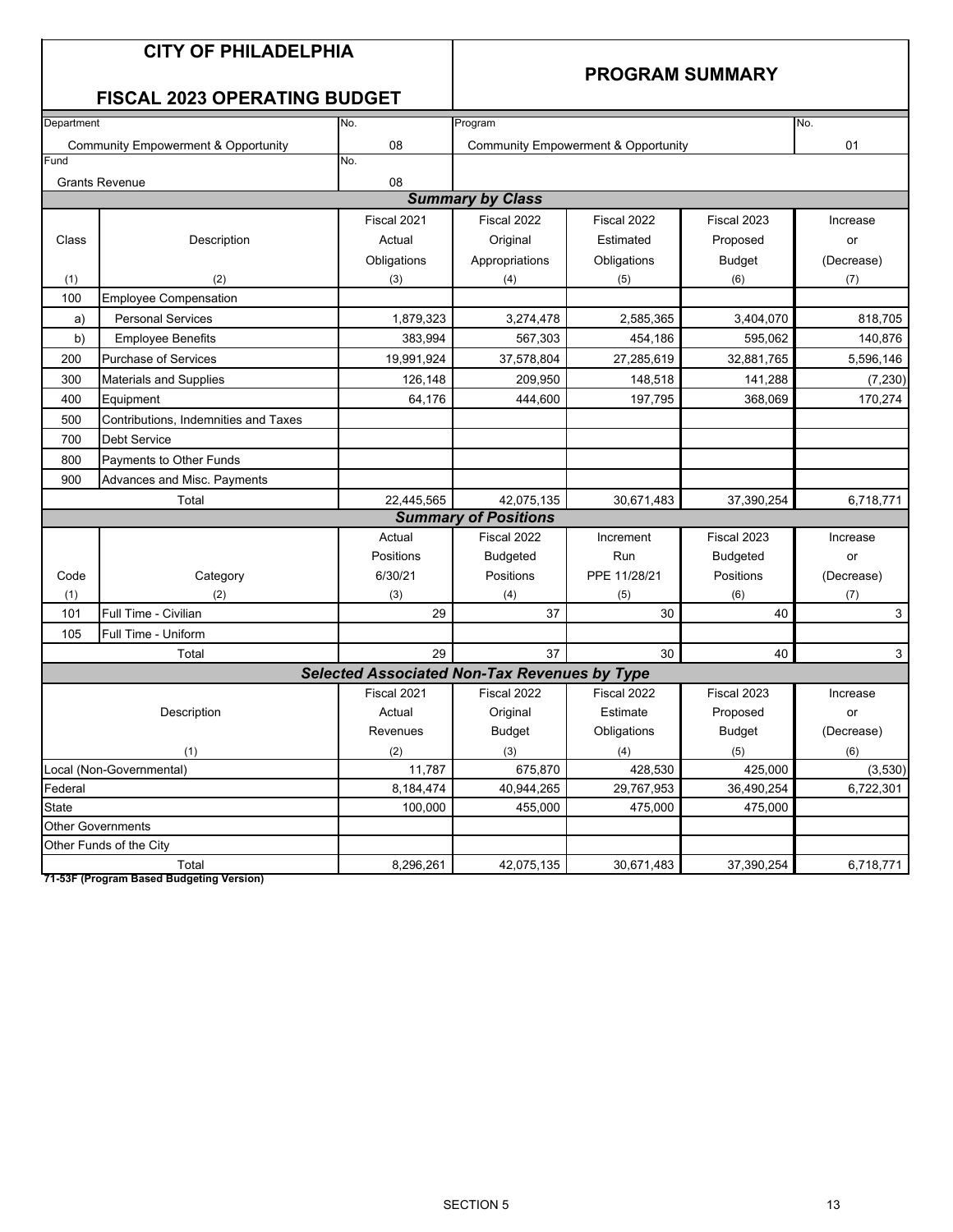#### **PROGRAM SUMMARY**

#### **FISCAL 2023 OPERATING BUDGET**

| Department                     |                                      | No.                                                 | Program                     |                                     |                 | No.          |
|--------------------------------|--------------------------------------|-----------------------------------------------------|-----------------------------|-------------------------------------|-----------------|--------------|
|                                | Community Empowerment & Opportunity  | 08                                                  |                             | Community Empowerment & Opportunity |                 | 01           |
| Fund                           |                                      | No.                                                 |                             |                                     |                 |              |
|                                | <b>Grants Revenue</b>                | 08                                                  |                             |                                     |                 |              |
|                                |                                      |                                                     | <b>Summary by Class</b>     |                                     |                 |              |
|                                |                                      | Fiscal 2021                                         | Fiscal 2022                 | Fiscal 2022                         | Fiscal 2023     | Increase     |
| Class                          | Description                          | Actual                                              | Original                    | Estimated                           | Proposed        | or           |
|                                |                                      | Obligations                                         | Appropriations              | Obligations                         | <b>Budget</b>   | (Decrease)   |
| (1)                            | (2)                                  | (3)                                                 | (4)                         | (5)                                 | (6)             | (7)          |
| 100                            | <b>Employee Compensation</b>         |                                                     |                             |                                     |                 |              |
| a)                             | <b>Personal Services</b>             | 1,879,323                                           | 3,274,478                   | 2,585,365                           | 3,404,070       | 818,705      |
| b)                             | <b>Employee Benefits</b>             | 383,994                                             | 567,303                     | 454,186                             | 595,062         | 140,876      |
| 200                            | <b>Purchase of Services</b>          | 19,991,924                                          | 37,578,804                  | 27,285,619                          | 32,881,765      | 5,596,146    |
| 300                            | <b>Materials and Supplies</b>        | 126,148                                             | 209,950                     | 148,518                             | 141,288         | (7, 230)     |
| 400                            | Equipment                            | 64,176                                              | 444,600                     | 197,795                             | 368,069         | 170,274      |
| 500                            | Contributions, Indemnities and Taxes |                                                     |                             |                                     |                 |              |
| 700                            | <b>Debt Service</b>                  |                                                     |                             |                                     |                 |              |
| 800<br>Payments to Other Funds |                                      |                                                     |                             |                                     |                 |              |
| 900                            | Advances and Misc. Payments          |                                                     |                             |                                     |                 |              |
|                                | Total                                | 22,445,565                                          | 42,075,135                  | 30,671,483                          | 37,390,254      | 6,718,771    |
|                                |                                      |                                                     | <b>Summary of Positions</b> |                                     |                 |              |
|                                |                                      | Actual                                              | Fiscal 2022                 | Increment                           | Fiscal 2023     | Increase     |
|                                |                                      | Positions                                           | <b>Budgeted</b>             | <b>Run</b>                          | <b>Budgeted</b> | or           |
| Code                           | Category                             | 6/30/21                                             | Positions                   | PPE 11/28/21                        | Positions       | (Decrease)   |
| (1)                            | (2)                                  | (3)                                                 | (4)                         | (5)                                 | (6)             | (7)          |
| 101                            | Full Time - Civilian                 | 29                                                  | 37                          | 30                                  | 40              | $\mathbf{3}$ |
| 105                            | Full Time - Uniform                  |                                                     |                             |                                     |                 |              |
|                                | Total                                | 29                                                  | 37                          | 30                                  | 40              | 3            |
|                                |                                      | <b>Selected Associated Non-Tax Revenues by Type</b> |                             |                                     |                 |              |
|                                |                                      | Fiscal 2021                                         | Fiscal 2022                 | Fiscal 2022                         | Fiscal 2023     | Increase     |
|                                | Description                          | Actual                                              | Original                    | Estimate                            | Proposed        | or           |
|                                |                                      | Revenues                                            | <b>Budget</b>               | Obligations                         | <b>Budget</b>   | (Decrease)   |
|                                | (1)                                  | (2)                                                 | (3)                         | (4)                                 | (5)             | (6)          |
|                                | Local (Non-Governmental)             | 11,787                                              | 675,870                     | 428,530                             | 425,000         | (3,530)      |
| Federal                        |                                      | 8,184,474                                           | 40,944,265                  | 29,767,953                          | 36,490,254      | 6,722,301    |
| <b>State</b>                   |                                      | 100,000                                             | 455,000                     | 475,000                             | 475,000         |              |
|                                | <b>Other Governments</b>             |                                                     |                             |                                     |                 |              |
|                                | Other Funds of the City              |                                                     |                             |                                     |                 |              |
|                                | Total                                | 8,296,261                                           | 42,075,135                  | 30.671.483                          | 37,390,254      | 6,718,771    |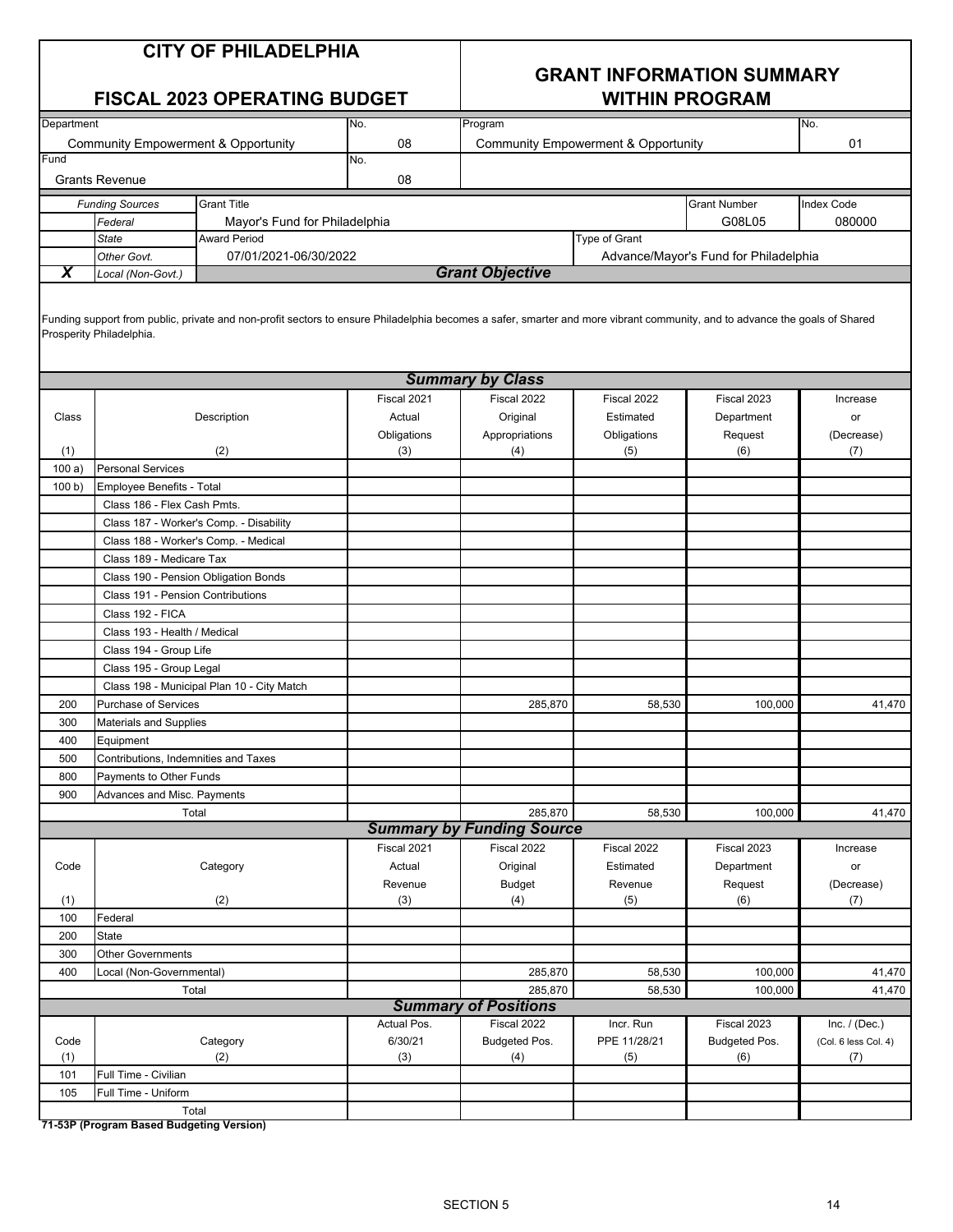### **GRANT INFORMATION SUMMARY**

| Department<br>Program<br>No.<br>No.<br><b>Community Empowerment &amp; Opportunity</b><br>08<br><b>Community Empowerment &amp; Opportunity</b><br>01<br>Fund<br>No.<br><b>Grants Revenue</b><br>08<br><b>Grant Title</b><br><b>Grant Number</b><br>Index Code<br><b>Funding Sources</b><br>G08L05<br>080000<br>Federal<br>Mayor's Fund for Philadelphia<br>Type of Grant<br><b>State</b><br><b>Award Period</b><br>07/01/2021-06/30/2022<br>Advance/Mayor's Fund for Philadelphia<br>Other Govt.<br><b>Grant Objective</b><br>$\overline{\mathsf{x}}$<br>Local (Non-Govt.)<br>Funding support from public, private and non-profit sectors to ensure Philadelphia becomes a safer, smarter and more vibrant community, and to advance the goals of Shared<br>Prosperity Philadelphia.<br><b>Summary by Class</b><br>Fiscal 2022<br>Fiscal 2023<br>Fiscal 2021<br>Fiscal 2022<br>Increase<br>Description<br>Actual<br>Original<br>Estimated<br>Department<br>Class<br>or<br>Obligations<br>Appropriations<br>Request<br>Obligations<br>(Decrease)<br>(1)<br>(2)<br>(3)<br>(6)<br>(4)<br>(5)<br>(7)<br><b>Personal Services</b><br>100a)<br>100 b)<br>Employee Benefits - Total<br>Class 186 - Flex Cash Pmts.<br>Class 187 - Worker's Comp. - Disability<br>Class 188 - Worker's Comp. - Medical<br>Class 189 - Medicare Tax<br>Class 190 - Pension Obligation Bonds<br>Class 191 - Pension Contributions<br>Class 192 - FICA<br>Class 193 - Health / Medical<br>Class 194 - Group Life<br>Class 195 - Group Legal<br>Class 198 - Municipal Plan 10 - City Match<br>200<br><b>Purchase of Services</b><br>58,530<br>41,470<br>285,870<br>100,000<br>300<br>Materials and Supplies<br>400<br>Equipment<br>500<br>Contributions, Indemnities and Taxes<br>800<br>Payments to Other Funds<br>900<br>Advances and Misc. Payments<br>285,870<br>Total<br>58,530<br>100,000<br>41,470<br><b>Summary by Funding Source</b><br>Fiscal 2021<br>Fiscal 2022<br>Fiscal 2022<br>Fiscal 2023<br>Increase<br>Actual<br>Original<br>Code<br>Estimated<br>Department<br>or<br>Category<br>Revenue<br><b>Budget</b><br>Revenue<br>Request<br>(Decrease)<br>(2)<br>(1)<br>(3)<br>(4)<br>(5)<br>(6)<br>(7)<br>Federal<br>100<br>200<br><b>State</b><br>300<br><b>Other Governments</b><br>285,870<br>400<br>58,530<br>100,000<br>41,470<br>Local (Non-Governmental)<br>285,870<br>58,530<br>100,000<br>41,470<br>Total<br><b>Summary of Positions</b><br>Inc. $/$ (Dec.)<br>Actual Pos.<br>Fiscal 2022<br>Incr. Run<br>Fiscal 2023<br>6/30/21<br>Budgeted Pos.<br>PPE 11/28/21<br>Budgeted Pos.<br>Code<br>Category<br>(Col. 6 less Col. 4)<br>(3)<br>(2)<br>(1)<br>(4)<br>(5)<br>(6)<br>(7)<br>Full Time - Civilian<br>101<br>105<br>Full Time - Uniform<br>Total |  | <b>FISCAL 2023 OPERATING BUDGET</b> |  | <b>WITHIN PROGRAM</b> |  |  |  |  |  |  |  |
|----------------------------------------------------------------------------------------------------------------------------------------------------------------------------------------------------------------------------------------------------------------------------------------------------------------------------------------------------------------------------------------------------------------------------------------------------------------------------------------------------------------------------------------------------------------------------------------------------------------------------------------------------------------------------------------------------------------------------------------------------------------------------------------------------------------------------------------------------------------------------------------------------------------------------------------------------------------------------------------------------------------------------------------------------------------------------------------------------------------------------------------------------------------------------------------------------------------------------------------------------------------------------------------------------------------------------------------------------------------------------------------------------------------------------------------------------------------------------------------------------------------------------------------------------------------------------------------------------------------------------------------------------------------------------------------------------------------------------------------------------------------------------------------------------------------------------------------------------------------------------------------------------------------------------------------------------------------------------------------------------------------------------------------------------------------------------------------------------------------------------------------------------------------------------------------------------------------------------------------------------------------------------------------------------------------------------------------------------------------------------------------------------------------------------------------------------------------------------------------------------------------------------------------------------------------------------------------------------------------------------------------------------------------------------------------------------------------------------------------------|--|-------------------------------------|--|-----------------------|--|--|--|--|--|--|--|
|                                                                                                                                                                                                                                                                                                                                                                                                                                                                                                                                                                                                                                                                                                                                                                                                                                                                                                                                                                                                                                                                                                                                                                                                                                                                                                                                                                                                                                                                                                                                                                                                                                                                                                                                                                                                                                                                                                                                                                                                                                                                                                                                                                                                                                                                                                                                                                                                                                                                                                                                                                                                                                                                                                                                              |  |                                     |  |                       |  |  |  |  |  |  |  |
|                                                                                                                                                                                                                                                                                                                                                                                                                                                                                                                                                                                                                                                                                                                                                                                                                                                                                                                                                                                                                                                                                                                                                                                                                                                                                                                                                                                                                                                                                                                                                                                                                                                                                                                                                                                                                                                                                                                                                                                                                                                                                                                                                                                                                                                                                                                                                                                                                                                                                                                                                                                                                                                                                                                                              |  |                                     |  |                       |  |  |  |  |  |  |  |
|                                                                                                                                                                                                                                                                                                                                                                                                                                                                                                                                                                                                                                                                                                                                                                                                                                                                                                                                                                                                                                                                                                                                                                                                                                                                                                                                                                                                                                                                                                                                                                                                                                                                                                                                                                                                                                                                                                                                                                                                                                                                                                                                                                                                                                                                                                                                                                                                                                                                                                                                                                                                                                                                                                                                              |  |                                     |  |                       |  |  |  |  |  |  |  |
|                                                                                                                                                                                                                                                                                                                                                                                                                                                                                                                                                                                                                                                                                                                                                                                                                                                                                                                                                                                                                                                                                                                                                                                                                                                                                                                                                                                                                                                                                                                                                                                                                                                                                                                                                                                                                                                                                                                                                                                                                                                                                                                                                                                                                                                                                                                                                                                                                                                                                                                                                                                                                                                                                                                                              |  |                                     |  |                       |  |  |  |  |  |  |  |
|                                                                                                                                                                                                                                                                                                                                                                                                                                                                                                                                                                                                                                                                                                                                                                                                                                                                                                                                                                                                                                                                                                                                                                                                                                                                                                                                                                                                                                                                                                                                                                                                                                                                                                                                                                                                                                                                                                                                                                                                                                                                                                                                                                                                                                                                                                                                                                                                                                                                                                                                                                                                                                                                                                                                              |  |                                     |  |                       |  |  |  |  |  |  |  |
|                                                                                                                                                                                                                                                                                                                                                                                                                                                                                                                                                                                                                                                                                                                                                                                                                                                                                                                                                                                                                                                                                                                                                                                                                                                                                                                                                                                                                                                                                                                                                                                                                                                                                                                                                                                                                                                                                                                                                                                                                                                                                                                                                                                                                                                                                                                                                                                                                                                                                                                                                                                                                                                                                                                                              |  |                                     |  |                       |  |  |  |  |  |  |  |
|                                                                                                                                                                                                                                                                                                                                                                                                                                                                                                                                                                                                                                                                                                                                                                                                                                                                                                                                                                                                                                                                                                                                                                                                                                                                                                                                                                                                                                                                                                                                                                                                                                                                                                                                                                                                                                                                                                                                                                                                                                                                                                                                                                                                                                                                                                                                                                                                                                                                                                                                                                                                                                                                                                                                              |  |                                     |  |                       |  |  |  |  |  |  |  |
|                                                                                                                                                                                                                                                                                                                                                                                                                                                                                                                                                                                                                                                                                                                                                                                                                                                                                                                                                                                                                                                                                                                                                                                                                                                                                                                                                                                                                                                                                                                                                                                                                                                                                                                                                                                                                                                                                                                                                                                                                                                                                                                                                                                                                                                                                                                                                                                                                                                                                                                                                                                                                                                                                                                                              |  |                                     |  |                       |  |  |  |  |  |  |  |
|                                                                                                                                                                                                                                                                                                                                                                                                                                                                                                                                                                                                                                                                                                                                                                                                                                                                                                                                                                                                                                                                                                                                                                                                                                                                                                                                                                                                                                                                                                                                                                                                                                                                                                                                                                                                                                                                                                                                                                                                                                                                                                                                                                                                                                                                                                                                                                                                                                                                                                                                                                                                                                                                                                                                              |  |                                     |  |                       |  |  |  |  |  |  |  |
|                                                                                                                                                                                                                                                                                                                                                                                                                                                                                                                                                                                                                                                                                                                                                                                                                                                                                                                                                                                                                                                                                                                                                                                                                                                                                                                                                                                                                                                                                                                                                                                                                                                                                                                                                                                                                                                                                                                                                                                                                                                                                                                                                                                                                                                                                                                                                                                                                                                                                                                                                                                                                                                                                                                                              |  |                                     |  |                       |  |  |  |  |  |  |  |
|                                                                                                                                                                                                                                                                                                                                                                                                                                                                                                                                                                                                                                                                                                                                                                                                                                                                                                                                                                                                                                                                                                                                                                                                                                                                                                                                                                                                                                                                                                                                                                                                                                                                                                                                                                                                                                                                                                                                                                                                                                                                                                                                                                                                                                                                                                                                                                                                                                                                                                                                                                                                                                                                                                                                              |  |                                     |  |                       |  |  |  |  |  |  |  |
|                                                                                                                                                                                                                                                                                                                                                                                                                                                                                                                                                                                                                                                                                                                                                                                                                                                                                                                                                                                                                                                                                                                                                                                                                                                                                                                                                                                                                                                                                                                                                                                                                                                                                                                                                                                                                                                                                                                                                                                                                                                                                                                                                                                                                                                                                                                                                                                                                                                                                                                                                                                                                                                                                                                                              |  |                                     |  |                       |  |  |  |  |  |  |  |
|                                                                                                                                                                                                                                                                                                                                                                                                                                                                                                                                                                                                                                                                                                                                                                                                                                                                                                                                                                                                                                                                                                                                                                                                                                                                                                                                                                                                                                                                                                                                                                                                                                                                                                                                                                                                                                                                                                                                                                                                                                                                                                                                                                                                                                                                                                                                                                                                                                                                                                                                                                                                                                                                                                                                              |  |                                     |  |                       |  |  |  |  |  |  |  |
|                                                                                                                                                                                                                                                                                                                                                                                                                                                                                                                                                                                                                                                                                                                                                                                                                                                                                                                                                                                                                                                                                                                                                                                                                                                                                                                                                                                                                                                                                                                                                                                                                                                                                                                                                                                                                                                                                                                                                                                                                                                                                                                                                                                                                                                                                                                                                                                                                                                                                                                                                                                                                                                                                                                                              |  |                                     |  |                       |  |  |  |  |  |  |  |
|                                                                                                                                                                                                                                                                                                                                                                                                                                                                                                                                                                                                                                                                                                                                                                                                                                                                                                                                                                                                                                                                                                                                                                                                                                                                                                                                                                                                                                                                                                                                                                                                                                                                                                                                                                                                                                                                                                                                                                                                                                                                                                                                                                                                                                                                                                                                                                                                                                                                                                                                                                                                                                                                                                                                              |  |                                     |  |                       |  |  |  |  |  |  |  |
|                                                                                                                                                                                                                                                                                                                                                                                                                                                                                                                                                                                                                                                                                                                                                                                                                                                                                                                                                                                                                                                                                                                                                                                                                                                                                                                                                                                                                                                                                                                                                                                                                                                                                                                                                                                                                                                                                                                                                                                                                                                                                                                                                                                                                                                                                                                                                                                                                                                                                                                                                                                                                                                                                                                                              |  |                                     |  |                       |  |  |  |  |  |  |  |
|                                                                                                                                                                                                                                                                                                                                                                                                                                                                                                                                                                                                                                                                                                                                                                                                                                                                                                                                                                                                                                                                                                                                                                                                                                                                                                                                                                                                                                                                                                                                                                                                                                                                                                                                                                                                                                                                                                                                                                                                                                                                                                                                                                                                                                                                                                                                                                                                                                                                                                                                                                                                                                                                                                                                              |  |                                     |  |                       |  |  |  |  |  |  |  |
|                                                                                                                                                                                                                                                                                                                                                                                                                                                                                                                                                                                                                                                                                                                                                                                                                                                                                                                                                                                                                                                                                                                                                                                                                                                                                                                                                                                                                                                                                                                                                                                                                                                                                                                                                                                                                                                                                                                                                                                                                                                                                                                                                                                                                                                                                                                                                                                                                                                                                                                                                                                                                                                                                                                                              |  |                                     |  |                       |  |  |  |  |  |  |  |
|                                                                                                                                                                                                                                                                                                                                                                                                                                                                                                                                                                                                                                                                                                                                                                                                                                                                                                                                                                                                                                                                                                                                                                                                                                                                                                                                                                                                                                                                                                                                                                                                                                                                                                                                                                                                                                                                                                                                                                                                                                                                                                                                                                                                                                                                                                                                                                                                                                                                                                                                                                                                                                                                                                                                              |  |                                     |  |                       |  |  |  |  |  |  |  |
|                                                                                                                                                                                                                                                                                                                                                                                                                                                                                                                                                                                                                                                                                                                                                                                                                                                                                                                                                                                                                                                                                                                                                                                                                                                                                                                                                                                                                                                                                                                                                                                                                                                                                                                                                                                                                                                                                                                                                                                                                                                                                                                                                                                                                                                                                                                                                                                                                                                                                                                                                                                                                                                                                                                                              |  |                                     |  |                       |  |  |  |  |  |  |  |
|                                                                                                                                                                                                                                                                                                                                                                                                                                                                                                                                                                                                                                                                                                                                                                                                                                                                                                                                                                                                                                                                                                                                                                                                                                                                                                                                                                                                                                                                                                                                                                                                                                                                                                                                                                                                                                                                                                                                                                                                                                                                                                                                                                                                                                                                                                                                                                                                                                                                                                                                                                                                                                                                                                                                              |  |                                     |  |                       |  |  |  |  |  |  |  |
|                                                                                                                                                                                                                                                                                                                                                                                                                                                                                                                                                                                                                                                                                                                                                                                                                                                                                                                                                                                                                                                                                                                                                                                                                                                                                                                                                                                                                                                                                                                                                                                                                                                                                                                                                                                                                                                                                                                                                                                                                                                                                                                                                                                                                                                                                                                                                                                                                                                                                                                                                                                                                                                                                                                                              |  |                                     |  |                       |  |  |  |  |  |  |  |
|                                                                                                                                                                                                                                                                                                                                                                                                                                                                                                                                                                                                                                                                                                                                                                                                                                                                                                                                                                                                                                                                                                                                                                                                                                                                                                                                                                                                                                                                                                                                                                                                                                                                                                                                                                                                                                                                                                                                                                                                                                                                                                                                                                                                                                                                                                                                                                                                                                                                                                                                                                                                                                                                                                                                              |  |                                     |  |                       |  |  |  |  |  |  |  |
|                                                                                                                                                                                                                                                                                                                                                                                                                                                                                                                                                                                                                                                                                                                                                                                                                                                                                                                                                                                                                                                                                                                                                                                                                                                                                                                                                                                                                                                                                                                                                                                                                                                                                                                                                                                                                                                                                                                                                                                                                                                                                                                                                                                                                                                                                                                                                                                                                                                                                                                                                                                                                                                                                                                                              |  |                                     |  |                       |  |  |  |  |  |  |  |
|                                                                                                                                                                                                                                                                                                                                                                                                                                                                                                                                                                                                                                                                                                                                                                                                                                                                                                                                                                                                                                                                                                                                                                                                                                                                                                                                                                                                                                                                                                                                                                                                                                                                                                                                                                                                                                                                                                                                                                                                                                                                                                                                                                                                                                                                                                                                                                                                                                                                                                                                                                                                                                                                                                                                              |  |                                     |  |                       |  |  |  |  |  |  |  |
|                                                                                                                                                                                                                                                                                                                                                                                                                                                                                                                                                                                                                                                                                                                                                                                                                                                                                                                                                                                                                                                                                                                                                                                                                                                                                                                                                                                                                                                                                                                                                                                                                                                                                                                                                                                                                                                                                                                                                                                                                                                                                                                                                                                                                                                                                                                                                                                                                                                                                                                                                                                                                                                                                                                                              |  |                                     |  |                       |  |  |  |  |  |  |  |
|                                                                                                                                                                                                                                                                                                                                                                                                                                                                                                                                                                                                                                                                                                                                                                                                                                                                                                                                                                                                                                                                                                                                                                                                                                                                                                                                                                                                                                                                                                                                                                                                                                                                                                                                                                                                                                                                                                                                                                                                                                                                                                                                                                                                                                                                                                                                                                                                                                                                                                                                                                                                                                                                                                                                              |  |                                     |  |                       |  |  |  |  |  |  |  |
|                                                                                                                                                                                                                                                                                                                                                                                                                                                                                                                                                                                                                                                                                                                                                                                                                                                                                                                                                                                                                                                                                                                                                                                                                                                                                                                                                                                                                                                                                                                                                                                                                                                                                                                                                                                                                                                                                                                                                                                                                                                                                                                                                                                                                                                                                                                                                                                                                                                                                                                                                                                                                                                                                                                                              |  |                                     |  |                       |  |  |  |  |  |  |  |
|                                                                                                                                                                                                                                                                                                                                                                                                                                                                                                                                                                                                                                                                                                                                                                                                                                                                                                                                                                                                                                                                                                                                                                                                                                                                                                                                                                                                                                                                                                                                                                                                                                                                                                                                                                                                                                                                                                                                                                                                                                                                                                                                                                                                                                                                                                                                                                                                                                                                                                                                                                                                                                                                                                                                              |  |                                     |  |                       |  |  |  |  |  |  |  |
|                                                                                                                                                                                                                                                                                                                                                                                                                                                                                                                                                                                                                                                                                                                                                                                                                                                                                                                                                                                                                                                                                                                                                                                                                                                                                                                                                                                                                                                                                                                                                                                                                                                                                                                                                                                                                                                                                                                                                                                                                                                                                                                                                                                                                                                                                                                                                                                                                                                                                                                                                                                                                                                                                                                                              |  |                                     |  |                       |  |  |  |  |  |  |  |
|                                                                                                                                                                                                                                                                                                                                                                                                                                                                                                                                                                                                                                                                                                                                                                                                                                                                                                                                                                                                                                                                                                                                                                                                                                                                                                                                                                                                                                                                                                                                                                                                                                                                                                                                                                                                                                                                                                                                                                                                                                                                                                                                                                                                                                                                                                                                                                                                                                                                                                                                                                                                                                                                                                                                              |  |                                     |  |                       |  |  |  |  |  |  |  |
|                                                                                                                                                                                                                                                                                                                                                                                                                                                                                                                                                                                                                                                                                                                                                                                                                                                                                                                                                                                                                                                                                                                                                                                                                                                                                                                                                                                                                                                                                                                                                                                                                                                                                                                                                                                                                                                                                                                                                                                                                                                                                                                                                                                                                                                                                                                                                                                                                                                                                                                                                                                                                                                                                                                                              |  |                                     |  |                       |  |  |  |  |  |  |  |
|                                                                                                                                                                                                                                                                                                                                                                                                                                                                                                                                                                                                                                                                                                                                                                                                                                                                                                                                                                                                                                                                                                                                                                                                                                                                                                                                                                                                                                                                                                                                                                                                                                                                                                                                                                                                                                                                                                                                                                                                                                                                                                                                                                                                                                                                                                                                                                                                                                                                                                                                                                                                                                                                                                                                              |  |                                     |  |                       |  |  |  |  |  |  |  |
|                                                                                                                                                                                                                                                                                                                                                                                                                                                                                                                                                                                                                                                                                                                                                                                                                                                                                                                                                                                                                                                                                                                                                                                                                                                                                                                                                                                                                                                                                                                                                                                                                                                                                                                                                                                                                                                                                                                                                                                                                                                                                                                                                                                                                                                                                                                                                                                                                                                                                                                                                                                                                                                                                                                                              |  |                                     |  |                       |  |  |  |  |  |  |  |
|                                                                                                                                                                                                                                                                                                                                                                                                                                                                                                                                                                                                                                                                                                                                                                                                                                                                                                                                                                                                                                                                                                                                                                                                                                                                                                                                                                                                                                                                                                                                                                                                                                                                                                                                                                                                                                                                                                                                                                                                                                                                                                                                                                                                                                                                                                                                                                                                                                                                                                                                                                                                                                                                                                                                              |  |                                     |  |                       |  |  |  |  |  |  |  |
|                                                                                                                                                                                                                                                                                                                                                                                                                                                                                                                                                                                                                                                                                                                                                                                                                                                                                                                                                                                                                                                                                                                                                                                                                                                                                                                                                                                                                                                                                                                                                                                                                                                                                                                                                                                                                                                                                                                                                                                                                                                                                                                                                                                                                                                                                                                                                                                                                                                                                                                                                                                                                                                                                                                                              |  |                                     |  |                       |  |  |  |  |  |  |  |
|                                                                                                                                                                                                                                                                                                                                                                                                                                                                                                                                                                                                                                                                                                                                                                                                                                                                                                                                                                                                                                                                                                                                                                                                                                                                                                                                                                                                                                                                                                                                                                                                                                                                                                                                                                                                                                                                                                                                                                                                                                                                                                                                                                                                                                                                                                                                                                                                                                                                                                                                                                                                                                                                                                                                              |  |                                     |  |                       |  |  |  |  |  |  |  |
|                                                                                                                                                                                                                                                                                                                                                                                                                                                                                                                                                                                                                                                                                                                                                                                                                                                                                                                                                                                                                                                                                                                                                                                                                                                                                                                                                                                                                                                                                                                                                                                                                                                                                                                                                                                                                                                                                                                                                                                                                                                                                                                                                                                                                                                                                                                                                                                                                                                                                                                                                                                                                                                                                                                                              |  |                                     |  |                       |  |  |  |  |  |  |  |
|                                                                                                                                                                                                                                                                                                                                                                                                                                                                                                                                                                                                                                                                                                                                                                                                                                                                                                                                                                                                                                                                                                                                                                                                                                                                                                                                                                                                                                                                                                                                                                                                                                                                                                                                                                                                                                                                                                                                                                                                                                                                                                                                                                                                                                                                                                                                                                                                                                                                                                                                                                                                                                                                                                                                              |  |                                     |  |                       |  |  |  |  |  |  |  |
|                                                                                                                                                                                                                                                                                                                                                                                                                                                                                                                                                                                                                                                                                                                                                                                                                                                                                                                                                                                                                                                                                                                                                                                                                                                                                                                                                                                                                                                                                                                                                                                                                                                                                                                                                                                                                                                                                                                                                                                                                                                                                                                                                                                                                                                                                                                                                                                                                                                                                                                                                                                                                                                                                                                                              |  |                                     |  |                       |  |  |  |  |  |  |  |
|                                                                                                                                                                                                                                                                                                                                                                                                                                                                                                                                                                                                                                                                                                                                                                                                                                                                                                                                                                                                                                                                                                                                                                                                                                                                                                                                                                                                                                                                                                                                                                                                                                                                                                                                                                                                                                                                                                                                                                                                                                                                                                                                                                                                                                                                                                                                                                                                                                                                                                                                                                                                                                                                                                                                              |  |                                     |  |                       |  |  |  |  |  |  |  |
|                                                                                                                                                                                                                                                                                                                                                                                                                                                                                                                                                                                                                                                                                                                                                                                                                                                                                                                                                                                                                                                                                                                                                                                                                                                                                                                                                                                                                                                                                                                                                                                                                                                                                                                                                                                                                                                                                                                                                                                                                                                                                                                                                                                                                                                                                                                                                                                                                                                                                                                                                                                                                                                                                                                                              |  |                                     |  |                       |  |  |  |  |  |  |  |
|                                                                                                                                                                                                                                                                                                                                                                                                                                                                                                                                                                                                                                                                                                                                                                                                                                                                                                                                                                                                                                                                                                                                                                                                                                                                                                                                                                                                                                                                                                                                                                                                                                                                                                                                                                                                                                                                                                                                                                                                                                                                                                                                                                                                                                                                                                                                                                                                                                                                                                                                                                                                                                                                                                                                              |  |                                     |  |                       |  |  |  |  |  |  |  |
|                                                                                                                                                                                                                                                                                                                                                                                                                                                                                                                                                                                                                                                                                                                                                                                                                                                                                                                                                                                                                                                                                                                                                                                                                                                                                                                                                                                                                                                                                                                                                                                                                                                                                                                                                                                                                                                                                                                                                                                                                                                                                                                                                                                                                                                                                                                                                                                                                                                                                                                                                                                                                                                                                                                                              |  |                                     |  |                       |  |  |  |  |  |  |  |
|                                                                                                                                                                                                                                                                                                                                                                                                                                                                                                                                                                                                                                                                                                                                                                                                                                                                                                                                                                                                                                                                                                                                                                                                                                                                                                                                                                                                                                                                                                                                                                                                                                                                                                                                                                                                                                                                                                                                                                                                                                                                                                                                                                                                                                                                                                                                                                                                                                                                                                                                                                                                                                                                                                                                              |  |                                     |  |                       |  |  |  |  |  |  |  |
|                                                                                                                                                                                                                                                                                                                                                                                                                                                                                                                                                                                                                                                                                                                                                                                                                                                                                                                                                                                                                                                                                                                                                                                                                                                                                                                                                                                                                                                                                                                                                                                                                                                                                                                                                                                                                                                                                                                                                                                                                                                                                                                                                                                                                                                                                                                                                                                                                                                                                                                                                                                                                                                                                                                                              |  |                                     |  |                       |  |  |  |  |  |  |  |
|                                                                                                                                                                                                                                                                                                                                                                                                                                                                                                                                                                                                                                                                                                                                                                                                                                                                                                                                                                                                                                                                                                                                                                                                                                                                                                                                                                                                                                                                                                                                                                                                                                                                                                                                                                                                                                                                                                                                                                                                                                                                                                                                                                                                                                                                                                                                                                                                                                                                                                                                                                                                                                                                                                                                              |  |                                     |  |                       |  |  |  |  |  |  |  |
|                                                                                                                                                                                                                                                                                                                                                                                                                                                                                                                                                                                                                                                                                                                                                                                                                                                                                                                                                                                                                                                                                                                                                                                                                                                                                                                                                                                                                                                                                                                                                                                                                                                                                                                                                                                                                                                                                                                                                                                                                                                                                                                                                                                                                                                                                                                                                                                                                                                                                                                                                                                                                                                                                                                                              |  |                                     |  |                       |  |  |  |  |  |  |  |
|                                                                                                                                                                                                                                                                                                                                                                                                                                                                                                                                                                                                                                                                                                                                                                                                                                                                                                                                                                                                                                                                                                                                                                                                                                                                                                                                                                                                                                                                                                                                                                                                                                                                                                                                                                                                                                                                                                                                                                                                                                                                                                                                                                                                                                                                                                                                                                                                                                                                                                                                                                                                                                                                                                                                              |  |                                     |  |                       |  |  |  |  |  |  |  |
|                                                                                                                                                                                                                                                                                                                                                                                                                                                                                                                                                                                                                                                                                                                                                                                                                                                                                                                                                                                                                                                                                                                                                                                                                                                                                                                                                                                                                                                                                                                                                                                                                                                                                                                                                                                                                                                                                                                                                                                                                                                                                                                                                                                                                                                                                                                                                                                                                                                                                                                                                                                                                                                                                                                                              |  |                                     |  |                       |  |  |  |  |  |  |  |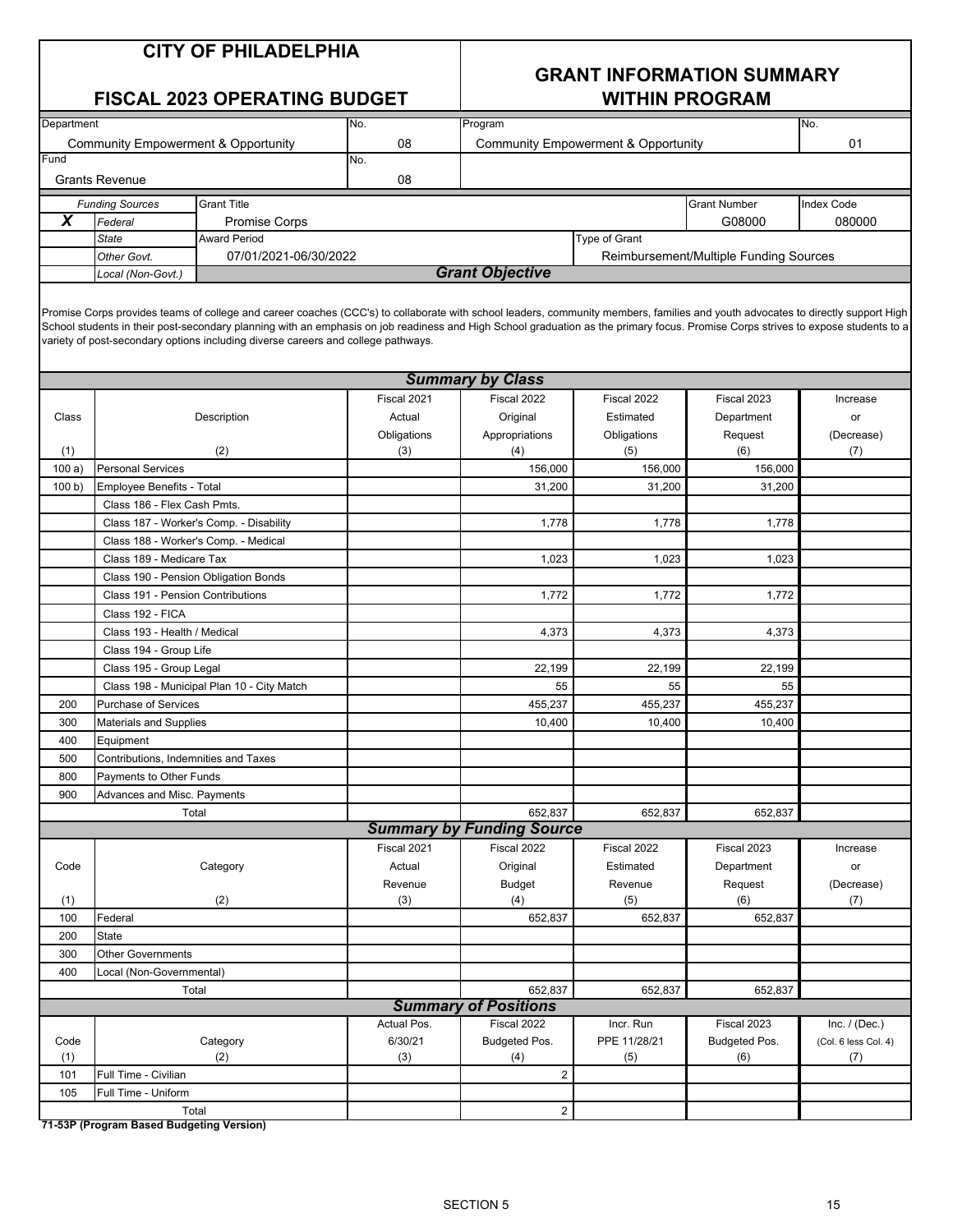| <b>CITY OF PHILADELPHIA</b> |  |
|-----------------------------|--|
|-----------------------------|--|

## **GRANT INFORMATION SUMMARY**

| Department<br>Program<br>No.<br>No.<br><b>Community Empowerment &amp; Opportunity</b><br>08<br><b>Community Empowerment &amp; Opportunity</b><br>01<br>No.<br><b>Grants Revenue</b><br>08<br><b>Grant Title</b><br>Index Code<br><b>Grant Number</b><br><b>Funding Sources</b><br>X<br>G08000<br>080000<br><b>Promise Corps</b><br>Federal<br><b>State</b><br><b>Award Period</b><br>Type of Grant<br>07/01/2021-06/30/2022<br>Other Govt.<br>Reimbursement/Multiple Funding Sources<br><b>Grant Objective</b><br>Local (Non-Govt.)<br>Promise Corps provides teams of college and career coaches (CCC's) to collaborate with school leaders, community members, families and youth advocates to directly support High<br>School students in their post-secondary planning with an emphasis on job readiness and High School graduation as the primary focus. Promise Corps strives to expose students to a<br>variety of post-secondary options including diverse careers and college pathways.<br><b>Summary by Class</b><br>Fiscal 2022<br>Fiscal 2021<br>Fiscal 2022<br>Fiscal 2023<br>Increase<br>Estimated<br>Class<br>Description<br>Actual<br>Original<br>Department<br>or<br>Obligations<br>Appropriations<br>Obligations<br>Request<br>(Decrease)<br>(1)<br>(2)<br>(3)<br>(4)<br>(5)<br>(6)<br>(7)<br><b>Personal Services</b><br>156,000<br>156,000<br>156,000<br>100a)<br>100 b<br>31,200<br>31,200<br><b>Employee Benefits - Total</b><br>31,200<br>Class 186 - Flex Cash Pmts.<br>Class 187 - Worker's Comp. - Disability<br>1,778<br>1,778<br>1,778<br>Class 188 - Worker's Comp. - Medical<br>Class 189 - Medicare Tax<br>1,023<br>1,023<br>1,023<br>Class 190 - Pension Obligation Bonds<br>1,772<br>1,772<br>1,772<br>Class 191 - Pension Contributions<br>Class 192 - FICA<br>Class 193 - Health / Medical<br>4,373<br>4,373<br>4,373<br>Class 194 - Group Life<br>Class 195 - Group Legal<br>22,199<br>22,199<br>22,199<br>55<br>55<br>Class 198 - Municipal Plan 10 - City Match<br>55<br>455,237<br>200<br><b>Purchase of Services</b><br>455,237<br>455,237<br>300<br><b>Materials and Supplies</b><br>10,400<br>10,400<br>10,400<br>400<br>Equipment<br>Contributions, Indemnities and Taxes<br>500<br>800<br>Payments to Other Funds<br>900<br>Advances and Misc. Payments<br>652,837<br>652,837<br>652,837<br>Total<br><b>Summary by Funding Source</b><br>Fiscal 2021<br>Fiscal 2022<br>Fiscal 2022<br>Fiscal 2023<br>Increase<br>Actual<br>Original<br>Estimated<br>Code<br>Category<br>Department<br>or<br>Revenue<br><b>Budget</b><br>Revenue<br>Request<br>(Decrease)<br>(2)<br>(3)<br>(1)<br>(4)<br>(5)<br>(6)<br>(7)<br>652,837<br>652,837<br>652,837<br>100<br>Federal<br>200<br><b>State</b><br>300<br><b>Other Governments</b><br>400<br>Local (Non-Governmental)<br>652,837<br>652,837<br>652,837<br>Total<br><b>Summary of Positions</b><br>Fiscal 2023<br>Inc. $/$ (Dec.)<br>Actual Pos.<br>Fiscal 2022<br>Incr. Run<br>6/30/21<br>Code<br>Category<br>Budgeted Pos.<br>PPE 11/28/21<br>Budgeted Pos.<br>(Col. 6 less Col. 4)<br>(3)<br>(1)<br>(2)<br>(4)<br>(5)<br>(6)<br>(7)<br>Full Time - Civilian<br>$\overline{2}$<br>101<br>105<br>Full Time - Uniform<br>$\overline{2}$<br>Total | <b>FISCAL 2023 OPERATING BUDGET</b> |  |  |  | <b>WITHIN PROGRAM</b> |  |  |  |
|---------------------------------------------------------------------------------------------------------------------------------------------------------------------------------------------------------------------------------------------------------------------------------------------------------------------------------------------------------------------------------------------------------------------------------------------------------------------------------------------------------------------------------------------------------------------------------------------------------------------------------------------------------------------------------------------------------------------------------------------------------------------------------------------------------------------------------------------------------------------------------------------------------------------------------------------------------------------------------------------------------------------------------------------------------------------------------------------------------------------------------------------------------------------------------------------------------------------------------------------------------------------------------------------------------------------------------------------------------------------------------------------------------------------------------------------------------------------------------------------------------------------------------------------------------------------------------------------------------------------------------------------------------------------------------------------------------------------------------------------------------------------------------------------------------------------------------------------------------------------------------------------------------------------------------------------------------------------------------------------------------------------------------------------------------------------------------------------------------------------------------------------------------------------------------------------------------------------------------------------------------------------------------------------------------------------------------------------------------------------------------------------------------------------------------------------------------------------------------------------------------------------------------------------------------------------------------------------------------------------------------------------------------------------------------------------------------------------------------------------------------------------------------------------------------------------------------------------------------------------------------------------------------------------------------------------------------------------------------------------------------------------------------------------------------------------------------------------------------------------------------------------------------------------------------------------------------------------------------|-------------------------------------|--|--|--|-----------------------|--|--|--|
|                                                                                                                                                                                                                                                                                                                                                                                                                                                                                                                                                                                                                                                                                                                                                                                                                                                                                                                                                                                                                                                                                                                                                                                                                                                                                                                                                                                                                                                                                                                                                                                                                                                                                                                                                                                                                                                                                                                                                                                                                                                                                                                                                                                                                                                                                                                                                                                                                                                                                                                                                                                                                                                                                                                                                                                                                                                                                                                                                                                                                                                                                                                                                                                                                                 |                                     |  |  |  |                       |  |  |  |
|                                                                                                                                                                                                                                                                                                                                                                                                                                                                                                                                                                                                                                                                                                                                                                                                                                                                                                                                                                                                                                                                                                                                                                                                                                                                                                                                                                                                                                                                                                                                                                                                                                                                                                                                                                                                                                                                                                                                                                                                                                                                                                                                                                                                                                                                                                                                                                                                                                                                                                                                                                                                                                                                                                                                                                                                                                                                                                                                                                                                                                                                                                                                                                                                                                 |                                     |  |  |  |                       |  |  |  |
|                                                                                                                                                                                                                                                                                                                                                                                                                                                                                                                                                                                                                                                                                                                                                                                                                                                                                                                                                                                                                                                                                                                                                                                                                                                                                                                                                                                                                                                                                                                                                                                                                                                                                                                                                                                                                                                                                                                                                                                                                                                                                                                                                                                                                                                                                                                                                                                                                                                                                                                                                                                                                                                                                                                                                                                                                                                                                                                                                                                                                                                                                                                                                                                                                                 | Fund                                |  |  |  |                       |  |  |  |
|                                                                                                                                                                                                                                                                                                                                                                                                                                                                                                                                                                                                                                                                                                                                                                                                                                                                                                                                                                                                                                                                                                                                                                                                                                                                                                                                                                                                                                                                                                                                                                                                                                                                                                                                                                                                                                                                                                                                                                                                                                                                                                                                                                                                                                                                                                                                                                                                                                                                                                                                                                                                                                                                                                                                                                                                                                                                                                                                                                                                                                                                                                                                                                                                                                 |                                     |  |  |  |                       |  |  |  |
|                                                                                                                                                                                                                                                                                                                                                                                                                                                                                                                                                                                                                                                                                                                                                                                                                                                                                                                                                                                                                                                                                                                                                                                                                                                                                                                                                                                                                                                                                                                                                                                                                                                                                                                                                                                                                                                                                                                                                                                                                                                                                                                                                                                                                                                                                                                                                                                                                                                                                                                                                                                                                                                                                                                                                                                                                                                                                                                                                                                                                                                                                                                                                                                                                                 |                                     |  |  |  |                       |  |  |  |
|                                                                                                                                                                                                                                                                                                                                                                                                                                                                                                                                                                                                                                                                                                                                                                                                                                                                                                                                                                                                                                                                                                                                                                                                                                                                                                                                                                                                                                                                                                                                                                                                                                                                                                                                                                                                                                                                                                                                                                                                                                                                                                                                                                                                                                                                                                                                                                                                                                                                                                                                                                                                                                                                                                                                                                                                                                                                                                                                                                                                                                                                                                                                                                                                                                 |                                     |  |  |  |                       |  |  |  |
|                                                                                                                                                                                                                                                                                                                                                                                                                                                                                                                                                                                                                                                                                                                                                                                                                                                                                                                                                                                                                                                                                                                                                                                                                                                                                                                                                                                                                                                                                                                                                                                                                                                                                                                                                                                                                                                                                                                                                                                                                                                                                                                                                                                                                                                                                                                                                                                                                                                                                                                                                                                                                                                                                                                                                                                                                                                                                                                                                                                                                                                                                                                                                                                                                                 |                                     |  |  |  |                       |  |  |  |
|                                                                                                                                                                                                                                                                                                                                                                                                                                                                                                                                                                                                                                                                                                                                                                                                                                                                                                                                                                                                                                                                                                                                                                                                                                                                                                                                                                                                                                                                                                                                                                                                                                                                                                                                                                                                                                                                                                                                                                                                                                                                                                                                                                                                                                                                                                                                                                                                                                                                                                                                                                                                                                                                                                                                                                                                                                                                                                                                                                                                                                                                                                                                                                                                                                 |                                     |  |  |  |                       |  |  |  |
|                                                                                                                                                                                                                                                                                                                                                                                                                                                                                                                                                                                                                                                                                                                                                                                                                                                                                                                                                                                                                                                                                                                                                                                                                                                                                                                                                                                                                                                                                                                                                                                                                                                                                                                                                                                                                                                                                                                                                                                                                                                                                                                                                                                                                                                                                                                                                                                                                                                                                                                                                                                                                                                                                                                                                                                                                                                                                                                                                                                                                                                                                                                                                                                                                                 |                                     |  |  |  |                       |  |  |  |
|                                                                                                                                                                                                                                                                                                                                                                                                                                                                                                                                                                                                                                                                                                                                                                                                                                                                                                                                                                                                                                                                                                                                                                                                                                                                                                                                                                                                                                                                                                                                                                                                                                                                                                                                                                                                                                                                                                                                                                                                                                                                                                                                                                                                                                                                                                                                                                                                                                                                                                                                                                                                                                                                                                                                                                                                                                                                                                                                                                                                                                                                                                                                                                                                                                 |                                     |  |  |  |                       |  |  |  |
|                                                                                                                                                                                                                                                                                                                                                                                                                                                                                                                                                                                                                                                                                                                                                                                                                                                                                                                                                                                                                                                                                                                                                                                                                                                                                                                                                                                                                                                                                                                                                                                                                                                                                                                                                                                                                                                                                                                                                                                                                                                                                                                                                                                                                                                                                                                                                                                                                                                                                                                                                                                                                                                                                                                                                                                                                                                                                                                                                                                                                                                                                                                                                                                                                                 |                                     |  |  |  |                       |  |  |  |
|                                                                                                                                                                                                                                                                                                                                                                                                                                                                                                                                                                                                                                                                                                                                                                                                                                                                                                                                                                                                                                                                                                                                                                                                                                                                                                                                                                                                                                                                                                                                                                                                                                                                                                                                                                                                                                                                                                                                                                                                                                                                                                                                                                                                                                                                                                                                                                                                                                                                                                                                                                                                                                                                                                                                                                                                                                                                                                                                                                                                                                                                                                                                                                                                                                 |                                     |  |  |  |                       |  |  |  |
|                                                                                                                                                                                                                                                                                                                                                                                                                                                                                                                                                                                                                                                                                                                                                                                                                                                                                                                                                                                                                                                                                                                                                                                                                                                                                                                                                                                                                                                                                                                                                                                                                                                                                                                                                                                                                                                                                                                                                                                                                                                                                                                                                                                                                                                                                                                                                                                                                                                                                                                                                                                                                                                                                                                                                                                                                                                                                                                                                                                                                                                                                                                                                                                                                                 |                                     |  |  |  |                       |  |  |  |
|                                                                                                                                                                                                                                                                                                                                                                                                                                                                                                                                                                                                                                                                                                                                                                                                                                                                                                                                                                                                                                                                                                                                                                                                                                                                                                                                                                                                                                                                                                                                                                                                                                                                                                                                                                                                                                                                                                                                                                                                                                                                                                                                                                                                                                                                                                                                                                                                                                                                                                                                                                                                                                                                                                                                                                                                                                                                                                                                                                                                                                                                                                                                                                                                                                 |                                     |  |  |  |                       |  |  |  |
|                                                                                                                                                                                                                                                                                                                                                                                                                                                                                                                                                                                                                                                                                                                                                                                                                                                                                                                                                                                                                                                                                                                                                                                                                                                                                                                                                                                                                                                                                                                                                                                                                                                                                                                                                                                                                                                                                                                                                                                                                                                                                                                                                                                                                                                                                                                                                                                                                                                                                                                                                                                                                                                                                                                                                                                                                                                                                                                                                                                                                                                                                                                                                                                                                                 |                                     |  |  |  |                       |  |  |  |
|                                                                                                                                                                                                                                                                                                                                                                                                                                                                                                                                                                                                                                                                                                                                                                                                                                                                                                                                                                                                                                                                                                                                                                                                                                                                                                                                                                                                                                                                                                                                                                                                                                                                                                                                                                                                                                                                                                                                                                                                                                                                                                                                                                                                                                                                                                                                                                                                                                                                                                                                                                                                                                                                                                                                                                                                                                                                                                                                                                                                                                                                                                                                                                                                                                 |                                     |  |  |  |                       |  |  |  |
|                                                                                                                                                                                                                                                                                                                                                                                                                                                                                                                                                                                                                                                                                                                                                                                                                                                                                                                                                                                                                                                                                                                                                                                                                                                                                                                                                                                                                                                                                                                                                                                                                                                                                                                                                                                                                                                                                                                                                                                                                                                                                                                                                                                                                                                                                                                                                                                                                                                                                                                                                                                                                                                                                                                                                                                                                                                                                                                                                                                                                                                                                                                                                                                                                                 |                                     |  |  |  |                       |  |  |  |
|                                                                                                                                                                                                                                                                                                                                                                                                                                                                                                                                                                                                                                                                                                                                                                                                                                                                                                                                                                                                                                                                                                                                                                                                                                                                                                                                                                                                                                                                                                                                                                                                                                                                                                                                                                                                                                                                                                                                                                                                                                                                                                                                                                                                                                                                                                                                                                                                                                                                                                                                                                                                                                                                                                                                                                                                                                                                                                                                                                                                                                                                                                                                                                                                                                 |                                     |  |  |  |                       |  |  |  |
|                                                                                                                                                                                                                                                                                                                                                                                                                                                                                                                                                                                                                                                                                                                                                                                                                                                                                                                                                                                                                                                                                                                                                                                                                                                                                                                                                                                                                                                                                                                                                                                                                                                                                                                                                                                                                                                                                                                                                                                                                                                                                                                                                                                                                                                                                                                                                                                                                                                                                                                                                                                                                                                                                                                                                                                                                                                                                                                                                                                                                                                                                                                                                                                                                                 |                                     |  |  |  |                       |  |  |  |
|                                                                                                                                                                                                                                                                                                                                                                                                                                                                                                                                                                                                                                                                                                                                                                                                                                                                                                                                                                                                                                                                                                                                                                                                                                                                                                                                                                                                                                                                                                                                                                                                                                                                                                                                                                                                                                                                                                                                                                                                                                                                                                                                                                                                                                                                                                                                                                                                                                                                                                                                                                                                                                                                                                                                                                                                                                                                                                                                                                                                                                                                                                                                                                                                                                 |                                     |  |  |  |                       |  |  |  |
|                                                                                                                                                                                                                                                                                                                                                                                                                                                                                                                                                                                                                                                                                                                                                                                                                                                                                                                                                                                                                                                                                                                                                                                                                                                                                                                                                                                                                                                                                                                                                                                                                                                                                                                                                                                                                                                                                                                                                                                                                                                                                                                                                                                                                                                                                                                                                                                                                                                                                                                                                                                                                                                                                                                                                                                                                                                                                                                                                                                                                                                                                                                                                                                                                                 |                                     |  |  |  |                       |  |  |  |
|                                                                                                                                                                                                                                                                                                                                                                                                                                                                                                                                                                                                                                                                                                                                                                                                                                                                                                                                                                                                                                                                                                                                                                                                                                                                                                                                                                                                                                                                                                                                                                                                                                                                                                                                                                                                                                                                                                                                                                                                                                                                                                                                                                                                                                                                                                                                                                                                                                                                                                                                                                                                                                                                                                                                                                                                                                                                                                                                                                                                                                                                                                                                                                                                                                 |                                     |  |  |  |                       |  |  |  |
|                                                                                                                                                                                                                                                                                                                                                                                                                                                                                                                                                                                                                                                                                                                                                                                                                                                                                                                                                                                                                                                                                                                                                                                                                                                                                                                                                                                                                                                                                                                                                                                                                                                                                                                                                                                                                                                                                                                                                                                                                                                                                                                                                                                                                                                                                                                                                                                                                                                                                                                                                                                                                                                                                                                                                                                                                                                                                                                                                                                                                                                                                                                                                                                                                                 |                                     |  |  |  |                       |  |  |  |
|                                                                                                                                                                                                                                                                                                                                                                                                                                                                                                                                                                                                                                                                                                                                                                                                                                                                                                                                                                                                                                                                                                                                                                                                                                                                                                                                                                                                                                                                                                                                                                                                                                                                                                                                                                                                                                                                                                                                                                                                                                                                                                                                                                                                                                                                                                                                                                                                                                                                                                                                                                                                                                                                                                                                                                                                                                                                                                                                                                                                                                                                                                                                                                                                                                 |                                     |  |  |  |                       |  |  |  |
|                                                                                                                                                                                                                                                                                                                                                                                                                                                                                                                                                                                                                                                                                                                                                                                                                                                                                                                                                                                                                                                                                                                                                                                                                                                                                                                                                                                                                                                                                                                                                                                                                                                                                                                                                                                                                                                                                                                                                                                                                                                                                                                                                                                                                                                                                                                                                                                                                                                                                                                                                                                                                                                                                                                                                                                                                                                                                                                                                                                                                                                                                                                                                                                                                                 |                                     |  |  |  |                       |  |  |  |
|                                                                                                                                                                                                                                                                                                                                                                                                                                                                                                                                                                                                                                                                                                                                                                                                                                                                                                                                                                                                                                                                                                                                                                                                                                                                                                                                                                                                                                                                                                                                                                                                                                                                                                                                                                                                                                                                                                                                                                                                                                                                                                                                                                                                                                                                                                                                                                                                                                                                                                                                                                                                                                                                                                                                                                                                                                                                                                                                                                                                                                                                                                                                                                                                                                 |                                     |  |  |  |                       |  |  |  |
|                                                                                                                                                                                                                                                                                                                                                                                                                                                                                                                                                                                                                                                                                                                                                                                                                                                                                                                                                                                                                                                                                                                                                                                                                                                                                                                                                                                                                                                                                                                                                                                                                                                                                                                                                                                                                                                                                                                                                                                                                                                                                                                                                                                                                                                                                                                                                                                                                                                                                                                                                                                                                                                                                                                                                                                                                                                                                                                                                                                                                                                                                                                                                                                                                                 |                                     |  |  |  |                       |  |  |  |
|                                                                                                                                                                                                                                                                                                                                                                                                                                                                                                                                                                                                                                                                                                                                                                                                                                                                                                                                                                                                                                                                                                                                                                                                                                                                                                                                                                                                                                                                                                                                                                                                                                                                                                                                                                                                                                                                                                                                                                                                                                                                                                                                                                                                                                                                                                                                                                                                                                                                                                                                                                                                                                                                                                                                                                                                                                                                                                                                                                                                                                                                                                                                                                                                                                 |                                     |  |  |  |                       |  |  |  |
|                                                                                                                                                                                                                                                                                                                                                                                                                                                                                                                                                                                                                                                                                                                                                                                                                                                                                                                                                                                                                                                                                                                                                                                                                                                                                                                                                                                                                                                                                                                                                                                                                                                                                                                                                                                                                                                                                                                                                                                                                                                                                                                                                                                                                                                                                                                                                                                                                                                                                                                                                                                                                                                                                                                                                                                                                                                                                                                                                                                                                                                                                                                                                                                                                                 |                                     |  |  |  |                       |  |  |  |
|                                                                                                                                                                                                                                                                                                                                                                                                                                                                                                                                                                                                                                                                                                                                                                                                                                                                                                                                                                                                                                                                                                                                                                                                                                                                                                                                                                                                                                                                                                                                                                                                                                                                                                                                                                                                                                                                                                                                                                                                                                                                                                                                                                                                                                                                                                                                                                                                                                                                                                                                                                                                                                                                                                                                                                                                                                                                                                                                                                                                                                                                                                                                                                                                                                 |                                     |  |  |  |                       |  |  |  |
|                                                                                                                                                                                                                                                                                                                                                                                                                                                                                                                                                                                                                                                                                                                                                                                                                                                                                                                                                                                                                                                                                                                                                                                                                                                                                                                                                                                                                                                                                                                                                                                                                                                                                                                                                                                                                                                                                                                                                                                                                                                                                                                                                                                                                                                                                                                                                                                                                                                                                                                                                                                                                                                                                                                                                                                                                                                                                                                                                                                                                                                                                                                                                                                                                                 |                                     |  |  |  |                       |  |  |  |
|                                                                                                                                                                                                                                                                                                                                                                                                                                                                                                                                                                                                                                                                                                                                                                                                                                                                                                                                                                                                                                                                                                                                                                                                                                                                                                                                                                                                                                                                                                                                                                                                                                                                                                                                                                                                                                                                                                                                                                                                                                                                                                                                                                                                                                                                                                                                                                                                                                                                                                                                                                                                                                                                                                                                                                                                                                                                                                                                                                                                                                                                                                                                                                                                                                 |                                     |  |  |  |                       |  |  |  |
|                                                                                                                                                                                                                                                                                                                                                                                                                                                                                                                                                                                                                                                                                                                                                                                                                                                                                                                                                                                                                                                                                                                                                                                                                                                                                                                                                                                                                                                                                                                                                                                                                                                                                                                                                                                                                                                                                                                                                                                                                                                                                                                                                                                                                                                                                                                                                                                                                                                                                                                                                                                                                                                                                                                                                                                                                                                                                                                                                                                                                                                                                                                                                                                                                                 |                                     |  |  |  |                       |  |  |  |
|                                                                                                                                                                                                                                                                                                                                                                                                                                                                                                                                                                                                                                                                                                                                                                                                                                                                                                                                                                                                                                                                                                                                                                                                                                                                                                                                                                                                                                                                                                                                                                                                                                                                                                                                                                                                                                                                                                                                                                                                                                                                                                                                                                                                                                                                                                                                                                                                                                                                                                                                                                                                                                                                                                                                                                                                                                                                                                                                                                                                                                                                                                                                                                                                                                 |                                     |  |  |  |                       |  |  |  |
|                                                                                                                                                                                                                                                                                                                                                                                                                                                                                                                                                                                                                                                                                                                                                                                                                                                                                                                                                                                                                                                                                                                                                                                                                                                                                                                                                                                                                                                                                                                                                                                                                                                                                                                                                                                                                                                                                                                                                                                                                                                                                                                                                                                                                                                                                                                                                                                                                                                                                                                                                                                                                                                                                                                                                                                                                                                                                                                                                                                                                                                                                                                                                                                                                                 |                                     |  |  |  |                       |  |  |  |
|                                                                                                                                                                                                                                                                                                                                                                                                                                                                                                                                                                                                                                                                                                                                                                                                                                                                                                                                                                                                                                                                                                                                                                                                                                                                                                                                                                                                                                                                                                                                                                                                                                                                                                                                                                                                                                                                                                                                                                                                                                                                                                                                                                                                                                                                                                                                                                                                                                                                                                                                                                                                                                                                                                                                                                                                                                                                                                                                                                                                                                                                                                                                                                                                                                 |                                     |  |  |  |                       |  |  |  |
|                                                                                                                                                                                                                                                                                                                                                                                                                                                                                                                                                                                                                                                                                                                                                                                                                                                                                                                                                                                                                                                                                                                                                                                                                                                                                                                                                                                                                                                                                                                                                                                                                                                                                                                                                                                                                                                                                                                                                                                                                                                                                                                                                                                                                                                                                                                                                                                                                                                                                                                                                                                                                                                                                                                                                                                                                                                                                                                                                                                                                                                                                                                                                                                                                                 |                                     |  |  |  |                       |  |  |  |
|                                                                                                                                                                                                                                                                                                                                                                                                                                                                                                                                                                                                                                                                                                                                                                                                                                                                                                                                                                                                                                                                                                                                                                                                                                                                                                                                                                                                                                                                                                                                                                                                                                                                                                                                                                                                                                                                                                                                                                                                                                                                                                                                                                                                                                                                                                                                                                                                                                                                                                                                                                                                                                                                                                                                                                                                                                                                                                                                                                                                                                                                                                                                                                                                                                 |                                     |  |  |  |                       |  |  |  |
|                                                                                                                                                                                                                                                                                                                                                                                                                                                                                                                                                                                                                                                                                                                                                                                                                                                                                                                                                                                                                                                                                                                                                                                                                                                                                                                                                                                                                                                                                                                                                                                                                                                                                                                                                                                                                                                                                                                                                                                                                                                                                                                                                                                                                                                                                                                                                                                                                                                                                                                                                                                                                                                                                                                                                                                                                                                                                                                                                                                                                                                                                                                                                                                                                                 |                                     |  |  |  |                       |  |  |  |
|                                                                                                                                                                                                                                                                                                                                                                                                                                                                                                                                                                                                                                                                                                                                                                                                                                                                                                                                                                                                                                                                                                                                                                                                                                                                                                                                                                                                                                                                                                                                                                                                                                                                                                                                                                                                                                                                                                                                                                                                                                                                                                                                                                                                                                                                                                                                                                                                                                                                                                                                                                                                                                                                                                                                                                                                                                                                                                                                                                                                                                                                                                                                                                                                                                 |                                     |  |  |  |                       |  |  |  |
|                                                                                                                                                                                                                                                                                                                                                                                                                                                                                                                                                                                                                                                                                                                                                                                                                                                                                                                                                                                                                                                                                                                                                                                                                                                                                                                                                                                                                                                                                                                                                                                                                                                                                                                                                                                                                                                                                                                                                                                                                                                                                                                                                                                                                                                                                                                                                                                                                                                                                                                                                                                                                                                                                                                                                                                                                                                                                                                                                                                                                                                                                                                                                                                                                                 |                                     |  |  |  |                       |  |  |  |
|                                                                                                                                                                                                                                                                                                                                                                                                                                                                                                                                                                                                                                                                                                                                                                                                                                                                                                                                                                                                                                                                                                                                                                                                                                                                                                                                                                                                                                                                                                                                                                                                                                                                                                                                                                                                                                                                                                                                                                                                                                                                                                                                                                                                                                                                                                                                                                                                                                                                                                                                                                                                                                                                                                                                                                                                                                                                                                                                                                                                                                                                                                                                                                                                                                 |                                     |  |  |  |                       |  |  |  |
|                                                                                                                                                                                                                                                                                                                                                                                                                                                                                                                                                                                                                                                                                                                                                                                                                                                                                                                                                                                                                                                                                                                                                                                                                                                                                                                                                                                                                                                                                                                                                                                                                                                                                                                                                                                                                                                                                                                                                                                                                                                                                                                                                                                                                                                                                                                                                                                                                                                                                                                                                                                                                                                                                                                                                                                                                                                                                                                                                                                                                                                                                                                                                                                                                                 |                                     |  |  |  |                       |  |  |  |
|                                                                                                                                                                                                                                                                                                                                                                                                                                                                                                                                                                                                                                                                                                                                                                                                                                                                                                                                                                                                                                                                                                                                                                                                                                                                                                                                                                                                                                                                                                                                                                                                                                                                                                                                                                                                                                                                                                                                                                                                                                                                                                                                                                                                                                                                                                                                                                                                                                                                                                                                                                                                                                                                                                                                                                                                                                                                                                                                                                                                                                                                                                                                                                                                                                 |                                     |  |  |  |                       |  |  |  |
|                                                                                                                                                                                                                                                                                                                                                                                                                                                                                                                                                                                                                                                                                                                                                                                                                                                                                                                                                                                                                                                                                                                                                                                                                                                                                                                                                                                                                                                                                                                                                                                                                                                                                                                                                                                                                                                                                                                                                                                                                                                                                                                                                                                                                                                                                                                                                                                                                                                                                                                                                                                                                                                                                                                                                                                                                                                                                                                                                                                                                                                                                                                                                                                                                                 |                                     |  |  |  |                       |  |  |  |
|                                                                                                                                                                                                                                                                                                                                                                                                                                                                                                                                                                                                                                                                                                                                                                                                                                                                                                                                                                                                                                                                                                                                                                                                                                                                                                                                                                                                                                                                                                                                                                                                                                                                                                                                                                                                                                                                                                                                                                                                                                                                                                                                                                                                                                                                                                                                                                                                                                                                                                                                                                                                                                                                                                                                                                                                                                                                                                                                                                                                                                                                                                                                                                                                                                 |                                     |  |  |  |                       |  |  |  |
|                                                                                                                                                                                                                                                                                                                                                                                                                                                                                                                                                                                                                                                                                                                                                                                                                                                                                                                                                                                                                                                                                                                                                                                                                                                                                                                                                                                                                                                                                                                                                                                                                                                                                                                                                                                                                                                                                                                                                                                                                                                                                                                                                                                                                                                                                                                                                                                                                                                                                                                                                                                                                                                                                                                                                                                                                                                                                                                                                                                                                                                                                                                                                                                                                                 |                                     |  |  |  |                       |  |  |  |
|                                                                                                                                                                                                                                                                                                                                                                                                                                                                                                                                                                                                                                                                                                                                                                                                                                                                                                                                                                                                                                                                                                                                                                                                                                                                                                                                                                                                                                                                                                                                                                                                                                                                                                                                                                                                                                                                                                                                                                                                                                                                                                                                                                                                                                                                                                                                                                                                                                                                                                                                                                                                                                                                                                                                                                                                                                                                                                                                                                                                                                                                                                                                                                                                                                 |                                     |  |  |  |                       |  |  |  |
|                                                                                                                                                                                                                                                                                                                                                                                                                                                                                                                                                                                                                                                                                                                                                                                                                                                                                                                                                                                                                                                                                                                                                                                                                                                                                                                                                                                                                                                                                                                                                                                                                                                                                                                                                                                                                                                                                                                                                                                                                                                                                                                                                                                                                                                                                                                                                                                                                                                                                                                                                                                                                                                                                                                                                                                                                                                                                                                                                                                                                                                                                                                                                                                                                                 |                                     |  |  |  |                       |  |  |  |
|                                                                                                                                                                                                                                                                                                                                                                                                                                                                                                                                                                                                                                                                                                                                                                                                                                                                                                                                                                                                                                                                                                                                                                                                                                                                                                                                                                                                                                                                                                                                                                                                                                                                                                                                                                                                                                                                                                                                                                                                                                                                                                                                                                                                                                                                                                                                                                                                                                                                                                                                                                                                                                                                                                                                                                                                                                                                                                                                                                                                                                                                                                                                                                                                                                 |                                     |  |  |  |                       |  |  |  |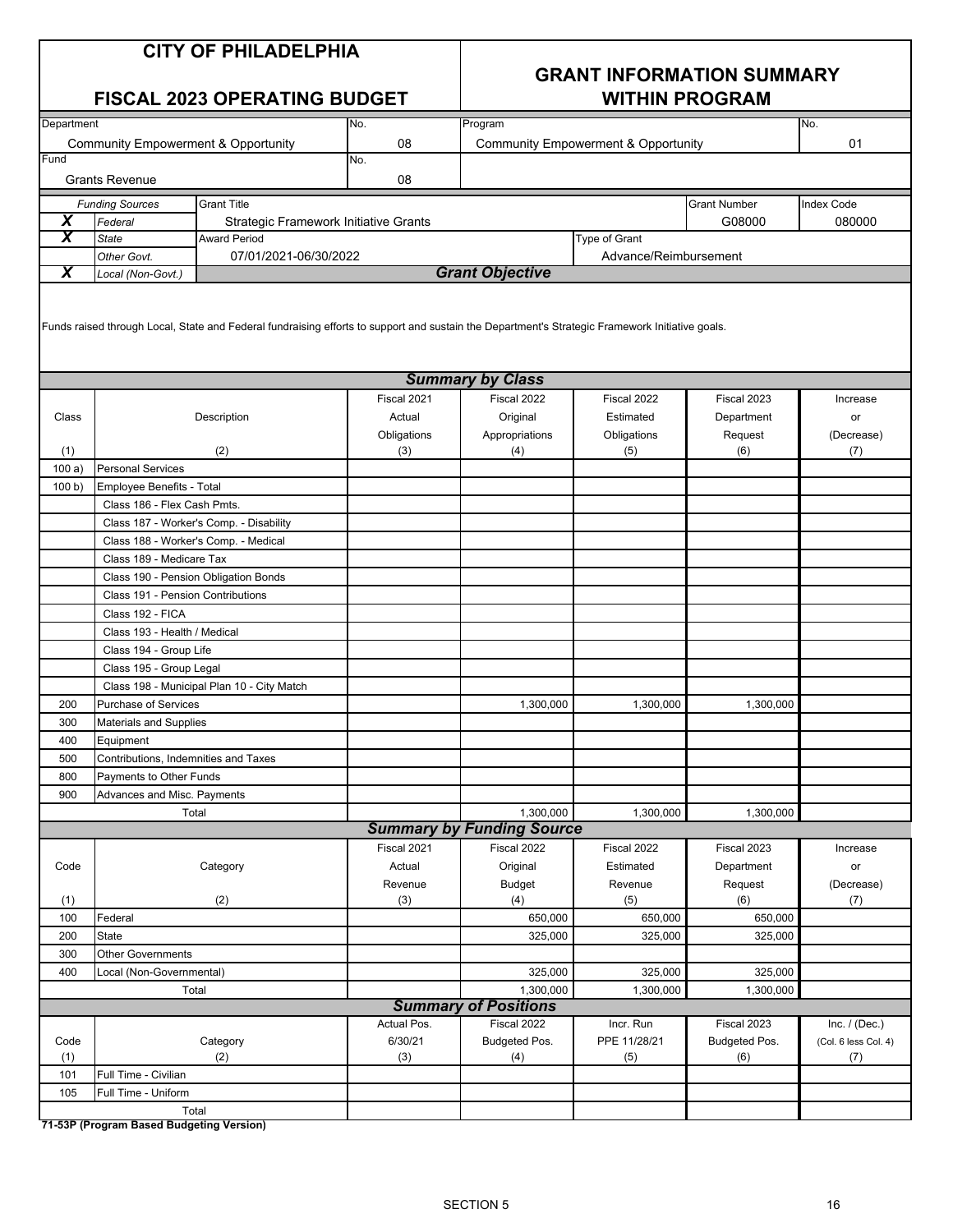|                              | <b>CITY OF PHILADELPHIA</b><br><b>FISCAL 2023 OPERATING BUDGET</b><br>Department<br>No.                                                         |                                                              |             | <b>GRANT INFORMATION SUMMARY</b><br><b>WITHIN PROGRAM</b><br>Program<br>No. |                                                |                     |                      |  |  |
|------------------------------|-------------------------------------------------------------------------------------------------------------------------------------------------|--------------------------------------------------------------|-------------|-----------------------------------------------------------------------------|------------------------------------------------|---------------------|----------------------|--|--|
|                              | <b>Community Empowerment &amp; Opportunity</b>                                                                                                  |                                                              | 08          |                                                                             | <b>Community Empowerment &amp; Opportunity</b> |                     | 01                   |  |  |
| Fund                         |                                                                                                                                                 |                                                              | No.         |                                                                             |                                                |                     |                      |  |  |
|                              | <b>Grants Revenue</b>                                                                                                                           |                                                              | 08          |                                                                             |                                                |                     |                      |  |  |
|                              |                                                                                                                                                 |                                                              |             |                                                                             |                                                |                     |                      |  |  |
|                              | <b>Funding Sources</b>                                                                                                                          | <b>Grant Title</b>                                           |             |                                                                             |                                                | <b>Grant Number</b> | Index Code           |  |  |
| X<br>$\overline{\mathbf{x}}$ | Federal                                                                                                                                         | Strategic Framework Initiative Grants<br><b>Award Period</b> |             |                                                                             |                                                | G08000              | 080000               |  |  |
|                              | <b>State</b>                                                                                                                                    |                                                              |             |                                                                             | Type of Grant                                  |                     |                      |  |  |
| X                            | Other Govt.<br>Local (Non-Govt.)                                                                                                                | 07/01/2021-06/30/2022                                        |             | <b>Grant Objective</b>                                                      | Advance/Reimbursement                          |                     |                      |  |  |
|                              | Funds raised through Local, State and Federal fundraising efforts to support and sustain the Department's Strategic Framework Initiative goals. |                                                              |             |                                                                             |                                                |                     |                      |  |  |
|                              |                                                                                                                                                 |                                                              |             | <b>Summary by Class</b>                                                     |                                                |                     |                      |  |  |
|                              |                                                                                                                                                 |                                                              | Fiscal 2021 | Fiscal 2022                                                                 | Fiscal 2022                                    | Fiscal 2023         | Increase             |  |  |
| Class                        |                                                                                                                                                 | Description                                                  | Actual      | Original                                                                    | Estimated                                      | Department          | or                   |  |  |
|                              |                                                                                                                                                 |                                                              | Obligations | Appropriations                                                              | Obligations                                    | Request             | (Decrease)           |  |  |
| (1)                          |                                                                                                                                                 | (2)                                                          | (3)         | (4)                                                                         | (5)                                            | (6)                 | (7)                  |  |  |
| 100a)                        | <b>Personal Services</b>                                                                                                                        |                                                              |             |                                                                             |                                                |                     |                      |  |  |
| 100 b)                       | Employee Benefits - Total                                                                                                                       |                                                              |             |                                                                             |                                                |                     |                      |  |  |
|                              | Class 186 - Flex Cash Pmts.                                                                                                                     |                                                              |             |                                                                             |                                                |                     |                      |  |  |
|                              |                                                                                                                                                 | Class 187 - Worker's Comp. - Disability                      |             |                                                                             |                                                |                     |                      |  |  |
|                              | Class 188 - Worker's Comp. - Medical                                                                                                            |                                                              |             |                                                                             |                                                |                     |                      |  |  |
|                              | Class 189 - Medicare Tax                                                                                                                        |                                                              |             |                                                                             |                                                |                     |                      |  |  |
|                              | Class 190 - Pension Obligation Bonds                                                                                                            |                                                              |             |                                                                             |                                                |                     |                      |  |  |
|                              | Class 191 - Pension Contributions                                                                                                               |                                                              |             |                                                                             |                                                |                     |                      |  |  |
|                              | Class 192 - FICA                                                                                                                                |                                                              |             |                                                                             |                                                |                     |                      |  |  |
|                              | Class 193 - Health / Medical                                                                                                                    |                                                              |             |                                                                             |                                                |                     |                      |  |  |
|                              | Class 194 - Group Life                                                                                                                          |                                                              |             |                                                                             |                                                |                     |                      |  |  |
|                              | Class 195 - Group Legal                                                                                                                         | Class 198 - Municipal Plan 10 - City Match                   |             |                                                                             |                                                |                     |                      |  |  |
| 200                          | <b>Purchase of Services</b>                                                                                                                     |                                                              |             |                                                                             |                                                | 1,300,000           |                      |  |  |
| 300                          |                                                                                                                                                 |                                                              |             | 1,300,000                                                                   | 1,300,000                                      |                     |                      |  |  |
|                              | <b>Materials and Supplies</b>                                                                                                                   |                                                              |             |                                                                             |                                                |                     |                      |  |  |
| 400<br>500                   | Equipment<br>Contributions, Indemnities and Taxes                                                                                               |                                                              |             |                                                                             |                                                |                     |                      |  |  |
| 800                          | Payments to Other Funds                                                                                                                         |                                                              |             |                                                                             |                                                |                     |                      |  |  |
| 900                          | Advances and Misc. Payments                                                                                                                     |                                                              |             |                                                                             |                                                |                     |                      |  |  |
|                              | Total                                                                                                                                           |                                                              |             | 1,300,000                                                                   | 1,300,000                                      | 1,300,000           |                      |  |  |
|                              |                                                                                                                                                 |                                                              |             | <b>Summary by Funding Source</b>                                            |                                                |                     |                      |  |  |
|                              |                                                                                                                                                 |                                                              | Fiscal 2021 | Fiscal 2022                                                                 | Fiscal 2022                                    | Fiscal 2023         | Increase             |  |  |
| Code                         |                                                                                                                                                 | Category                                                     | Actual      | Original                                                                    | Estimated                                      | Department          | or                   |  |  |
|                              |                                                                                                                                                 |                                                              | Revenue     | <b>Budget</b>                                                               | Revenue                                        | Request             | (Decrease)           |  |  |
| (1)                          |                                                                                                                                                 | (2)                                                          | (3)         | (4)                                                                         | (5)                                            | (6)                 | (7)                  |  |  |
| 100                          | Federal                                                                                                                                         |                                                              |             | 650,000                                                                     | 650,000                                        | 650,000             |                      |  |  |
| 200                          | <b>State</b>                                                                                                                                    |                                                              |             | 325,000                                                                     | 325,000                                        | 325,000             |                      |  |  |
| 300                          | <b>Other Governments</b>                                                                                                                        |                                                              |             |                                                                             |                                                |                     |                      |  |  |
| 400                          | Local (Non-Governmental)                                                                                                                        |                                                              |             | 325,000                                                                     | 325,000                                        | 325,000             |                      |  |  |
|                              | Total                                                                                                                                           |                                                              |             | 1,300,000                                                                   | 1,300,000                                      | 1,300,000           |                      |  |  |
|                              |                                                                                                                                                 |                                                              |             | <b>Summary of Positions</b>                                                 |                                                |                     |                      |  |  |
|                              |                                                                                                                                                 |                                                              | Actual Pos. | Fiscal 2022                                                                 | Incr. Run                                      | Fiscal 2023         | Inc. $/$ (Dec.)      |  |  |
| Code                         |                                                                                                                                                 | Category                                                     | 6/30/21     | Budgeted Pos.                                                               | PPE 11/28/21                                   | Budgeted Pos.       | (Col. 6 less Col. 4) |  |  |
| (1)                          |                                                                                                                                                 | (2)                                                          | (3)         | (4)                                                                         | (5)                                            | (6)                 | (7)                  |  |  |
| 101                          | Full Time - Civilian                                                                                                                            |                                                              |             |                                                                             |                                                |                     |                      |  |  |
| 105                          | Full Time - Uniform                                                                                                                             |                                                              |             |                                                                             |                                                |                     |                      |  |  |
|                              |                                                                                                                                                 | Total                                                        |             |                                                                             |                                                |                     |                      |  |  |

**71-53P (Program Based Budgeting Version)**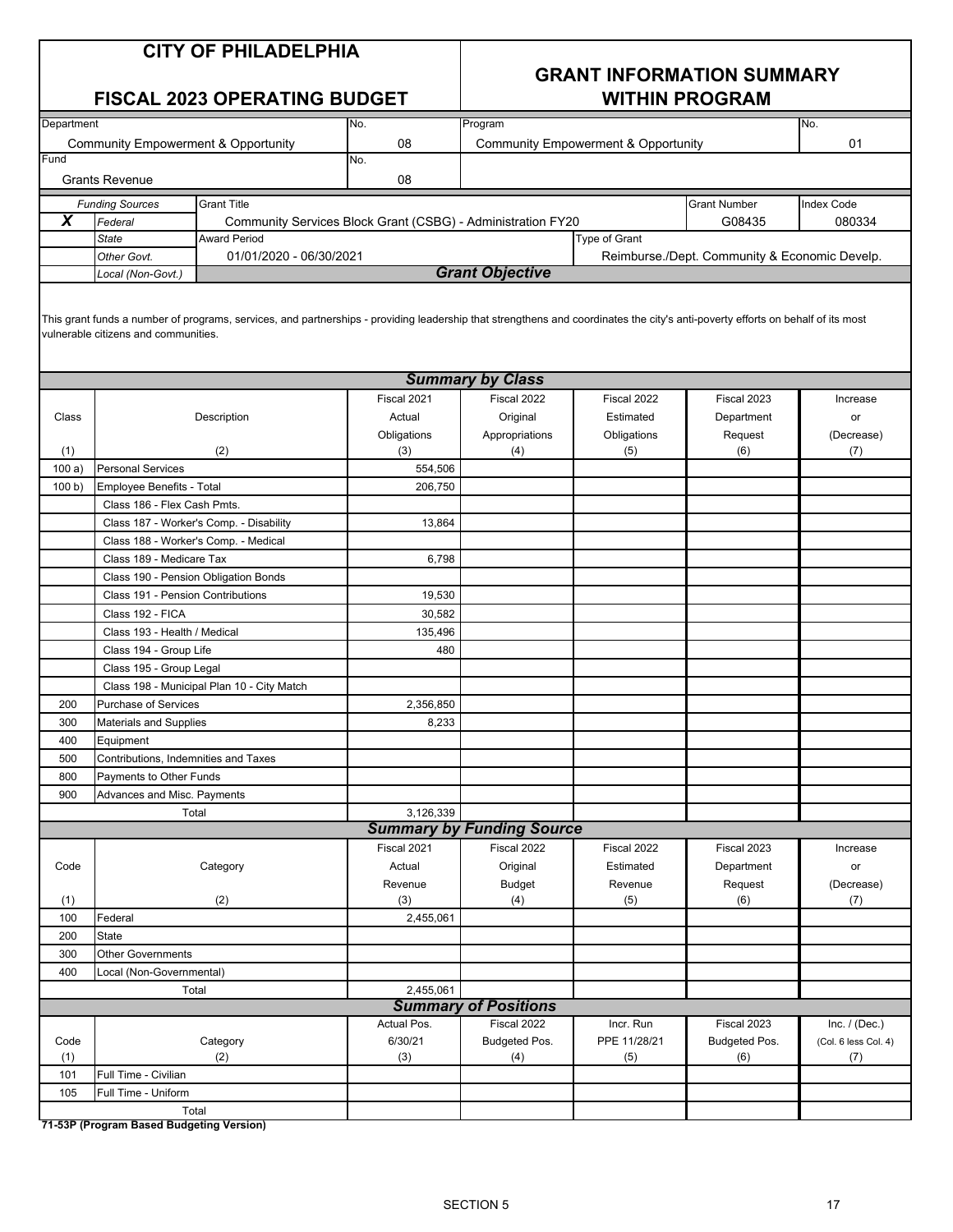#### **GRANT INFORMATION SUMMARY FISCAL 2023 OPERATING BUDGET WITHIN PROGRAM**

| Department              |                                      |                                                                                                                                                                                 | No.                                                         | Program                          |                                                |                                               | No.                  |
|-------------------------|--------------------------------------|---------------------------------------------------------------------------------------------------------------------------------------------------------------------------------|-------------------------------------------------------------|----------------------------------|------------------------------------------------|-----------------------------------------------|----------------------|
|                         |                                      | <b>Community Empowerment &amp; Opportunity</b>                                                                                                                                  | 08                                                          |                                  | <b>Community Empowerment &amp; Opportunity</b> |                                               | 01                   |
| Fund                    |                                      |                                                                                                                                                                                 | No.                                                         |                                  |                                                |                                               |                      |
|                         | <b>Grants Revenue</b>                |                                                                                                                                                                                 | 08                                                          |                                  |                                                |                                               |                      |
|                         |                                      |                                                                                                                                                                                 |                                                             |                                  |                                                |                                               |                      |
|                         | <b>Funding Sources</b>               | <b>Grant Title</b>                                                                                                                                                              |                                                             |                                  |                                                | <b>Grant Number</b>                           | Index Code           |
| $\overline{\mathbf{X}}$ | Federal                              |                                                                                                                                                                                 | Community Services Block Grant (CSBG) - Administration FY20 |                                  |                                                | G08435                                        | 080334               |
|                         | <b>State</b>                         | <b>Award Period</b>                                                                                                                                                             |                                                             |                                  | Type of Grant                                  |                                               |                      |
|                         | Other Govt.                          | 01/01/2020 - 06/30/2021                                                                                                                                                         |                                                             | <b>Grant Objective</b>           |                                                | Reimburse./Dept. Community & Economic Develp. |                      |
|                         | Local (Non-Govt.)                    |                                                                                                                                                                                 |                                                             |                                  |                                                |                                               |                      |
|                         | vulnerable citizens and communities. | This grant funds a number of programs, services, and partnerships - providing leadership that strengthens and coordinates the city's anti-poverty efforts on behalf of its most |                                                             |                                  |                                                |                                               |                      |
|                         |                                      |                                                                                                                                                                                 |                                                             | <b>Summary by Class</b>          |                                                |                                               |                      |
|                         |                                      |                                                                                                                                                                                 | Fiscal 2021                                                 | Fiscal 2022                      | Fiscal 2022                                    | Fiscal 2023                                   | Increase             |
| Class                   |                                      | Description                                                                                                                                                                     | Actual                                                      | Original                         | Estimated                                      | Department                                    | or                   |
|                         |                                      |                                                                                                                                                                                 | Obligations                                                 | Appropriations                   | Obligations                                    | Request                                       | (Decrease)           |
| (1)                     |                                      | (2)                                                                                                                                                                             | (3)                                                         | (4)                              | (5)                                            | (6)                                           | (7)                  |
| 100a)                   | <b>Personal Services</b>             |                                                                                                                                                                                 | 554,506                                                     |                                  |                                                |                                               |                      |
| 100 b                   | Employee Benefits - Total            |                                                                                                                                                                                 | 206,750                                                     |                                  |                                                |                                               |                      |
|                         | Class 186 - Flex Cash Pmts.          |                                                                                                                                                                                 |                                                             |                                  |                                                |                                               |                      |
|                         |                                      | Class 187 - Worker's Comp. - Disability                                                                                                                                         | 13,864                                                      |                                  |                                                |                                               |                      |
|                         |                                      | Class 188 - Worker's Comp. - Medical                                                                                                                                            |                                                             |                                  |                                                |                                               |                      |
|                         | Class 189 - Medicare Tax             |                                                                                                                                                                                 | 6,798                                                       |                                  |                                                |                                               |                      |
|                         |                                      | Class 190 - Pension Obligation Bonds                                                                                                                                            |                                                             |                                  |                                                |                                               |                      |
|                         | Class 191 - Pension Contributions    |                                                                                                                                                                                 | 19,530                                                      |                                  |                                                |                                               |                      |
|                         | Class 192 - FICA                     |                                                                                                                                                                                 | 30,582                                                      |                                  |                                                |                                               |                      |
|                         | Class 193 - Health / Medical         |                                                                                                                                                                                 | 135,496                                                     |                                  |                                                |                                               |                      |
|                         | Class 194 - Group Life               |                                                                                                                                                                                 | 480                                                         |                                  |                                                |                                               |                      |
|                         | Class 195 - Group Legal              |                                                                                                                                                                                 |                                                             |                                  |                                                |                                               |                      |
|                         |                                      | Class 198 - Municipal Plan 10 - City Match                                                                                                                                      |                                                             |                                  |                                                |                                               |                      |
| 200                     | Purchase of Services                 |                                                                                                                                                                                 | 2,356,850                                                   |                                  |                                                |                                               |                      |
| 300                     | Materials and Supplies               |                                                                                                                                                                                 | 8,233                                                       |                                  |                                                |                                               |                      |
| 400                     | Equipment                            |                                                                                                                                                                                 |                                                             |                                  |                                                |                                               |                      |
| 500                     | Contributions, Indemnities and Taxes |                                                                                                                                                                                 |                                                             |                                  |                                                |                                               |                      |
| 800                     | Payments to Other Funds              |                                                                                                                                                                                 |                                                             |                                  |                                                |                                               |                      |
| 900                     | Advances and Misc. Payments          |                                                                                                                                                                                 |                                                             |                                  |                                                |                                               |                      |
|                         |                                      | Total                                                                                                                                                                           | 3,126,339                                                   |                                  |                                                |                                               |                      |
|                         |                                      |                                                                                                                                                                                 |                                                             | <b>Summary by Funding Source</b> |                                                |                                               |                      |
|                         |                                      |                                                                                                                                                                                 | Fiscal 2021                                                 | Fiscal 2022                      | Fiscal 2022                                    | Fiscal 2023                                   | Increase             |
| Code                    |                                      | Category                                                                                                                                                                        | Actual                                                      | Original                         | Estimated                                      | Department                                    | or                   |
|                         |                                      |                                                                                                                                                                                 | Revenue                                                     | <b>Budget</b>                    | Revenue                                        | Request                                       | (Decrease)           |
| (1)                     |                                      | (2)                                                                                                                                                                             | (3)                                                         | (4)                              | (5)                                            | (6)                                           | (7)                  |
| 100                     | Federal                              |                                                                                                                                                                                 | 2,455,061                                                   |                                  |                                                |                                               |                      |
| 200                     | <b>State</b>                         |                                                                                                                                                                                 |                                                             |                                  |                                                |                                               |                      |
| 300                     | <b>Other Governments</b>             |                                                                                                                                                                                 |                                                             |                                  |                                                |                                               |                      |
| 400                     | Local (Non-Governmental)             |                                                                                                                                                                                 |                                                             |                                  |                                                |                                               |                      |
|                         |                                      |                                                                                                                                                                                 | 2,455,061                                                   |                                  |                                                |                                               |                      |
|                         |                                      | Total                                                                                                                                                                           |                                                             | <b>Summary of Positions</b>      |                                                |                                               |                      |
|                         |                                      |                                                                                                                                                                                 | Actual Pos.                                                 | Fiscal 2022                      | Incr. Run                                      | Fiscal 2023                                   | Inc. $/$ (Dec.)      |
| Code                    |                                      | Category                                                                                                                                                                        | 6/30/21                                                     | Budgeted Pos.                    | PPE 11/28/21                                   | Budgeted Pos.                                 | (Col. 6 less Col. 4) |
| (1)                     |                                      | (2)                                                                                                                                                                             | (3)                                                         | (4)                              | (5)                                            | (6)                                           | (7)                  |
| 101                     | Full Time - Civilian                 |                                                                                                                                                                                 |                                                             |                                  |                                                |                                               |                      |
| 105                     | Full Time - Uniform                  |                                                                                                                                                                                 |                                                             |                                  |                                                |                                               |                      |
|                         |                                      | Total                                                                                                                                                                           |                                                             |                                  |                                                |                                               |                      |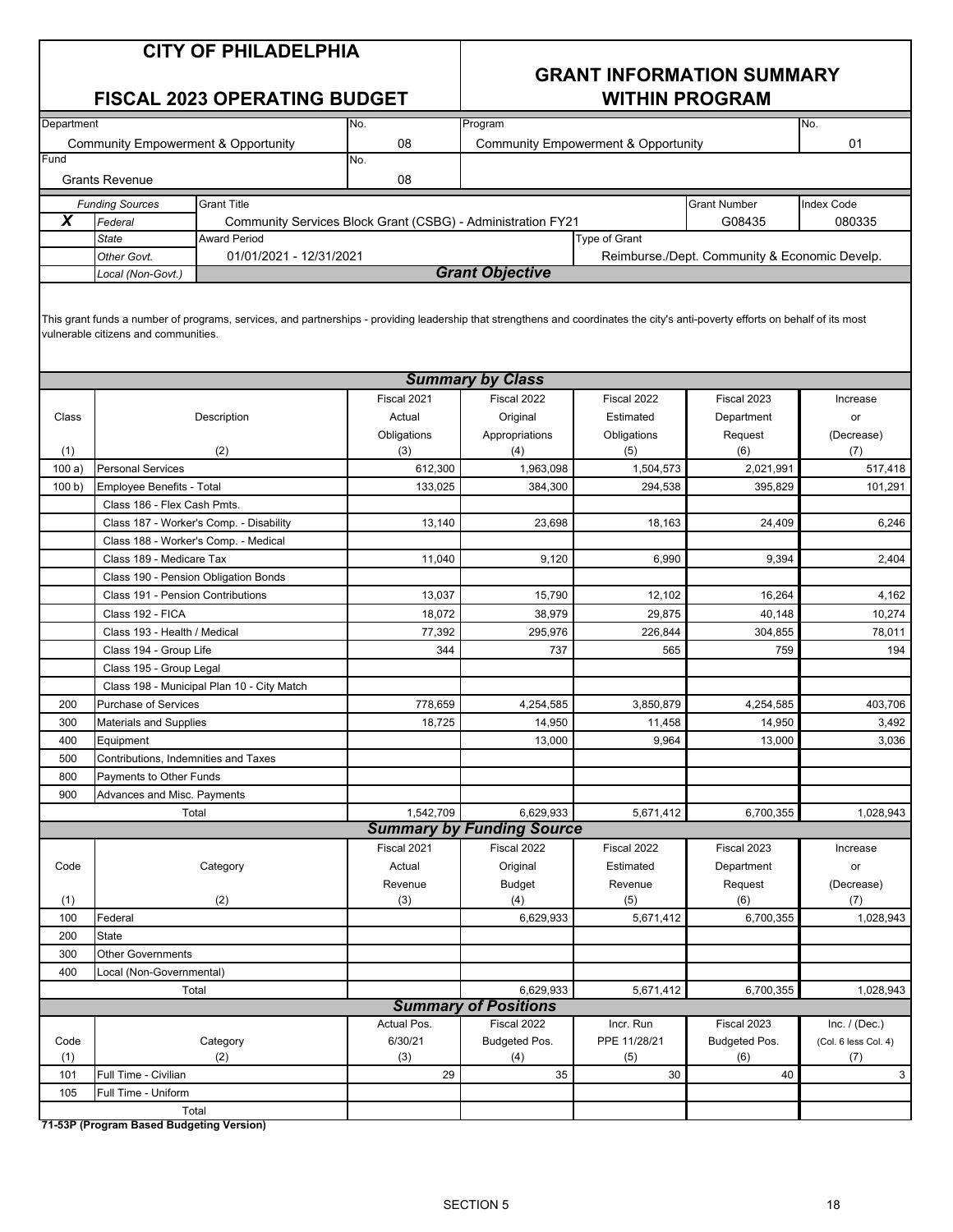#### **GRANT INFORMATION SUMMARY FISCAL 2023 OPERATING BUDGET WITHIN PROGRAM**

| Department              |                                                       |                                                                                                                                                                                 | No.                                                         | Program                          |                                                |                                               | No.                         |
|-------------------------|-------------------------------------------------------|---------------------------------------------------------------------------------------------------------------------------------------------------------------------------------|-------------------------------------------------------------|----------------------------------|------------------------------------------------|-----------------------------------------------|-----------------------------|
|                         | <b>Community Empowerment &amp; Opportunity</b>        |                                                                                                                                                                                 | 08                                                          |                                  | <b>Community Empowerment &amp; Opportunity</b> |                                               | 01                          |
| Fund                    |                                                       |                                                                                                                                                                                 | No.                                                         |                                  |                                                |                                               |                             |
|                         | <b>Grants Revenue</b>                                 |                                                                                                                                                                                 | 08                                                          |                                  |                                                |                                               |                             |
|                         | <b>Funding Sources</b>                                | <b>Grant Title</b>                                                                                                                                                              |                                                             |                                  |                                                | <b>Grant Number</b>                           | <b>Index Code</b>           |
| $\overline{\mathbf{X}}$ | Federal                                               |                                                                                                                                                                                 | Community Services Block Grant (CSBG) - Administration FY21 |                                  |                                                | G08435                                        | 080335                      |
|                         | <b>State</b>                                          | <b>Award Period</b>                                                                                                                                                             |                                                             |                                  | Type of Grant                                  |                                               |                             |
|                         | Other Govt.                                           | 01/01/2021 - 12/31/2021                                                                                                                                                         |                                                             |                                  |                                                | Reimburse./Dept. Community & Economic Develp. |                             |
|                         | Local (Non-Govt.)                                     |                                                                                                                                                                                 |                                                             | <b>Grant Objective</b>           |                                                |                                               |                             |
|                         | vulnerable citizens and communities.                  | This grant funds a number of programs, services, and partnerships - providing leadership that strengthens and coordinates the city's anti-poverty efforts on behalf of its most |                                                             |                                  |                                                |                                               |                             |
|                         |                                                       |                                                                                                                                                                                 |                                                             | <b>Summary by Class</b>          |                                                |                                               |                             |
|                         |                                                       |                                                                                                                                                                                 | Fiscal 2021                                                 | Fiscal 2022                      | Fiscal 2022                                    | Fiscal 2023                                   | Increase                    |
| Class                   |                                                       | Description                                                                                                                                                                     | Actual                                                      | Original                         | Estimated                                      | Department                                    | or                          |
|                         |                                                       |                                                                                                                                                                                 | Obligations                                                 | Appropriations                   | Obligations                                    | Request                                       | (Decrease)                  |
| (1)                     |                                                       | (2)                                                                                                                                                                             | (3)                                                         | (4)                              | (5)                                            | (6)                                           | (7)                         |
| 100a)                   | <b>Personal Services</b>                              |                                                                                                                                                                                 | 612,300                                                     | 1,963,098                        | 1,504,573                                      | 2,021,991                                     | 517,418                     |
| 100 b)                  | Employee Benefits - Total                             |                                                                                                                                                                                 | 133,025                                                     | 384,300                          | 294,538                                        | 395,829                                       | 101,291                     |
|                         | Class 186 - Flex Cash Pmts.                           |                                                                                                                                                                                 |                                                             |                                  |                                                |                                               |                             |
|                         |                                                       | Class 187 - Worker's Comp. - Disability                                                                                                                                         | 13,140                                                      | 23,698                           | 18,163                                         | 24,409                                        | 6,246                       |
|                         |                                                       | Class 188 - Worker's Comp. - Medical                                                                                                                                            |                                                             |                                  |                                                |                                               |                             |
|                         | Class 189 - Medicare Tax                              |                                                                                                                                                                                 | 11,040                                                      | 9,120                            | 6,990                                          | 9,394                                         | 2,404                       |
|                         |                                                       | Class 190 - Pension Obligation Bonds                                                                                                                                            |                                                             |                                  |                                                |                                               |                             |
|                         | Class 191 - Pension Contributions<br>Class 192 - FICA |                                                                                                                                                                                 | 13,037                                                      | 15,790                           | 12,102                                         | 16,264                                        | 4,162                       |
|                         | Class 193 - Health / Medical                          |                                                                                                                                                                                 | 18,072<br>77,392                                            | 38,979<br>295,976                | 29,875<br>226,844                              | 40,148<br>304,855                             | 10,274<br>78,011            |
|                         | Class 194 - Group Life                                |                                                                                                                                                                                 | 344                                                         | 737                              | 565                                            | 759                                           | 194                         |
|                         | Class 195 - Group Legal                               |                                                                                                                                                                                 |                                                             |                                  |                                                |                                               |                             |
|                         |                                                       | Class 198 - Municipal Plan 10 - City Match                                                                                                                                      |                                                             |                                  |                                                |                                               |                             |
| 200                     | Purchase of Services                                  |                                                                                                                                                                                 | 778,659                                                     | 4,254,585                        | 3,850,879                                      | 4,254,585                                     | 403,706                     |
| 300                     | Materials and Supplies                                |                                                                                                                                                                                 | 18,725                                                      | 14,950                           | 11,458                                         | 14,950                                        | 3,492                       |
| 400                     | Equipment                                             |                                                                                                                                                                                 |                                                             | 13,000                           | 9,964                                          | 13,000                                        | 3,036                       |
| 500                     | Contributions, Indemnities and Taxes                  |                                                                                                                                                                                 |                                                             |                                  |                                                |                                               |                             |
| 800                     | Payments to Other Funds                               |                                                                                                                                                                                 |                                                             |                                  |                                                |                                               |                             |
| 900                     | Advances and Misc. Payments                           |                                                                                                                                                                                 |                                                             |                                  |                                                |                                               |                             |
|                         |                                                       | Total                                                                                                                                                                           | 1,542,709                                                   | 6,629,933                        | 5,671,412                                      | 6,700,355                                     | 1,028,943                   |
|                         |                                                       |                                                                                                                                                                                 |                                                             | <b>Summary by Funding Source</b> |                                                |                                               |                             |
|                         |                                                       |                                                                                                                                                                                 | Fiscal 2021                                                 | Fiscal 2022                      | Fiscal 2022                                    | Fiscal 2023                                   | Increase                    |
| Code                    |                                                       | Category                                                                                                                                                                        | Actual                                                      | Original                         | Estimated                                      | Department                                    | or                          |
|                         |                                                       |                                                                                                                                                                                 | Revenue                                                     | <b>Budget</b>                    | Revenue                                        | Request                                       | (Decrease)                  |
| (1)                     |                                                       | (2)                                                                                                                                                                             | (3)                                                         | (4)                              | (5)                                            | (6)                                           | (7)                         |
| 100                     | Federal                                               |                                                                                                                                                                                 |                                                             | 6,629,933                        | 5,671,412                                      | 6,700,355                                     | 1,028,943                   |
| 200                     | <b>State</b>                                          |                                                                                                                                                                                 |                                                             |                                  |                                                |                                               |                             |
| 300                     | <b>Other Governments</b>                              |                                                                                                                                                                                 |                                                             |                                  |                                                |                                               |                             |
| 400                     | Local (Non-Governmental)                              |                                                                                                                                                                                 |                                                             |                                  |                                                |                                               |                             |
|                         |                                                       | Total                                                                                                                                                                           |                                                             | 6,629,933                        | 5,671,412                                      | 6,700,355                                     | 1,028,943                   |
|                         |                                                       |                                                                                                                                                                                 |                                                             | <b>Summary of Positions</b>      |                                                |                                               |                             |
|                         |                                                       |                                                                                                                                                                                 | Actual Pos.<br>6/30/21                                      | Fiscal 2022                      | Incr. Run<br>PPE 11/28/21                      | Fiscal 2023                                   | Inc. $/$ (Dec.)             |
| Code<br>(1)             |                                                       | Category<br>(2)                                                                                                                                                                 | (3)                                                         | Budgeted Pos.<br>(4)             | (5)                                            | Budgeted Pos.<br>(6)                          | (Col. 6 less Col. 4)<br>(7) |
| 101                     | Full Time - Civilian                                  |                                                                                                                                                                                 | 29                                                          | 35                               | 30                                             | 40                                            | 3                           |
| 105                     | Full Time - Uniform                                   |                                                                                                                                                                                 |                                                             |                                  |                                                |                                               |                             |
|                         |                                                       | Total                                                                                                                                                                           |                                                             |                                  |                                                |                                               |                             |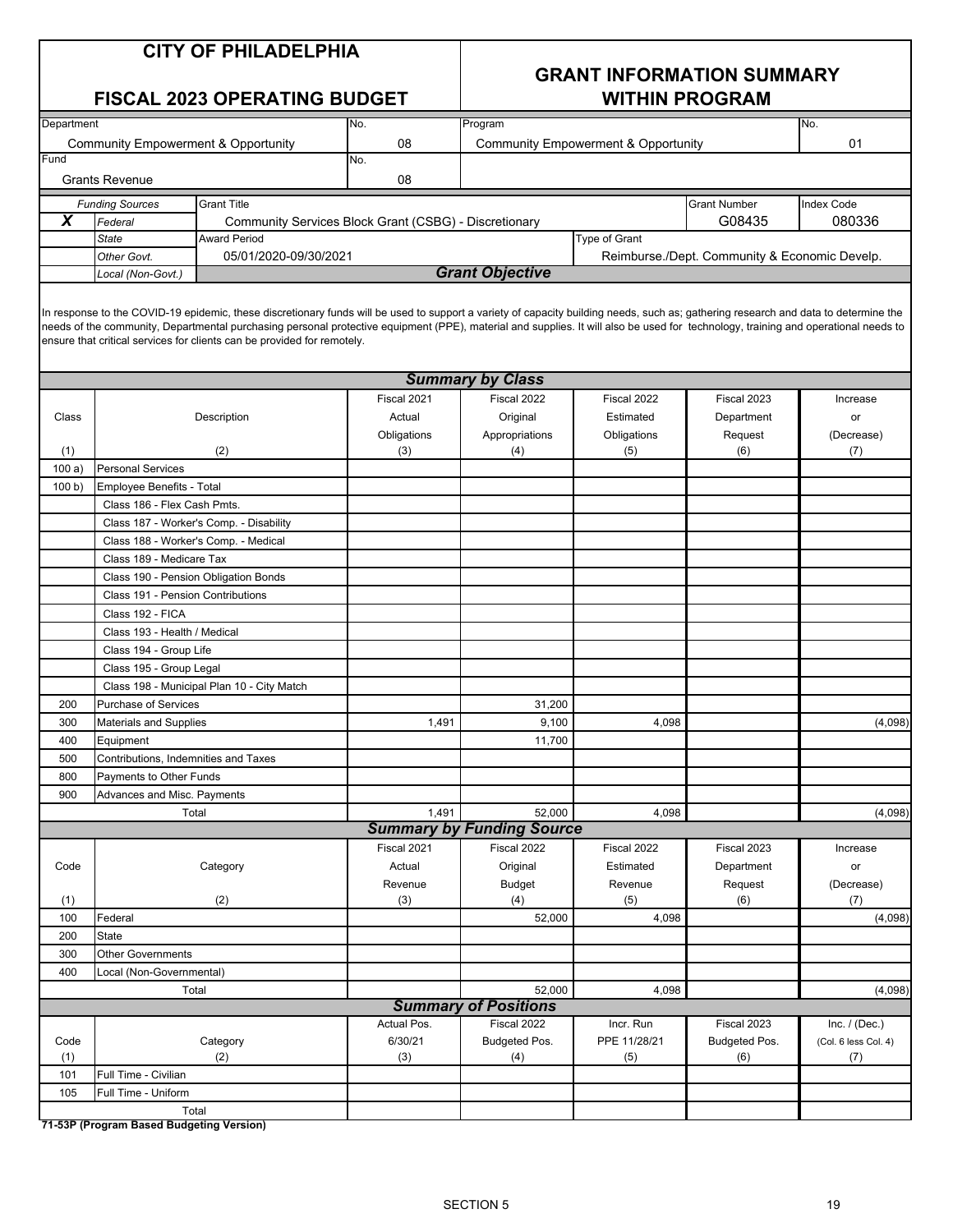### **GRANT INFORMATION SUMMARY**

|            |                                                | <b>FISCAL 2023 OPERATING BUDGET</b>                                                                                                                                                                                                                                                                                                                                                                                                                  | <b>WITHIN PROGRAM</b>                                 |                                  |                                                |                                               |                      |  |
|------------|------------------------------------------------|------------------------------------------------------------------------------------------------------------------------------------------------------------------------------------------------------------------------------------------------------------------------------------------------------------------------------------------------------------------------------------------------------------------------------------------------------|-------------------------------------------------------|----------------------------------|------------------------------------------------|-----------------------------------------------|----------------------|--|
| Department |                                                |                                                                                                                                                                                                                                                                                                                                                                                                                                                      | No.                                                   | Program<br>No.                   |                                                |                                               |                      |  |
|            | <b>Community Empowerment &amp; Opportunity</b> |                                                                                                                                                                                                                                                                                                                                                                                                                                                      | 08                                                    |                                  | <b>Community Empowerment &amp; Opportunity</b> |                                               | 01                   |  |
| Fund       |                                                |                                                                                                                                                                                                                                                                                                                                                                                                                                                      | No.                                                   |                                  |                                                |                                               |                      |  |
|            | <b>Grants Revenue</b>                          |                                                                                                                                                                                                                                                                                                                                                                                                                                                      | 08                                                    |                                  |                                                |                                               |                      |  |
|            | <b>Funding Sources</b>                         | <b>Grant Title</b>                                                                                                                                                                                                                                                                                                                                                                                                                                   |                                                       |                                  |                                                | <b>Grant Number</b>                           | Index Code           |  |
| X          | Federal                                        |                                                                                                                                                                                                                                                                                                                                                                                                                                                      | Community Services Block Grant (CSBG) - Discretionary |                                  |                                                | G08435                                        | 080336               |  |
|            | <b>State</b>                                   | <b>Award Period</b>                                                                                                                                                                                                                                                                                                                                                                                                                                  |                                                       |                                  | Type of Grant                                  |                                               |                      |  |
|            | Other Govt.                                    | 05/01/2020-09/30/2021                                                                                                                                                                                                                                                                                                                                                                                                                                |                                                       |                                  |                                                | Reimburse./Dept. Community & Economic Develp. |                      |  |
|            | Local (Non-Govt.)                              |                                                                                                                                                                                                                                                                                                                                                                                                                                                      |                                                       | <b>Grant Objective</b>           |                                                |                                               |                      |  |
|            |                                                | In response to the COVID-19 epidemic, these discretionary funds will be used to support a variety of capacity building needs, such as; gathering research and data to determine the<br>needs of the community, Departmental purchasing personal protective equipment (PPE), material and supplies. It will also be used for technology, training and operational needs to<br>ensure that critical services for clients can be provided for remotely. |                                                       |                                  |                                                |                                               |                      |  |
|            |                                                |                                                                                                                                                                                                                                                                                                                                                                                                                                                      |                                                       | <b>Summary by Class</b>          |                                                |                                               |                      |  |
|            |                                                |                                                                                                                                                                                                                                                                                                                                                                                                                                                      | Fiscal 2021                                           | Fiscal 2022                      | Fiscal 2022                                    | Fiscal 2023                                   | Increase             |  |
| Class      |                                                | Description                                                                                                                                                                                                                                                                                                                                                                                                                                          | Actual                                                | Original                         | Estimated                                      | Department                                    | or                   |  |
|            |                                                |                                                                                                                                                                                                                                                                                                                                                                                                                                                      | Obligations                                           | Appropriations                   | Obligations                                    | Request                                       | (Decrease)           |  |
| (1)        |                                                | (2)                                                                                                                                                                                                                                                                                                                                                                                                                                                  | (3)                                                   | (4)                              | (5)                                            | (6)                                           | (7)                  |  |
| 100a)      | <b>Personal Services</b>                       |                                                                                                                                                                                                                                                                                                                                                                                                                                                      |                                                       |                                  |                                                |                                               |                      |  |
| 100 b)     | <b>Employee Benefits - Total</b>               |                                                                                                                                                                                                                                                                                                                                                                                                                                                      |                                                       |                                  |                                                |                                               |                      |  |
|            | Class 186 - Flex Cash Pmts.                    |                                                                                                                                                                                                                                                                                                                                                                                                                                                      |                                                       |                                  |                                                |                                               |                      |  |
|            |                                                | Class 187 - Worker's Comp. - Disability                                                                                                                                                                                                                                                                                                                                                                                                              |                                                       |                                  |                                                |                                               |                      |  |
|            | Class 188 - Worker's Comp. - Medical           |                                                                                                                                                                                                                                                                                                                                                                                                                                                      |                                                       |                                  |                                                |                                               |                      |  |
|            | Class 189 - Medicare Tax                       |                                                                                                                                                                                                                                                                                                                                                                                                                                                      |                                                       |                                  |                                                |                                               |                      |  |
|            | Class 190 - Pension Obligation Bonds           |                                                                                                                                                                                                                                                                                                                                                                                                                                                      |                                                       |                                  |                                                |                                               |                      |  |
|            | Class 191 - Pension Contributions              |                                                                                                                                                                                                                                                                                                                                                                                                                                                      |                                                       |                                  |                                                |                                               |                      |  |
|            | Class 192 - FICA                               |                                                                                                                                                                                                                                                                                                                                                                                                                                                      |                                                       |                                  |                                                |                                               |                      |  |
|            | Class 193 - Health / Medical                   |                                                                                                                                                                                                                                                                                                                                                                                                                                                      |                                                       |                                  |                                                |                                               |                      |  |
|            | Class 194 - Group Life                         |                                                                                                                                                                                                                                                                                                                                                                                                                                                      |                                                       |                                  |                                                |                                               |                      |  |
|            | Class 195 - Group Legal                        |                                                                                                                                                                                                                                                                                                                                                                                                                                                      |                                                       |                                  |                                                |                                               |                      |  |
|            |                                                | Class 198 - Municipal Plan 10 - City Match                                                                                                                                                                                                                                                                                                                                                                                                           |                                                       |                                  |                                                |                                               |                      |  |
| 200        | <b>Purchase of Services</b>                    |                                                                                                                                                                                                                                                                                                                                                                                                                                                      |                                                       | 31,200                           |                                                |                                               |                      |  |
| 300        | <b>Materials and Supplies</b>                  |                                                                                                                                                                                                                                                                                                                                                                                                                                                      | 1,491                                                 | 9,100                            | 4,098                                          |                                               | (4,098)              |  |
| 400        | Equipment                                      |                                                                                                                                                                                                                                                                                                                                                                                                                                                      |                                                       | 11,700                           |                                                |                                               |                      |  |
| 500        | Contributions, Indemnities and Taxes           |                                                                                                                                                                                                                                                                                                                                                                                                                                                      |                                                       |                                  |                                                |                                               |                      |  |
| 800<br>900 | Payments to Other Funds                        |                                                                                                                                                                                                                                                                                                                                                                                                                                                      |                                                       |                                  |                                                |                                               |                      |  |
|            | Advances and Misc. Payments                    | Total                                                                                                                                                                                                                                                                                                                                                                                                                                                | 1,491                                                 | 52,000                           | 4,098                                          |                                               | (4,098)              |  |
|            |                                                |                                                                                                                                                                                                                                                                                                                                                                                                                                                      |                                                       | <b>Summary by Funding Source</b> |                                                |                                               |                      |  |
|            |                                                |                                                                                                                                                                                                                                                                                                                                                                                                                                                      | Fiscal 2021                                           | Fiscal 2022                      | Fiscal 2022                                    | Fiscal 2023                                   | Increase             |  |
| Code       |                                                | Category                                                                                                                                                                                                                                                                                                                                                                                                                                             | Actual                                                | Original                         | Estimated                                      | Department                                    | or                   |  |
|            |                                                |                                                                                                                                                                                                                                                                                                                                                                                                                                                      | Revenue                                               | Budget                           | Revenue                                        | Request                                       | (Decrease)           |  |
| (1)        |                                                | (2)                                                                                                                                                                                                                                                                                                                                                                                                                                                  | (3)                                                   | (4)                              | (5)                                            | (6)                                           | (7)                  |  |
| 100        | Federal                                        |                                                                                                                                                                                                                                                                                                                                                                                                                                                      |                                                       | 52,000                           | 4,098                                          |                                               | (4,098)              |  |
| 200        | State                                          |                                                                                                                                                                                                                                                                                                                                                                                                                                                      |                                                       |                                  |                                                |                                               |                      |  |
| 300        | <b>Other Governments</b>                       |                                                                                                                                                                                                                                                                                                                                                                                                                                                      |                                                       |                                  |                                                |                                               |                      |  |
| 400        | Local (Non-Governmental)                       |                                                                                                                                                                                                                                                                                                                                                                                                                                                      |                                                       |                                  |                                                |                                               |                      |  |
|            |                                                | Total                                                                                                                                                                                                                                                                                                                                                                                                                                                |                                                       | 52,000                           | 4,098                                          |                                               | (4,098)              |  |
|            |                                                |                                                                                                                                                                                                                                                                                                                                                                                                                                                      |                                                       | <b>Summary of Positions</b>      |                                                |                                               |                      |  |
|            |                                                |                                                                                                                                                                                                                                                                                                                                                                                                                                                      | Actual Pos.                                           | Fiscal 2022                      | Incr. Run                                      | Fiscal 2023                                   | Inc. $/$ (Dec.)      |  |
| Code       |                                                | Category                                                                                                                                                                                                                                                                                                                                                                                                                                             | 6/30/21                                               | Budgeted Pos.                    | PPE 11/28/21                                   | Budgeted Pos.                                 | (Col. 6 less Col. 4) |  |
| (1)        |                                                | (2)                                                                                                                                                                                                                                                                                                                                                                                                                                                  | (3)                                                   | (4)                              | (5)                                            | (6)                                           | (7)                  |  |
| 101        | Full Time - Civilian                           |                                                                                                                                                                                                                                                                                                                                                                                                                                                      |                                                       |                                  |                                                |                                               |                      |  |
| 105        | Full Time - Uniform                            |                                                                                                                                                                                                                                                                                                                                                                                                                                                      |                                                       |                                  |                                                |                                               |                      |  |
|            |                                                | Total                                                                                                                                                                                                                                                                                                                                                                                                                                                |                                                       |                                  |                                                |                                               |                      |  |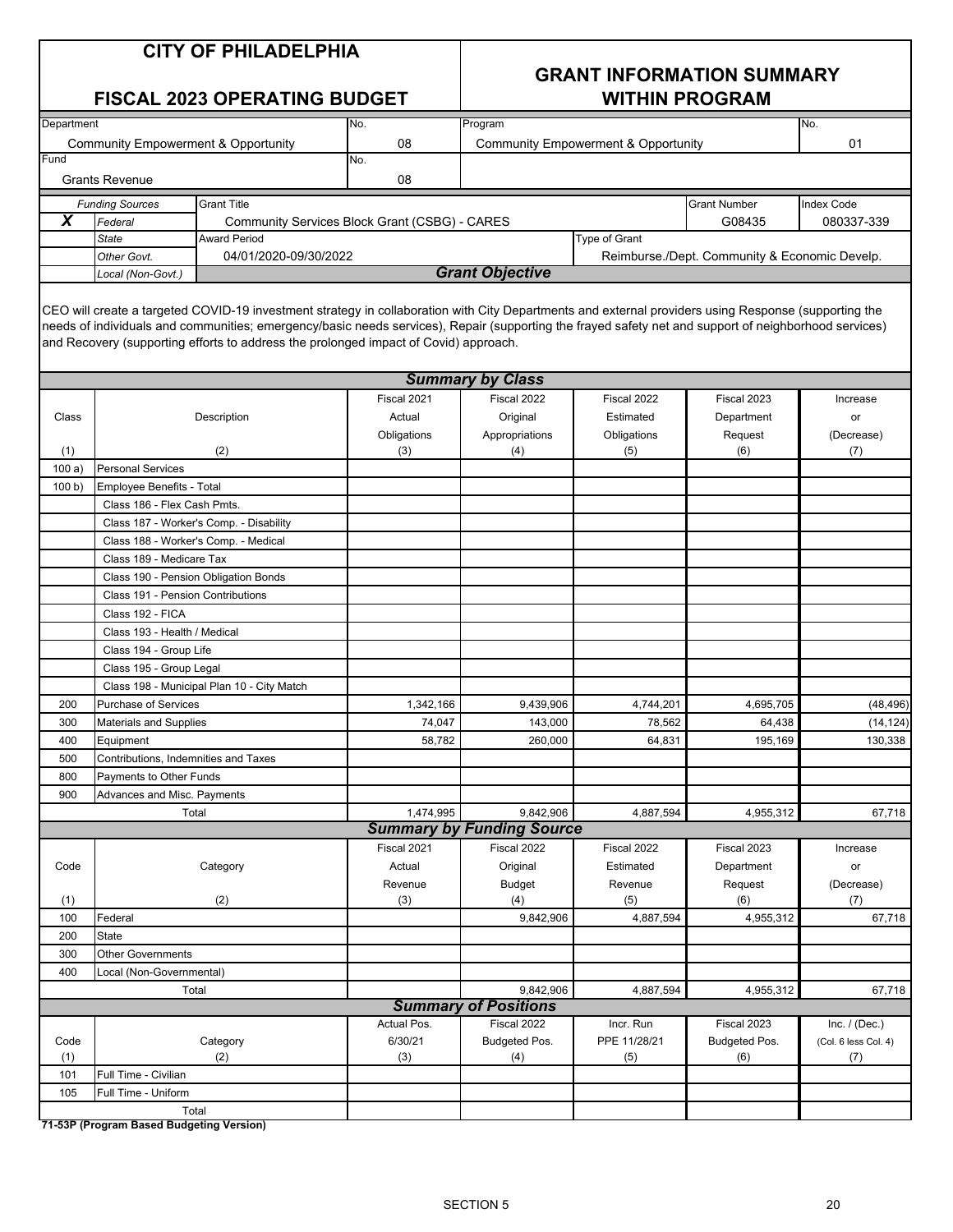**FISCAL 2023 OPERATING BUDGET** 

## **GRANT INFORMATION SUMMARY**

| Department |                                                |                                                                                                                                                       | No.<br>Program     |                                  |                                                |                                               | No.                  |
|------------|------------------------------------------------|-------------------------------------------------------------------------------------------------------------------------------------------------------|--------------------|----------------------------------|------------------------------------------------|-----------------------------------------------|----------------------|
|            | <b>Community Empowerment &amp; Opportunity</b> |                                                                                                                                                       | 08                 |                                  | <b>Community Empowerment &amp; Opportunity</b> |                                               | 01                   |
| Fund       |                                                |                                                                                                                                                       | No.                |                                  |                                                |                                               |                      |
|            | <b>Grants Revenue</b>                          |                                                                                                                                                       | 08                 |                                  |                                                |                                               |                      |
|            | <b>Funding Sources</b>                         | <b>Grant Title</b>                                                                                                                                    |                    |                                  |                                                | <b>Grant Number</b>                           | <b>Index Code</b>    |
| X          | Federal                                        | Community Services Block Grant (CSBG) - CARES                                                                                                         |                    |                                  |                                                | G08435                                        | 080337-339           |
|            | <b>State</b>                                   | <b>Award Period</b>                                                                                                                                   |                    |                                  | Type of Grant                                  |                                               |                      |
|            | Other Govt.                                    | 04/01/2020-09/30/2022                                                                                                                                 |                    |                                  |                                                | Reimburse./Dept. Community & Economic Develp. |                      |
|            | Local (Non-Govt.)                              |                                                                                                                                                       |                    | <b>Grant Objective</b>           |                                                |                                               |                      |
|            |                                                |                                                                                                                                                       |                    |                                  |                                                |                                               |                      |
|            |                                                | CEO will create a targeted COVID-19 investment strategy in collaboration with City Departments and external providers using Response (supporting the  |                    |                                  |                                                |                                               |                      |
|            |                                                | needs of individuals and communities; emergency/basic needs services), Repair (supporting the frayed safety net and support of neighborhood services) |                    |                                  |                                                |                                               |                      |
|            |                                                | and Recovery (supporting efforts to address the prolonged impact of Covid) approach.                                                                  |                    |                                  |                                                |                                               |                      |
|            |                                                |                                                                                                                                                       |                    |                                  |                                                |                                               |                      |
|            |                                                |                                                                                                                                                       |                    | <b>Summary by Class</b>          |                                                |                                               |                      |
|            |                                                |                                                                                                                                                       | Fiscal 2021        | Fiscal 2022                      | Fiscal 2022                                    | Fiscal 2023                                   | Increase             |
| Class      |                                                | Description                                                                                                                                           | Actual             | Original                         | Estimated                                      | Department                                    | or                   |
| (1)        |                                                | (2)                                                                                                                                                   | Obligations<br>(3) | Appropriations<br>(4)            | Obligations<br>(5)                             | Request<br>(6)                                | (Decrease)<br>(7)    |
| 100a)      | <b>Personal Services</b>                       |                                                                                                                                                       |                    |                                  |                                                |                                               |                      |
| 100 b)     | Employee Benefits - Total                      |                                                                                                                                                       |                    |                                  |                                                |                                               |                      |
|            | Class 186 - Flex Cash Pmts.                    |                                                                                                                                                       |                    |                                  |                                                |                                               |                      |
|            |                                                | Class 187 - Worker's Comp. - Disability                                                                                                               |                    |                                  |                                                |                                               |                      |
|            | Class 188 - Worker's Comp. - Medical           |                                                                                                                                                       |                    |                                  |                                                |                                               |                      |
|            | Class 189 - Medicare Tax                       |                                                                                                                                                       |                    |                                  |                                                |                                               |                      |
|            | Class 190 - Pension Obligation Bonds           |                                                                                                                                                       |                    |                                  |                                                |                                               |                      |
|            | Class 191 - Pension Contributions              |                                                                                                                                                       |                    |                                  |                                                |                                               |                      |
|            | Class 192 - FICA                               |                                                                                                                                                       |                    |                                  |                                                |                                               |                      |
|            | Class 193 - Health / Medical                   |                                                                                                                                                       |                    |                                  |                                                |                                               |                      |
|            | Class 194 - Group Life                         |                                                                                                                                                       |                    |                                  |                                                |                                               |                      |
|            | Class 195 - Group Legal                        |                                                                                                                                                       |                    |                                  |                                                |                                               |                      |
|            |                                                | Class 198 - Municipal Plan 10 - City Match                                                                                                            |                    |                                  |                                                |                                               |                      |
| 200        | <b>Purchase of Services</b>                    |                                                                                                                                                       | 1,342,166          | 9,439,906                        | 4,744,201                                      | 4,695,705                                     | (48, 496)            |
| 300        | <b>Materials and Supplies</b>                  |                                                                                                                                                       | 74,047             | 143,000                          | 78,562                                         | 64,438                                        | (14, 124)            |
| 400        | Equipment                                      |                                                                                                                                                       | 58,782             | 260,000                          | 64,831                                         | 195,169                                       | 130,338              |
| 500        | Contributions, Indemnities and Taxes           |                                                                                                                                                       |                    |                                  |                                                |                                               |                      |
| 800        | Payments to Other Funds                        |                                                                                                                                                       |                    |                                  |                                                |                                               |                      |
| 900        | Advances and Misc. Payments                    |                                                                                                                                                       |                    |                                  |                                                |                                               |                      |
|            | <b>Total</b>                                   |                                                                                                                                                       | 1,474,995          | 9,842,906                        | 4,887,594                                      | 4,955,312                                     | 67,718               |
|            |                                                |                                                                                                                                                       |                    | <b>Summary by Funding Source</b> |                                                |                                               |                      |
|            |                                                |                                                                                                                                                       | Fiscal 2021        | Fiscal 2022                      | Fiscal 2022                                    | Fiscal 2023                                   | Increase             |
| Code       |                                                | Category                                                                                                                                              | Actual             | Original                         | Estimated                                      | Department                                    | or                   |
|            |                                                |                                                                                                                                                       | Revenue            | Budget                           | Revenue                                        | Request                                       | (Decrease)           |
| (1)        |                                                | (2)                                                                                                                                                   | (3)                | (4)                              | (5)                                            | (6)                                           | (7)                  |
| 100        | Federal                                        |                                                                                                                                                       |                    | 9,842,906                        | 4,887,594                                      | 4,955,312                                     | 67,718               |
| 200        | State                                          |                                                                                                                                                       |                    |                                  |                                                |                                               |                      |
| 300        | <b>Other Governments</b>                       |                                                                                                                                                       |                    |                                  |                                                |                                               |                      |
| 400        | Local (Non-Governmental)                       |                                                                                                                                                       |                    |                                  |                                                |                                               |                      |
|            | Total                                          |                                                                                                                                                       |                    | 9,842,906                        | 4,887,594                                      | 4,955,312                                     | 67,718               |
|            |                                                |                                                                                                                                                       |                    | <b>Summary of Positions</b>      |                                                |                                               |                      |
|            |                                                |                                                                                                                                                       | Actual Pos.        | Fiscal 2022                      | Incr. Run                                      | Fiscal 2023                                   | Inc. $/$ (Dec.)      |
| Code       |                                                | Category                                                                                                                                              | 6/30/21            | Budgeted Pos.                    | PPE 11/28/21                                   | Budgeted Pos.                                 | (Col. 6 less Col. 4) |
| (1)        | Full Time - Civilian                           | (2)                                                                                                                                                   | (3)                | (4)                              | (5)                                            | (6)                                           | (7)                  |
| 101<br>105 | Full Time - Uniform                            |                                                                                                                                                       |                    |                                  |                                                |                                               |                      |
|            | Total                                          |                                                                                                                                                       |                    |                                  |                                                |                                               |                      |
|            | 71-53P (Program Based Budgeting Version)       |                                                                                                                                                       |                    |                                  |                                                |                                               |                      |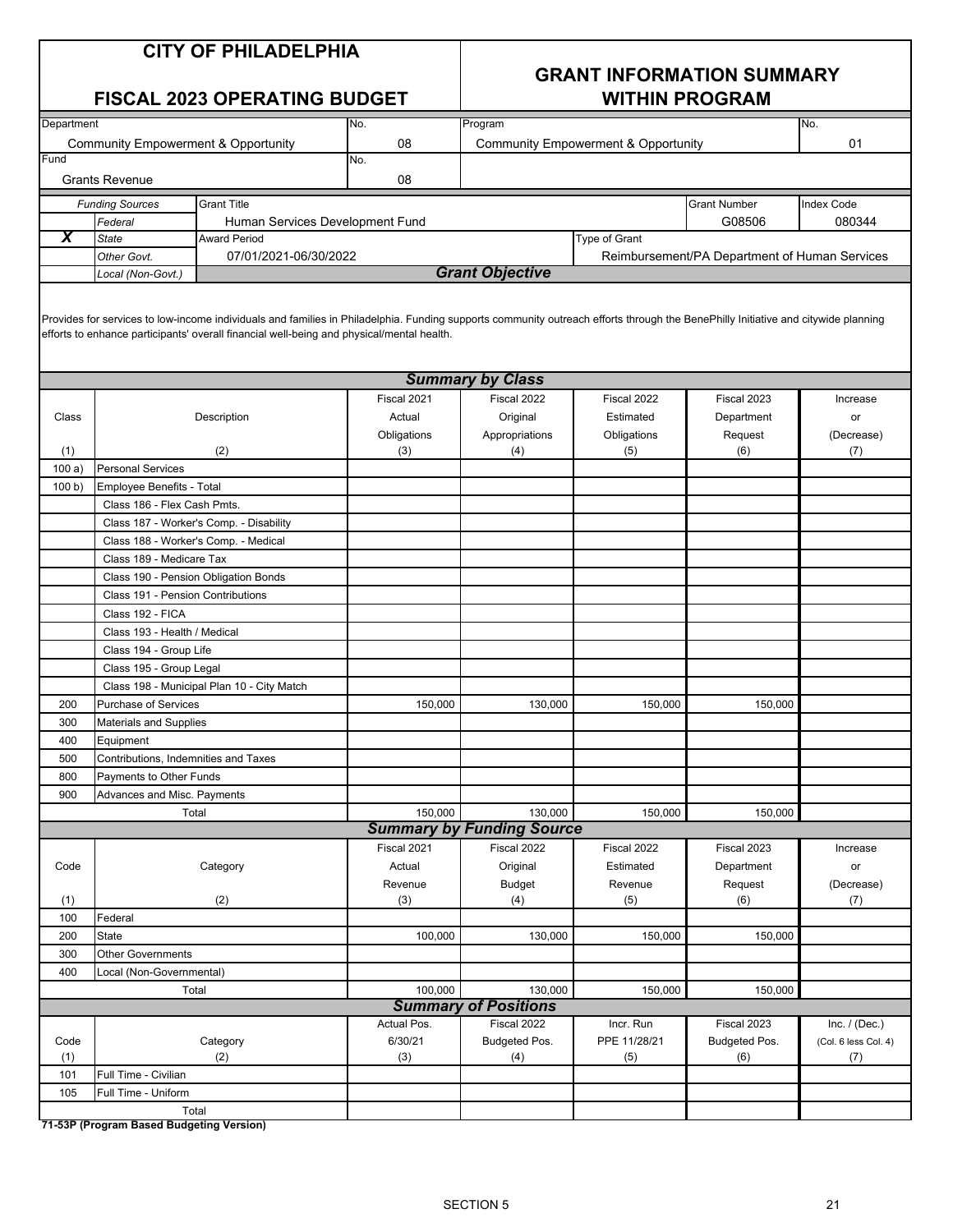| <b>CITY OF PHILADELPHIA</b> |  |
|-----------------------------|--|
|-----------------------------|--|

## **GRANT INFORMATION SUMMARY**

| <b>FISCAL 2023 OPERATING BUDGET</b> |                                                                                                                                                                                                                                                                                |                                            | <b>WITHIN PROGRAM</b> |                                  |                                                |                                               |                      |  |  |
|-------------------------------------|--------------------------------------------------------------------------------------------------------------------------------------------------------------------------------------------------------------------------------------------------------------------------------|--------------------------------------------|-----------------------|----------------------------------|------------------------------------------------|-----------------------------------------------|----------------------|--|--|
| Department                          |                                                                                                                                                                                                                                                                                |                                            | No.                   | Program<br>No.                   |                                                |                                               |                      |  |  |
|                                     | <b>Community Empowerment &amp; Opportunity</b>                                                                                                                                                                                                                                 |                                            | 08                    |                                  | <b>Community Empowerment &amp; Opportunity</b> |                                               | 01                   |  |  |
| Fund                                |                                                                                                                                                                                                                                                                                |                                            | No.                   |                                  |                                                |                                               |                      |  |  |
|                                     | <b>Grants Revenue</b>                                                                                                                                                                                                                                                          |                                            | 08                    |                                  |                                                |                                               |                      |  |  |
|                                     | <b>Funding Sources</b>                                                                                                                                                                                                                                                         | <b>Grant Title</b>                         |                       |                                  |                                                | <b>Grant Number</b>                           | <b>Index Code</b>    |  |  |
|                                     | Federal                                                                                                                                                                                                                                                                        | Human Services Development Fund            |                       |                                  |                                                | G08506                                        | 080344               |  |  |
| $\overline{\mathbf{x}}$             | <b>State</b>                                                                                                                                                                                                                                                                   | <b>Award Period</b>                        |                       |                                  | Type of Grant                                  |                                               |                      |  |  |
|                                     | Other Govt.                                                                                                                                                                                                                                                                    | 07/01/2021-06/30/2022                      |                       |                                  |                                                | Reimbursement/PA Department of Human Services |                      |  |  |
|                                     | Local (Non-Govt.)                                                                                                                                                                                                                                                              |                                            |                       | <b>Grant Objective</b>           |                                                |                                               |                      |  |  |
|                                     | Provides for services to low-income individuals and families in Philadelphia. Funding supports community outreach efforts through the BenePhilly Initiative and citywide planning<br>efforts to enhance participants' overall financial well-being and physical/mental health. |                                            |                       |                                  |                                                |                                               |                      |  |  |
|                                     |                                                                                                                                                                                                                                                                                |                                            |                       | <b>Summary by Class</b>          |                                                |                                               |                      |  |  |
|                                     |                                                                                                                                                                                                                                                                                |                                            | Fiscal 2021           | Fiscal 2022                      | Fiscal 2022                                    | Fiscal 2023                                   | Increase             |  |  |
| Class                               |                                                                                                                                                                                                                                                                                | Description                                | Actual                | Original                         | Estimated                                      | Department                                    | or                   |  |  |
|                                     |                                                                                                                                                                                                                                                                                |                                            | Obligations           | Appropriations                   | Obligations                                    | Request                                       | (Decrease)           |  |  |
| (1)                                 | <b>Personal Services</b>                                                                                                                                                                                                                                                       | (2)                                        | (3)                   | (4)                              | (5)                                            | (6)                                           | (7)                  |  |  |
| 100a)<br>100 b                      | <b>Employee Benefits - Total</b>                                                                                                                                                                                                                                               |                                            |                       |                                  |                                                |                                               |                      |  |  |
|                                     | Class 186 - Flex Cash Pmts.                                                                                                                                                                                                                                                    |                                            |                       |                                  |                                                |                                               |                      |  |  |
|                                     |                                                                                                                                                                                                                                                                                | Class 187 - Worker's Comp. - Disability    |                       |                                  |                                                |                                               |                      |  |  |
|                                     | Class 188 - Worker's Comp. - Medical                                                                                                                                                                                                                                           |                                            |                       |                                  |                                                |                                               |                      |  |  |
|                                     | Class 189 - Medicare Tax                                                                                                                                                                                                                                                       |                                            |                       |                                  |                                                |                                               |                      |  |  |
|                                     | Class 190 - Pension Obligation Bonds                                                                                                                                                                                                                                           |                                            |                       |                                  |                                                |                                               |                      |  |  |
|                                     | Class 191 - Pension Contributions                                                                                                                                                                                                                                              |                                            |                       |                                  |                                                |                                               |                      |  |  |
|                                     | Class 192 - FICA                                                                                                                                                                                                                                                               |                                            |                       |                                  |                                                |                                               |                      |  |  |
|                                     | Class 193 - Health / Medical                                                                                                                                                                                                                                                   |                                            |                       |                                  |                                                |                                               |                      |  |  |
|                                     | Class 194 - Group Life                                                                                                                                                                                                                                                         |                                            |                       |                                  |                                                |                                               |                      |  |  |
|                                     | Class 195 - Group Legal                                                                                                                                                                                                                                                        |                                            |                       |                                  |                                                |                                               |                      |  |  |
|                                     |                                                                                                                                                                                                                                                                                | Class 198 - Municipal Plan 10 - City Match |                       |                                  |                                                |                                               |                      |  |  |
| 200                                 | <b>Purchase of Services</b>                                                                                                                                                                                                                                                    |                                            | 150,000               | 130,000                          | 150,000                                        | 150,000                                       |                      |  |  |
| 300                                 | <b>Materials and Supplies</b>                                                                                                                                                                                                                                                  |                                            |                       |                                  |                                                |                                               |                      |  |  |
| 400                                 | Equipment                                                                                                                                                                                                                                                                      |                                            |                       |                                  |                                                |                                               |                      |  |  |
| 500                                 | Contributions, Indemnities and Taxes                                                                                                                                                                                                                                           |                                            |                       |                                  |                                                |                                               |                      |  |  |
| 800                                 | Payments to Other Funds                                                                                                                                                                                                                                                        |                                            |                       |                                  |                                                |                                               |                      |  |  |
| 900                                 | Advances and Misc. Payments                                                                                                                                                                                                                                                    |                                            |                       |                                  |                                                |                                               |                      |  |  |
|                                     |                                                                                                                                                                                                                                                                                | Total                                      | 150,000               | 130,000                          | 150,000                                        | 150,000                                       |                      |  |  |
|                                     |                                                                                                                                                                                                                                                                                |                                            |                       | <b>Summary by Funding Source</b> |                                                |                                               |                      |  |  |
|                                     |                                                                                                                                                                                                                                                                                |                                            | Fiscal 2021           | Fiscal 2022                      | Fiscal 2022                                    | Fiscal 2023                                   | Increase             |  |  |
| Code                                |                                                                                                                                                                                                                                                                                | Category                                   | Actual<br>Revenue     | Original                         | Estimated                                      | Department<br>Request                         | or<br>(Decrease)     |  |  |
| (1)                                 |                                                                                                                                                                                                                                                                                | (2)                                        | (3)                   | <b>Budget</b><br>(4)             | Revenue<br>(5)                                 | (6)                                           | (7)                  |  |  |
| 100                                 | Federal                                                                                                                                                                                                                                                                        |                                            |                       |                                  |                                                |                                               |                      |  |  |
| 200                                 | State                                                                                                                                                                                                                                                                          |                                            | 100,000               | 130,000                          | 150,000                                        | 150,000                                       |                      |  |  |
| 300                                 | <b>Other Governments</b>                                                                                                                                                                                                                                                       |                                            |                       |                                  |                                                |                                               |                      |  |  |
| 400                                 | Local (Non-Governmental)                                                                                                                                                                                                                                                       |                                            |                       |                                  |                                                |                                               |                      |  |  |
|                                     | Total                                                                                                                                                                                                                                                                          |                                            | 100,000               | 130,000                          | 150,000                                        | 150,000                                       |                      |  |  |
|                                     |                                                                                                                                                                                                                                                                                |                                            |                       | <b>Summary of Positions</b>      |                                                |                                               |                      |  |  |
|                                     |                                                                                                                                                                                                                                                                                |                                            | Actual Pos.           | Fiscal 2022                      | Incr. Run                                      | Fiscal 2023                                   | Inc. $/$ (Dec.)      |  |  |
| Code                                |                                                                                                                                                                                                                                                                                | Category                                   | 6/30/21               | Budgeted Pos.                    | PPE 11/28/21                                   | Budgeted Pos.                                 | (Col. 6 less Col. 4) |  |  |
| (1)                                 |                                                                                                                                                                                                                                                                                | (2)                                        | (3)                   | (4)                              | (5)                                            | (6)                                           | (7)                  |  |  |
| 101                                 | Full Time - Civilian                                                                                                                                                                                                                                                           |                                            |                       |                                  |                                                |                                               |                      |  |  |
| 105                                 | Full Time - Uniform                                                                                                                                                                                                                                                            |                                            |                       |                                  |                                                |                                               |                      |  |  |
|                                     | Total                                                                                                                                                                                                                                                                          |                                            |                       |                                  |                                                |                                               |                      |  |  |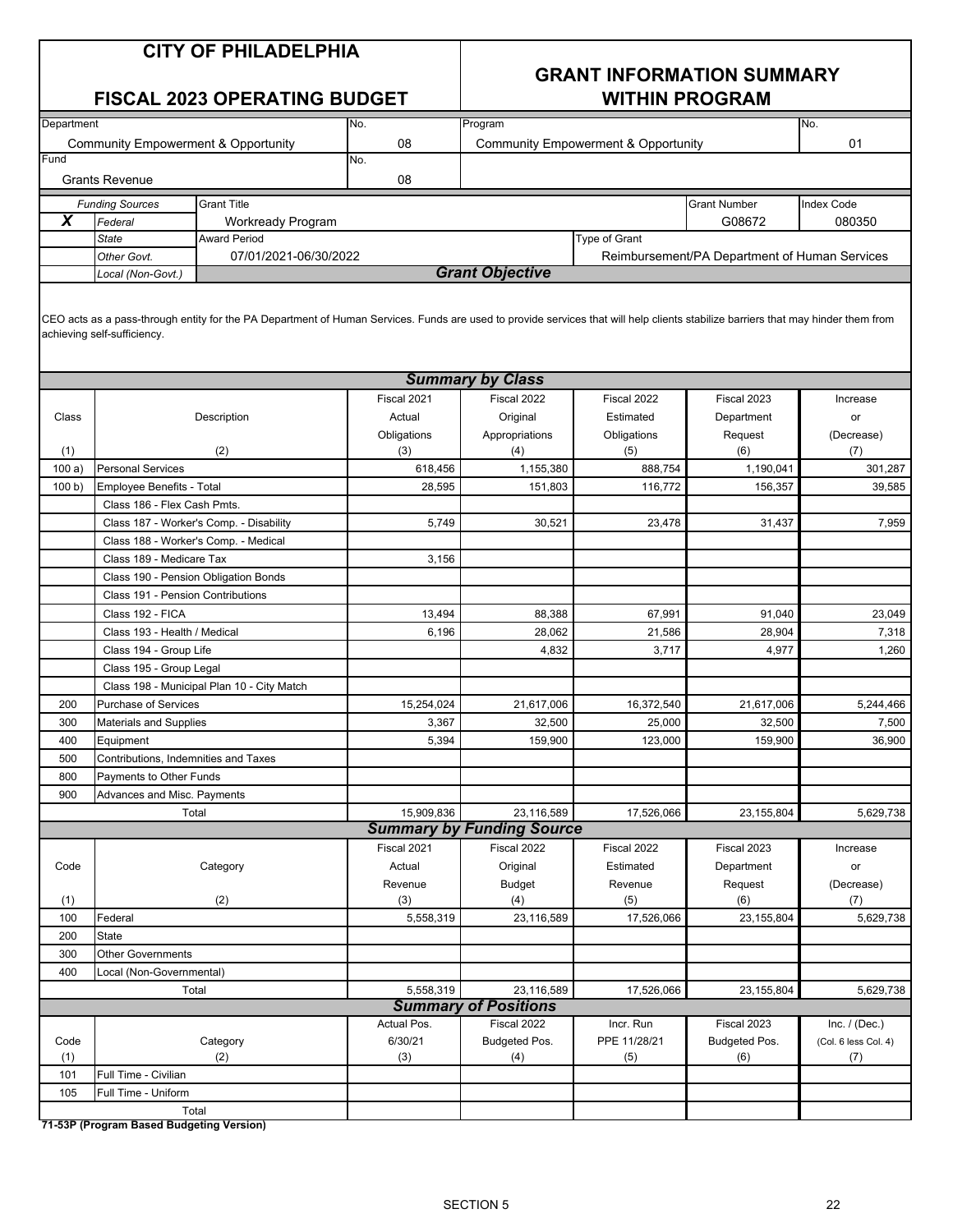**FISCAL 2023 OPERATING BUDGET** 

### **GRANT INFORMATION SUMMARY**

| Department |                                                |                                                                                                                                                                                   | No.         | Program                                        |                |                                               | No.                  |
|------------|------------------------------------------------|-----------------------------------------------------------------------------------------------------------------------------------------------------------------------------------|-------------|------------------------------------------------|----------------|-----------------------------------------------|----------------------|
|            |                                                |                                                                                                                                                                                   |             | <b>Community Empowerment &amp; Opportunity</b> |                |                                               |                      |
| Fund       | <b>Community Empowerment &amp; Opportunity</b> |                                                                                                                                                                                   | 08          |                                                |                |                                               | 01                   |
|            |                                                |                                                                                                                                                                                   | No.         |                                                |                |                                               |                      |
|            | <b>Grants Revenue</b>                          |                                                                                                                                                                                   | 08          |                                                |                |                                               |                      |
|            | <b>Funding Sources</b>                         | <b>Grant Title</b>                                                                                                                                                                |             |                                                |                | <b>Grant Number</b>                           | <b>Index Code</b>    |
| X          | Federal                                        | Workready Program                                                                                                                                                                 |             |                                                |                | G08672                                        | 080350               |
|            | <b>State</b>                                   | <b>Award Period</b>                                                                                                                                                               |             |                                                | Type of Grant  |                                               |                      |
|            | Other Govt.                                    | 07/01/2021-06/30/2022                                                                                                                                                             |             |                                                |                | Reimbursement/PA Department of Human Services |                      |
|            | Local (Non-Govt.)                              |                                                                                                                                                                                   |             | <b>Grant Objective</b>                         |                |                                               |                      |
|            |                                                |                                                                                                                                                                                   |             |                                                |                |                                               |                      |
|            | achieving self-sufficiency.                    | CEO acts as a pass-through entity for the PA Department of Human Services. Funds are used to provide services that will help clients stabilize barriers that may hinder them from |             |                                                |                |                                               |                      |
|            |                                                |                                                                                                                                                                                   |             | <b>Summary by Class</b>                        |                |                                               |                      |
|            |                                                |                                                                                                                                                                                   | Fiscal 2021 | Fiscal 2022                                    | Fiscal 2022    | Fiscal 2023                                   | Increase             |
| Class      |                                                | Description                                                                                                                                                                       | Actual      | Original                                       | Estimated      | Department                                    | or                   |
|            |                                                |                                                                                                                                                                                   | Obligations | Appropriations                                 | Obligations    | Request                                       | (Decrease)           |
| (1)        |                                                | (2)                                                                                                                                                                               | (3)         | (4)                                            | (5)            | (6)                                           | (7)                  |
| 100a)      | <b>Personal Services</b>                       |                                                                                                                                                                                   | 618,456     | 1,155,380                                      | 888,754        | 1,190,041                                     | 301,287              |
| 100 b      | Employee Benefits - Total                      |                                                                                                                                                                                   | 28,595      | 151,803                                        | 116,772        | 156,357                                       | 39,585               |
|            | Class 186 - Flex Cash Pmts.                    |                                                                                                                                                                                   |             |                                                |                |                                               |                      |
|            |                                                | Class 187 - Worker's Comp. - Disability                                                                                                                                           | 5,749       | 30,521                                         | 23,478         | 31,437                                        | 7,959                |
|            | Class 188 - Worker's Comp. - Medical           |                                                                                                                                                                                   |             |                                                |                |                                               |                      |
|            | Class 189 - Medicare Tax                       |                                                                                                                                                                                   |             |                                                |                |                                               |                      |
|            |                                                |                                                                                                                                                                                   | 3,156       |                                                |                |                                               |                      |
|            | Class 190 - Pension Obligation Bonds           |                                                                                                                                                                                   |             |                                                |                |                                               |                      |
|            | Class 191 - Pension Contributions              |                                                                                                                                                                                   |             |                                                |                |                                               |                      |
|            | Class 192 - FICA                               |                                                                                                                                                                                   | 13,494      | 88,388                                         | 67,991         | 91,040                                        | 23,049               |
|            | Class 193 - Health / Medical                   |                                                                                                                                                                                   | 6,196       | 28,062                                         | 21,586         | 28,904                                        | 7,318                |
|            | Class 194 - Group Life                         |                                                                                                                                                                                   |             | 4,832                                          | 3,717          | 4,977                                         | 1,260                |
|            | Class 195 - Group Legal                        |                                                                                                                                                                                   |             |                                                |                |                                               |                      |
|            |                                                | Class 198 - Municipal Plan 10 - City Match                                                                                                                                        |             |                                                |                |                                               |                      |
| 200        | Purchase of Services                           |                                                                                                                                                                                   | 15,254,024  | 21,617,006                                     | 16,372,540     | 21,617,006                                    | 5,244,466            |
| 300        | <b>Materials and Supplies</b>                  |                                                                                                                                                                                   | 3,367       | 32,500                                         | 25,000         | 32,500                                        | 7,500                |
| 400        | Equipment                                      |                                                                                                                                                                                   | 5,394       | 159,900                                        | 123,000        | 159,900                                       | 36,900               |
| 500        | Contributions, Indemnities and Taxes           |                                                                                                                                                                                   |             |                                                |                |                                               |                      |
| 800        | Payments to Other Funds                        |                                                                                                                                                                                   |             |                                                |                |                                               |                      |
| 900        | Advances and Misc. Payments                    |                                                                                                                                                                                   |             |                                                |                |                                               |                      |
|            | Total                                          |                                                                                                                                                                                   | 15,909,836  | 23,116,589                                     | 17,526,066     | 23,155,804                                    | 5,629,738            |
|            |                                                |                                                                                                                                                                                   |             | <b>Summary by Funding Source</b>               |                |                                               |                      |
|            |                                                |                                                                                                                                                                                   | Fiscal 2021 | Fiscal 2022                                    | Fiscal 2022    | Fiscal 2023                                   | Increase             |
| Code       |                                                | Category                                                                                                                                                                          | Actual      | Original                                       | Estimated      | Department                                    | or                   |
|            |                                                |                                                                                                                                                                                   | Revenue     |                                                |                |                                               |                      |
| (1)        |                                                | (2)                                                                                                                                                                               | (3)         | Budget<br>(4)                                  | Revenue<br>(5) | Request<br>(6)                                | (Decrease)           |
|            | Federal                                        |                                                                                                                                                                                   | 5,558,319   | 23,116,589                                     | 17,526,066     | 23,155,804                                    | (7)<br>5,629,738     |
| 100        |                                                |                                                                                                                                                                                   |             |                                                |                |                                               |                      |
| 200        | State                                          |                                                                                                                                                                                   |             |                                                |                |                                               |                      |
| 300        | <b>Other Governments</b>                       |                                                                                                                                                                                   |             |                                                |                |                                               |                      |
| 400        | Local (Non-Governmental)                       |                                                                                                                                                                                   |             |                                                |                |                                               |                      |
|            | Total                                          |                                                                                                                                                                                   | 5,558,319   | 23,116,589                                     | 17,526,066     | 23,155,804                                    | 5,629,738            |
|            |                                                |                                                                                                                                                                                   |             | <b>Summary of Positions</b>                    |                |                                               |                      |
|            |                                                |                                                                                                                                                                                   | Actual Pos. | Fiscal 2022                                    | Incr. Run      | Fiscal 2023                                   | Inc. $/$ (Dec.)      |
| Code       |                                                | Category                                                                                                                                                                          | 6/30/21     | Budgeted Pos.                                  | PPE 11/28/21   | Budgeted Pos.                                 | (Col. 6 less Col. 4) |
| (1)        |                                                | (2)                                                                                                                                                                               | (3)         | (4)                                            | (5)            | (6)                                           | (7)                  |
| 101        | Full Time - Civilian                           |                                                                                                                                                                                   |             |                                                |                |                                               |                      |
| 105        | Full Time - Uniform                            |                                                                                                                                                                                   |             |                                                |                |                                               |                      |
|            | Total                                          |                                                                                                                                                                                   |             |                                                |                |                                               |                      |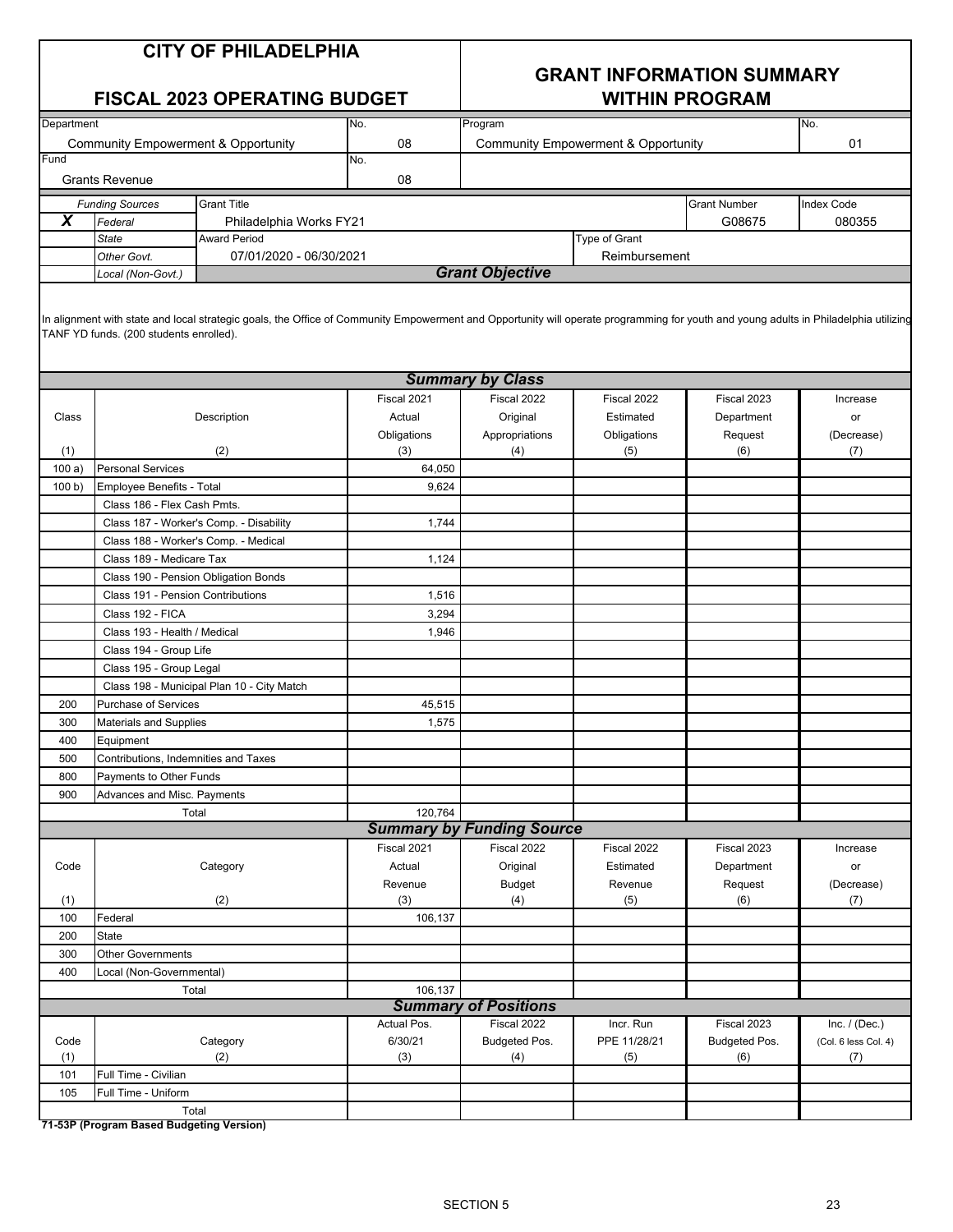| <b>CITY OF PHILADELPHIA</b> |  |
|-----------------------------|--|
|-----------------------------|--|

#### **FISCAL 2023 OPERATING BUDGET**

### **GRANT INFORMATION SUMMARY**

| Department |                                                |                                                                                                                                                                                      | No.         | Program                          |                                                |                     | No.                  |
|------------|------------------------------------------------|--------------------------------------------------------------------------------------------------------------------------------------------------------------------------------------|-------------|----------------------------------|------------------------------------------------|---------------------|----------------------|
|            | <b>Community Empowerment &amp; Opportunity</b> |                                                                                                                                                                                      | 08          |                                  | <b>Community Empowerment &amp; Opportunity</b> |                     | 01                   |
| Fund       |                                                |                                                                                                                                                                                      | No.         |                                  |                                                |                     |                      |
|            | <b>Grants Revenue</b>                          |                                                                                                                                                                                      | 08          |                                  |                                                |                     |                      |
|            | <b>Funding Sources</b>                         | <b>Grant Title</b>                                                                                                                                                                   |             |                                  |                                                | <b>Grant Number</b> | <b>Index Code</b>    |
| X          | Federal                                        | Philadelphia Works FY21                                                                                                                                                              |             |                                  |                                                | G08675              | 080355               |
|            | <b>State</b>                                   | <b>Award Period</b>                                                                                                                                                                  |             |                                  | Type of Grant                                  |                     |                      |
|            | Other Govt.                                    | 07/01/2020 - 06/30/2021                                                                                                                                                              |             |                                  | Reimbursement                                  |                     |                      |
|            | Local (Non-Govt.)                              |                                                                                                                                                                                      |             | <b>Grant Objective</b>           |                                                |                     |                      |
|            |                                                |                                                                                                                                                                                      |             |                                  |                                                |                     |                      |
|            | TANF YD funds. (200 students enrolled).        | In alignment with state and local strategic goals, the Office of Community Empowerment and Opportunity will operate programming for youth and young adults in Philadelphia utilizing |             |                                  |                                                |                     |                      |
|            |                                                |                                                                                                                                                                                      |             | <b>Summary by Class</b>          |                                                |                     |                      |
|            |                                                |                                                                                                                                                                                      | Fiscal 2021 | Fiscal 2022                      | Fiscal 2022                                    | Fiscal 2023         | Increase             |
| Class      |                                                | Description                                                                                                                                                                          | Actual      | Original                         | Estimated                                      | Department          | or                   |
|            |                                                |                                                                                                                                                                                      | Obligations | Appropriations                   | Obligations                                    | Request             | (Decrease)           |
| (1)        |                                                | (2)                                                                                                                                                                                  | (3)         | (4)                              | (5)                                            | (6)                 | (7)                  |
| 100a)      | <b>Personal Services</b>                       |                                                                                                                                                                                      | 64,050      |                                  |                                                |                     |                      |
| 100 b)     | Employee Benefits - Total                      |                                                                                                                                                                                      | 9,624       |                                  |                                                |                     |                      |
|            | Class 186 - Flex Cash Pmts.                    |                                                                                                                                                                                      |             |                                  |                                                |                     |                      |
|            |                                                | Class 187 - Worker's Comp. - Disability                                                                                                                                              | 1,744       |                                  |                                                |                     |                      |
|            | Class 188 - Worker's Comp. - Medical           |                                                                                                                                                                                      |             |                                  |                                                |                     |                      |
|            | Class 189 - Medicare Tax                       |                                                                                                                                                                                      | 1,124       |                                  |                                                |                     |                      |
|            | Class 190 - Pension Obligation Bonds           |                                                                                                                                                                                      |             |                                  |                                                |                     |                      |
|            | Class 191 - Pension Contributions              |                                                                                                                                                                                      | 1,516       |                                  |                                                |                     |                      |
|            | Class 192 - FICA                               |                                                                                                                                                                                      | 3,294       |                                  |                                                |                     |                      |
|            | Class 193 - Health / Medical                   |                                                                                                                                                                                      | 1,946       |                                  |                                                |                     |                      |
|            | Class 194 - Group Life                         |                                                                                                                                                                                      |             |                                  |                                                |                     |                      |
|            | Class 195 - Group Legal                        |                                                                                                                                                                                      |             |                                  |                                                |                     |                      |
|            |                                                | Class 198 - Municipal Plan 10 - City Match                                                                                                                                           |             |                                  |                                                |                     |                      |
| 200        | Purchase of Services                           |                                                                                                                                                                                      | 45,515      |                                  |                                                |                     |                      |
| 300        | Materials and Supplies                         |                                                                                                                                                                                      | 1,575       |                                  |                                                |                     |                      |
| 400        | Equipment                                      |                                                                                                                                                                                      |             |                                  |                                                |                     |                      |
| 500        | Contributions, Indemnities and Taxes           |                                                                                                                                                                                      |             |                                  |                                                |                     |                      |
| 800        | Payments to Other Funds                        |                                                                                                                                                                                      |             |                                  |                                                |                     |                      |
| 900        | Advances and Misc. Payments                    |                                                                                                                                                                                      |             |                                  |                                                |                     |                      |
|            |                                                | Total                                                                                                                                                                                | 120,764     |                                  |                                                |                     |                      |
|            |                                                |                                                                                                                                                                                      |             | <b>Summary by Funding Source</b> |                                                |                     |                      |
|            |                                                |                                                                                                                                                                                      | Fiscal 2021 | Fiscal 2022                      | Fiscal 2022                                    | Fiscal 2023         | Increase             |
| Code       |                                                | Category                                                                                                                                                                             | Actual      | Original                         | Estimated                                      | Department          | or                   |
|            |                                                |                                                                                                                                                                                      | Revenue     | <b>Budget</b>                    | Revenue                                        | Request             | (Decrease)           |
| (1)        |                                                | (2)                                                                                                                                                                                  | (3)         | (4)                              | (5)                                            | (6)                 | (7)                  |
| 100        | Federal                                        |                                                                                                                                                                                      | 106,137     |                                  |                                                |                     |                      |
| 200        | State                                          |                                                                                                                                                                                      |             |                                  |                                                |                     |                      |
| 300        | <b>Other Governments</b>                       |                                                                                                                                                                                      |             |                                  |                                                |                     |                      |
| 400        | Local (Non-Governmental)                       |                                                                                                                                                                                      |             |                                  |                                                |                     |                      |
|            | Total                                          |                                                                                                                                                                                      | 106,137     |                                  |                                                |                     |                      |
|            |                                                |                                                                                                                                                                                      |             | <b>Summary of Positions</b>      |                                                |                     |                      |
|            |                                                |                                                                                                                                                                                      | Actual Pos. | Fiscal 2022                      | Incr. Run                                      | Fiscal 2023         | Inc. $/$ (Dec.)      |
| Code       |                                                | Category                                                                                                                                                                             | 6/30/21     | Budgeted Pos.                    | PPE 11/28/21                                   | Budgeted Pos.       | (Col. 6 less Col. 4) |
| (1)        |                                                | (2)                                                                                                                                                                                  | (3)         | (4)                              | (5)                                            | (6)                 | (7)                  |
| 101        | Full Time - Civilian                           |                                                                                                                                                                                      |             |                                  |                                                |                     |                      |
| 105        | Full Time - Uniform                            |                                                                                                                                                                                      |             |                                  |                                                |                     |                      |
|            |                                                | Total                                                                                                                                                                                |             |                                  |                                                |                     |                      |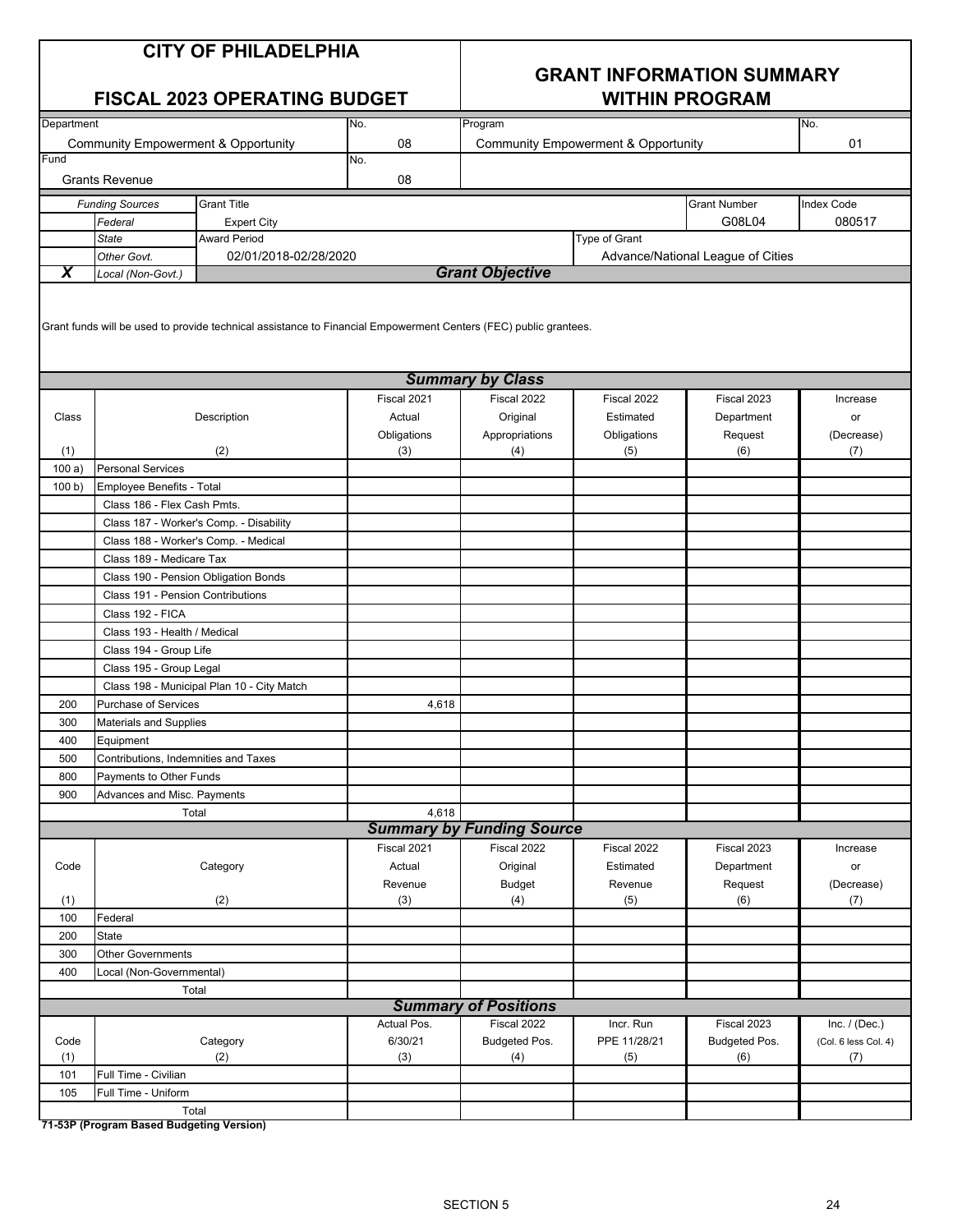| <b>CITY OF PHILADELPHIA</b><br><b>FISCAL 2023 OPERATING BUDGET</b><br>Department<br>No. |                                                |                                                                                                                  | <b>GRANT INFORMATION SUMMARY</b><br><b>WITHIN PROGRAM</b> |                                  |                                                |                                   |                      |
|-----------------------------------------------------------------------------------------|------------------------------------------------|------------------------------------------------------------------------------------------------------------------|-----------------------------------------------------------|----------------------------------|------------------------------------------------|-----------------------------------|----------------------|
|                                                                                         |                                                |                                                                                                                  |                                                           | Program                          |                                                |                                   | No.                  |
|                                                                                         | <b>Community Empowerment &amp; Opportunity</b> |                                                                                                                  | 08                                                        |                                  | <b>Community Empowerment &amp; Opportunity</b> |                                   | 01                   |
| Fund                                                                                    |                                                |                                                                                                                  | No.                                                       |                                  |                                                |                                   |                      |
|                                                                                         | <b>Grants Revenue</b>                          |                                                                                                                  | 08                                                        |                                  |                                                |                                   |                      |
|                                                                                         | <b>Funding Sources</b>                         | <b>Grant Title</b>                                                                                               |                                                           |                                  |                                                | <b>Grant Number</b>               | Index Code           |
|                                                                                         | Federal                                        | <b>Expert City</b>                                                                                               |                                                           |                                  |                                                | G08L04                            | 080517               |
|                                                                                         | <b>State</b>                                   | <b>Award Period</b>                                                                                              |                                                           |                                  | Type of Grant                                  |                                   |                      |
|                                                                                         | Other Govt.                                    | 02/01/2018-02/28/2020                                                                                            |                                                           |                                  |                                                | Advance/National League of Cities |                      |
| $\overline{\textbf{x}}$                                                                 | Local (Non-Govt.)                              |                                                                                                                  |                                                           | <b>Grant Objective</b>           |                                                |                                   |                      |
|                                                                                         |                                                | Grant funds will be used to provide technical assistance to Financial Empowerment Centers (FEC) public grantees. |                                                           | <b>Summary by Class</b>          |                                                |                                   |                      |
|                                                                                         |                                                |                                                                                                                  | Fiscal 2021                                               | Fiscal 2022                      | Fiscal 2022                                    | Fiscal 2023                       | Increase             |
| Class                                                                                   |                                                | Description                                                                                                      | Actual                                                    | Original                         | Estimated                                      | Department                        | or                   |
|                                                                                         |                                                |                                                                                                                  | Obligations                                               | Appropriations                   | Obligations                                    | Request                           | (Decrease)           |
| (1)                                                                                     |                                                | (2)                                                                                                              | (3)                                                       | (4)                              | (5)                                            | (6)                               | (7)                  |
| 100a)                                                                                   | <b>Personal Services</b>                       |                                                                                                                  |                                                           |                                  |                                                |                                   |                      |
| 100 b                                                                                   | Employee Benefits - Total                      |                                                                                                                  |                                                           |                                  |                                                |                                   |                      |
|                                                                                         | Class 186 - Flex Cash Pmts.                    |                                                                                                                  |                                                           |                                  |                                                |                                   |                      |
|                                                                                         |                                                | Class 187 - Worker's Comp. - Disability                                                                          |                                                           |                                  |                                                |                                   |                      |
|                                                                                         | Class 188 - Worker's Comp. - Medical           |                                                                                                                  |                                                           |                                  |                                                |                                   |                      |
|                                                                                         | Class 189 - Medicare Tax                       |                                                                                                                  |                                                           |                                  |                                                |                                   |                      |
|                                                                                         | Class 190 - Pension Obligation Bonds           |                                                                                                                  |                                                           |                                  |                                                |                                   |                      |
|                                                                                         | Class 191 - Pension Contributions              |                                                                                                                  |                                                           |                                  |                                                |                                   |                      |
|                                                                                         | Class 192 - FICA                               |                                                                                                                  |                                                           |                                  |                                                |                                   |                      |
|                                                                                         | Class 193 - Health / Medical                   |                                                                                                                  |                                                           |                                  |                                                |                                   |                      |
|                                                                                         | Class 194 - Group Life                         |                                                                                                                  |                                                           |                                  |                                                |                                   |                      |
|                                                                                         | Class 195 - Group Legal                        |                                                                                                                  |                                                           |                                  |                                                |                                   |                      |
|                                                                                         |                                                | Class 198 - Municipal Plan 10 - City Match                                                                       |                                                           |                                  |                                                |                                   |                      |
| 200                                                                                     | <b>Purchase of Services</b>                    |                                                                                                                  | 4,618                                                     |                                  |                                                |                                   |                      |
| 300                                                                                     | <b>Materials and Supplies</b>                  |                                                                                                                  |                                                           |                                  |                                                |                                   |                      |
| 400                                                                                     | Equipment                                      |                                                                                                                  |                                                           |                                  |                                                |                                   |                      |
| 500                                                                                     | Contributions, Indemnities and Taxes           |                                                                                                                  |                                                           |                                  |                                                |                                   |                      |
| 800                                                                                     | Payments to Other Funds                        |                                                                                                                  |                                                           |                                  |                                                |                                   |                      |
| 900                                                                                     | Advances and Misc. Payments                    |                                                                                                                  |                                                           |                                  |                                                |                                   |                      |
|                                                                                         | Total                                          |                                                                                                                  | 4,618                                                     |                                  |                                                |                                   |                      |
|                                                                                         |                                                |                                                                                                                  |                                                           | <b>Summary by Funding Source</b> |                                                |                                   |                      |
|                                                                                         |                                                |                                                                                                                  | Fiscal 2021                                               | Fiscal 2022                      | Fiscal 2022                                    | Fiscal 2023                       | Increase             |
| Code                                                                                    |                                                | Category                                                                                                         | Actual                                                    | Original                         | Estimated                                      | Department                        | or                   |
|                                                                                         |                                                |                                                                                                                  | Revenue                                                   | <b>Budget</b>                    | Revenue                                        | Request                           | (Decrease)           |
| (1)                                                                                     |                                                | (2)                                                                                                              | (3)                                                       | (4)                              | (5)                                            | (6)                               | (7)                  |
| 100                                                                                     | Federal                                        |                                                                                                                  |                                                           |                                  |                                                |                                   |                      |
| 200                                                                                     | <b>State</b>                                   |                                                                                                                  |                                                           |                                  |                                                |                                   |                      |
| 300                                                                                     | <b>Other Governments</b>                       |                                                                                                                  |                                                           |                                  |                                                |                                   |                      |
| 400                                                                                     | Local (Non-Governmental)                       |                                                                                                                  |                                                           |                                  |                                                |                                   |                      |
|                                                                                         | Total                                          |                                                                                                                  |                                                           |                                  |                                                |                                   |                      |
|                                                                                         |                                                |                                                                                                                  |                                                           | <b>Summary of Positions</b>      |                                                |                                   |                      |
|                                                                                         |                                                |                                                                                                                  | Actual Pos.                                               | Fiscal 2022                      | Incr. Run                                      | Fiscal 2023                       | Inc. $/$ (Dec.)      |
| Code                                                                                    |                                                | Category                                                                                                         | 6/30/21                                                   | Budgeted Pos.                    | PPE 11/28/21                                   | Budgeted Pos.                     | (Col. 6 less Col. 4) |
| (1)                                                                                     |                                                | (2)                                                                                                              | (3)                                                       | (4)                              | (5)                                            | (6)                               | (7)                  |
| 101                                                                                     | Full Time - Civilian                           |                                                                                                                  |                                                           |                                  |                                                |                                   |                      |
| 105                                                                                     | Full Time - Uniform                            |                                                                                                                  |                                                           |                                  |                                                |                                   |                      |
|                                                                                         | Total                                          |                                                                                                                  |                                                           |                                  |                                                |                                   |                      |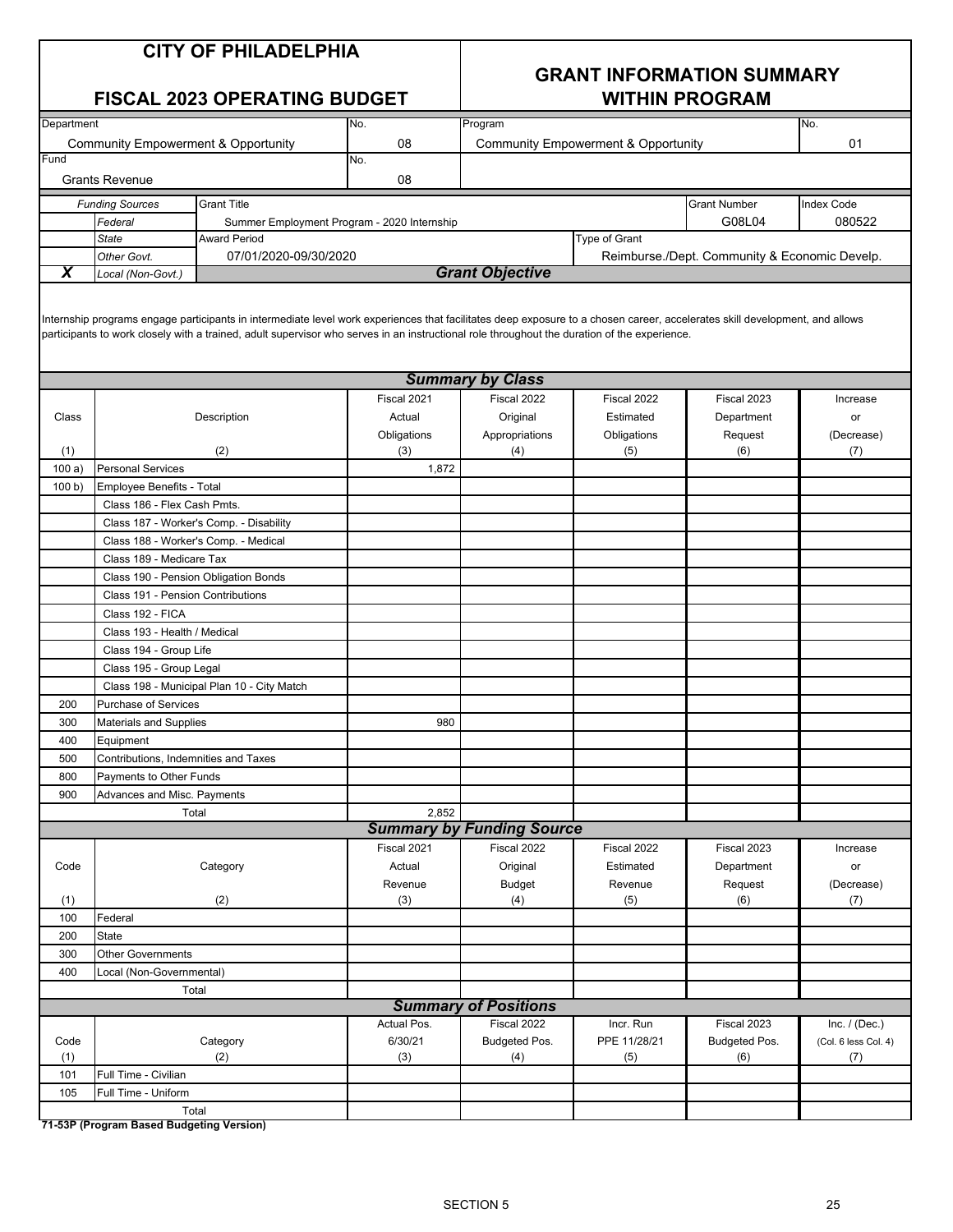| <b>CITY OF PHILADELPHIA</b> |  |
|-----------------------------|--|
|-----------------------------|--|

**FISCAL 2023 OPERATING BUDGET** 

## **GRANT INFORMATION SUMMARY**

| Department                                     |                                              |                                                                                                                                                                                                                                                                                                                             | No.                                         | Program                                        |               |                                               | No.                  |
|------------------------------------------------|----------------------------------------------|-----------------------------------------------------------------------------------------------------------------------------------------------------------------------------------------------------------------------------------------------------------------------------------------------------------------------------|---------------------------------------------|------------------------------------------------|---------------|-----------------------------------------------|----------------------|
| <b>Community Empowerment &amp; Opportunity</b> |                                              |                                                                                                                                                                                                                                                                                                                             |                                             | <b>Community Empowerment &amp; Opportunity</b> |               |                                               |                      |
| Fund                                           |                                              |                                                                                                                                                                                                                                                                                                                             | 08<br>No.                                   |                                                |               |                                               | 01                   |
|                                                | <b>Grants Revenue</b>                        |                                                                                                                                                                                                                                                                                                                             | 08                                          |                                                |               |                                               |                      |
|                                                | <b>Funding Sources</b><br><b>Grant Title</b> |                                                                                                                                                                                                                                                                                                                             |                                             |                                                |               | <b>Grant Number</b>                           | <b>Index Code</b>    |
|                                                | Federal                                      |                                                                                                                                                                                                                                                                                                                             | Summer Employment Program - 2020 Internship |                                                |               | G08L04                                        | 080522               |
|                                                | <b>State</b>                                 | <b>Award Period</b>                                                                                                                                                                                                                                                                                                         |                                             |                                                | Type of Grant |                                               |                      |
|                                                | Other Govt.                                  | 07/01/2020-09/30/2020                                                                                                                                                                                                                                                                                                       |                                             |                                                |               | Reimburse./Dept. Community & Economic Develp. |                      |
| $\overline{\textbf{x}}$                        | Local (Non-Govt.)                            |                                                                                                                                                                                                                                                                                                                             |                                             | <b>Grant Objective</b>                         |               |                                               |                      |
|                                                |                                              |                                                                                                                                                                                                                                                                                                                             |                                             |                                                |               |                                               |                      |
|                                                |                                              | Internship programs engage participants in intermediate level work experiences that facilitates deep exposure to a chosen career, accelerates skill development, and allows<br>participants to work closely with a trained, adult supervisor who serves in an instructional role throughout the duration of the experience. |                                             |                                                |               |                                               |                      |
|                                                |                                              |                                                                                                                                                                                                                                                                                                                             |                                             | <b>Summary by Class</b>                        |               |                                               |                      |
|                                                |                                              |                                                                                                                                                                                                                                                                                                                             | Fiscal 2021                                 | Fiscal 2022                                    | Fiscal 2022   | Fiscal 2023                                   | Increase             |
| Class                                          |                                              | Description                                                                                                                                                                                                                                                                                                                 | Actual                                      | Original                                       | Estimated     | Department                                    | or                   |
|                                                |                                              |                                                                                                                                                                                                                                                                                                                             | Obligations                                 | Appropriations                                 | Obligations   | Request                                       | (Decrease)           |
| (1)                                            |                                              | (2)                                                                                                                                                                                                                                                                                                                         | (3)                                         | (4)                                            | (5)           | (6)                                           | (7)                  |
| 100a)                                          | <b>Personal Services</b>                     |                                                                                                                                                                                                                                                                                                                             | 1,872                                       |                                                |               |                                               |                      |
| 100 b)                                         | <b>Employee Benefits - Total</b>             |                                                                                                                                                                                                                                                                                                                             |                                             |                                                |               |                                               |                      |
|                                                | Class 186 - Flex Cash Pmts.                  |                                                                                                                                                                                                                                                                                                                             |                                             |                                                |               |                                               |                      |
|                                                |                                              | Class 187 - Worker's Comp. - Disability                                                                                                                                                                                                                                                                                     |                                             |                                                |               |                                               |                      |
|                                                | Class 188 - Worker's Comp. - Medical         |                                                                                                                                                                                                                                                                                                                             |                                             |                                                |               |                                               |                      |
|                                                | Class 189 - Medicare Tax                     |                                                                                                                                                                                                                                                                                                                             |                                             |                                                |               |                                               |                      |
|                                                | Class 190 - Pension Obligation Bonds         |                                                                                                                                                                                                                                                                                                                             |                                             |                                                |               |                                               |                      |
|                                                | Class 191 - Pension Contributions            |                                                                                                                                                                                                                                                                                                                             |                                             |                                                |               |                                               |                      |
|                                                | Class 192 - FICA                             |                                                                                                                                                                                                                                                                                                                             |                                             |                                                |               |                                               |                      |
|                                                | Class 193 - Health / Medical                 |                                                                                                                                                                                                                                                                                                                             |                                             |                                                |               |                                               |                      |
|                                                |                                              |                                                                                                                                                                                                                                                                                                                             |                                             |                                                |               |                                               |                      |
|                                                | Class 194 - Group Life                       |                                                                                                                                                                                                                                                                                                                             |                                             |                                                |               |                                               |                      |
|                                                | Class 195 - Group Legal                      |                                                                                                                                                                                                                                                                                                                             |                                             |                                                |               |                                               |                      |
|                                                |                                              | Class 198 - Municipal Plan 10 - City Match                                                                                                                                                                                                                                                                                  |                                             |                                                |               |                                               |                      |
| 200                                            | <b>Purchase of Services</b>                  |                                                                                                                                                                                                                                                                                                                             |                                             |                                                |               |                                               |                      |
| 300                                            | <b>Materials and Supplies</b>                |                                                                                                                                                                                                                                                                                                                             | 980                                         |                                                |               |                                               |                      |
| 400                                            | Equipment                                    |                                                                                                                                                                                                                                                                                                                             |                                             |                                                |               |                                               |                      |
| 500                                            | Contributions, Indemnities and Taxes         |                                                                                                                                                                                                                                                                                                                             |                                             |                                                |               |                                               |                      |
| 800                                            | Payments to Other Funds                      |                                                                                                                                                                                                                                                                                                                             |                                             |                                                |               |                                               |                      |
| 900                                            | Advances and Misc. Payments                  |                                                                                                                                                                                                                                                                                                                             |                                             |                                                |               |                                               |                      |
|                                                | Total                                        |                                                                                                                                                                                                                                                                                                                             | 2,852                                       |                                                |               |                                               |                      |
|                                                |                                              |                                                                                                                                                                                                                                                                                                                             |                                             | <b>Summary by Funding Source</b>               |               |                                               |                      |
|                                                |                                              |                                                                                                                                                                                                                                                                                                                             | Fiscal 2021                                 | Fiscal 2022                                    | Fiscal 2022   | Fiscal 2023                                   | Increase             |
| Code                                           |                                              | Category                                                                                                                                                                                                                                                                                                                    | Actual                                      | Original                                       | Estimated     | Department                                    | or                   |
|                                                |                                              |                                                                                                                                                                                                                                                                                                                             | Revenue                                     | <b>Budget</b>                                  | Revenue       | Request                                       | (Decrease)           |
| (1)                                            |                                              | (2)                                                                                                                                                                                                                                                                                                                         | (3)                                         | (4)                                            | (5)           | (6)                                           | (7)                  |
| 100                                            | Federal                                      |                                                                                                                                                                                                                                                                                                                             |                                             |                                                |               |                                               |                      |
| 200                                            | State                                        |                                                                                                                                                                                                                                                                                                                             |                                             |                                                |               |                                               |                      |
| 300                                            | <b>Other Governments</b>                     |                                                                                                                                                                                                                                                                                                                             |                                             |                                                |               |                                               |                      |
| 400                                            | Local (Non-Governmental)                     |                                                                                                                                                                                                                                                                                                                             |                                             |                                                |               |                                               |                      |
|                                                | Total                                        |                                                                                                                                                                                                                                                                                                                             |                                             |                                                |               |                                               |                      |
|                                                |                                              |                                                                                                                                                                                                                                                                                                                             |                                             | <b>Summary of Positions</b>                    |               |                                               |                      |
|                                                |                                              |                                                                                                                                                                                                                                                                                                                             | Actual Pos.                                 | Fiscal 2022                                    | Incr. Run     | Fiscal 2023                                   | Inc. $/$ (Dec.)      |
| Code                                           |                                              | Category                                                                                                                                                                                                                                                                                                                    | 6/30/21                                     | Budgeted Pos.                                  | PPE 11/28/21  | Budgeted Pos.                                 | (Col. 6 less Col. 4) |
| (1)                                            |                                              | (2)                                                                                                                                                                                                                                                                                                                         | (3)                                         | (4)                                            | (5)           | (6)                                           | (7)                  |
| 101                                            | Full Time - Civilian                         |                                                                                                                                                                                                                                                                                                                             |                                             |                                                |               |                                               |                      |
| 105                                            | Full Time - Uniform                          |                                                                                                                                                                                                                                                                                                                             |                                             |                                                |               |                                               |                      |
|                                                | Total                                        |                                                                                                                                                                                                                                                                                                                             |                                             |                                                |               |                                               |                      |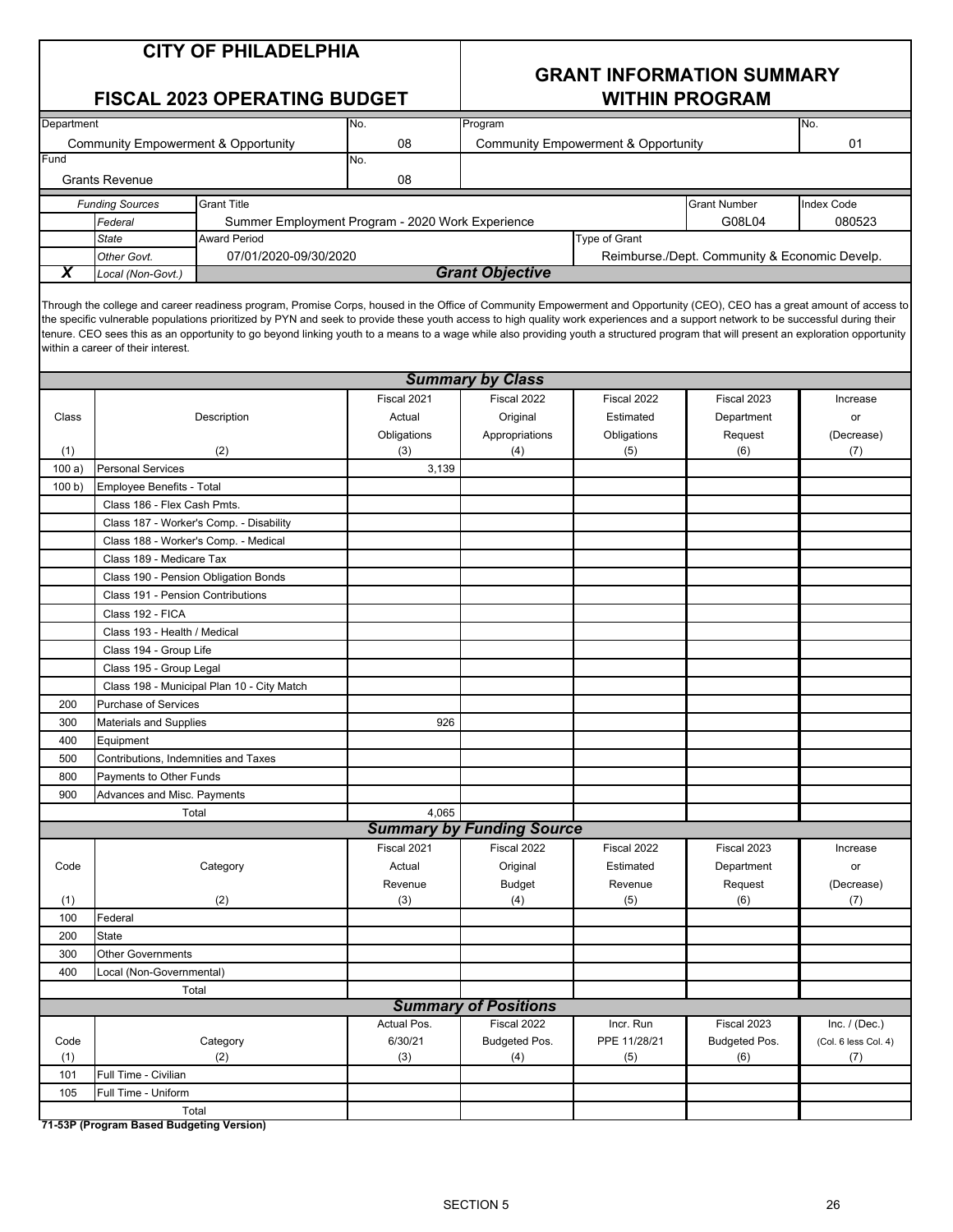#### **GRANT INFORMATION SUMMARY WITHIN PROGRAM**

| <b>FISCAL 2023 OPERATING BUDGET</b> |  |
|-------------------------------------|--|
|-------------------------------------|--|

| Department                                   |                   |                                                  | No.  | Program                |                                     |                                               | No.    |
|----------------------------------------------|-------------------|--------------------------------------------------|------|------------------------|-------------------------------------|-----------------------------------------------|--------|
| Community Empowerment & Opportunity          |                   |                                                  | 08   |                        | Community Empowerment & Opportunity |                                               |        |
| Fund                                         |                   |                                                  | INo. |                        |                                     |                                               |        |
| <b>Grants Revenue</b>                        |                   |                                                  | 08   |                        |                                     |                                               |        |
|                                              |                   |                                                  |      |                        |                                     |                                               |        |
| <b>Funding Sources</b><br><b>Grant Title</b> |                   |                                                  |      |                        | <b>Grant Number</b>                 | Index Code                                    |        |
|                                              | Federal           | Summer Employment Program - 2020 Work Experience |      |                        |                                     | G08L04                                        | 080523 |
|                                              | State             | <b>Award Period</b>                              |      |                        | Type of Grant                       |                                               |        |
|                                              | Other Govt.       | 07/01/2020-09/30/2020                            |      |                        |                                     | Reimburse./Dept. Community & Economic Develp. |        |
|                                              | Local (Non-Govt.) |                                                  |      | <b>Grant Objective</b> |                                     |                                               |        |

Through the college and career readiness program, Promise Corps, housed in the Office of Community Empowerment and Opportunity (CEO), CEO has a great amount of access to the specific vulnerable populations prioritized by PYN and seek to provide these youth access to high quality work experiences and a support network to be successful during their tenure. CEO sees this as an opportunity to go beyond linking youth to a means to a wage while also providing youth a structured program that will present an exploration opportunity within a career of their interest.

|        |                                            |             | <b>Summary by Class</b>          |              |               |                      |
|--------|--------------------------------------------|-------------|----------------------------------|--------------|---------------|----------------------|
|        |                                            | Fiscal 2021 | Fiscal 2022                      | Fiscal 2022  | Fiscal 2023   | Increase             |
| Class  | Description                                | Actual      | Original                         | Estimated    | Department    | or                   |
|        |                                            | Obligations | Appropriations                   | Obligations  | Request       | (Decrease)           |
| (1)    | (2)                                        | (3)         | (4)                              | (5)          | (6)           | (7)                  |
| 100a)  | <b>Personal Services</b>                   | 3,139       |                                  |              |               |                      |
| 100 b) | <b>Employee Benefits - Total</b>           |             |                                  |              |               |                      |
|        | Class 186 - Flex Cash Pmts.                |             |                                  |              |               |                      |
|        | Class 187 - Worker's Comp. - Disability    |             |                                  |              |               |                      |
|        | Class 188 - Worker's Comp. - Medical       |             |                                  |              |               |                      |
|        | Class 189 - Medicare Tax                   |             |                                  |              |               |                      |
|        | Class 190 - Pension Obligation Bonds       |             |                                  |              |               |                      |
|        | Class 191 - Pension Contributions          |             |                                  |              |               |                      |
|        | Class 192 - FICA                           |             |                                  |              |               |                      |
|        | Class 193 - Health / Medical               |             |                                  |              |               |                      |
|        | Class 194 - Group Life                     |             |                                  |              |               |                      |
|        | Class 195 - Group Legal                    |             |                                  |              |               |                      |
|        | Class 198 - Municipal Plan 10 - City Match |             |                                  |              |               |                      |
| 200    | <b>Purchase of Services</b>                |             |                                  |              |               |                      |
| 300    | <b>Materials and Supplies</b>              | 926         |                                  |              |               |                      |
| 400    | Equipment                                  |             |                                  |              |               |                      |
| 500    | Contributions, Indemnities and Taxes       |             |                                  |              |               |                      |
| 800    | Payments to Other Funds                    |             |                                  |              |               |                      |
| 900    | Advances and Misc. Payments                |             |                                  |              |               |                      |
|        | Total                                      | 4.065       |                                  |              |               |                      |
|        |                                            |             | <b>Summary by Funding Source</b> |              |               |                      |
|        |                                            | Fiscal 2021 | Fiscal 2022                      | Fiscal 2022  | Fiscal 2023   | Increase             |
| Code   | Category                                   | Actual      | Original                         | Estimated    | Department    | or                   |
|        |                                            | Revenue     | <b>Budget</b>                    | Revenue      | Request       | (Decrease)           |
| (1)    | (2)                                        | (3)         | (4)                              | (5)          | (6)           | (7)                  |
| 100    | Federal                                    |             |                                  |              |               |                      |
| 200    | State                                      |             |                                  |              |               |                      |
| 300    | <b>Other Governments</b>                   |             |                                  |              |               |                      |
| 400    | Local (Non-Governmental)                   |             |                                  |              |               |                      |
|        | Total                                      |             |                                  |              |               |                      |
|        |                                            |             | <b>Summary of Positions</b>      |              |               |                      |
|        |                                            | Actual Pos. | Fiscal 2022                      | Incr. Run    | Fiscal 2023   | Inc. $/$ (Dec.)      |
| Code   | Category                                   | 6/30/21     | Budgeted Pos.                    | PPE 11/28/21 | Budgeted Pos. | (Col. 6 less Col. 4) |
| (1)    | (2)                                        | (3)         | (4)                              | (5)          | (6)           | (7)                  |
| 101    | Full Time - Civilian                       |             |                                  |              |               |                      |
| 105    | Full Time - Uniform                        |             |                                  |              |               |                      |
|        | Total                                      |             |                                  |              |               |                      |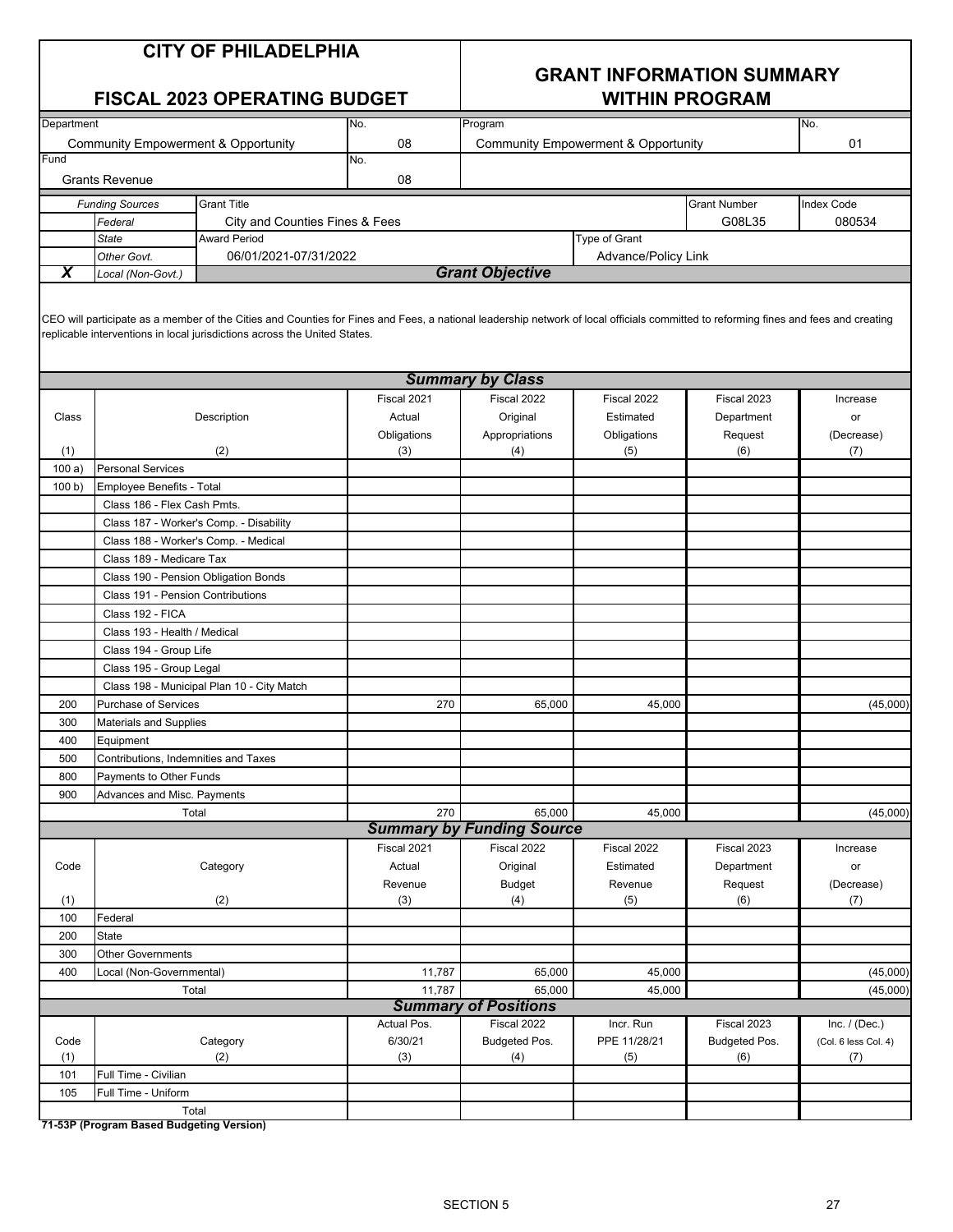|  |  | <b>CITY OF PHILADELPHIA</b> |  |
|--|--|-----------------------------|--|
|--|--|-----------------------------|--|

## **GRANT INFORMATION SUMMARY**

| <b>FISCAL 2023 OPERATING BUDGET</b>            |                                                       |                                                                                                                                                                                                                                                                  | <b>WITHIN PROGRAM</b> |                                  |                                                |                     |                      |
|------------------------------------------------|-------------------------------------------------------|------------------------------------------------------------------------------------------------------------------------------------------------------------------------------------------------------------------------------------------------------------------|-----------------------|----------------------------------|------------------------------------------------|---------------------|----------------------|
| Department                                     |                                                       |                                                                                                                                                                                                                                                                  | No.                   | Program                          |                                                |                     | No.                  |
| <b>Community Empowerment &amp; Opportunity</b> |                                                       |                                                                                                                                                                                                                                                                  | 08                    |                                  | <b>Community Empowerment &amp; Opportunity</b> |                     | 01                   |
| Fund                                           |                                                       |                                                                                                                                                                                                                                                                  | No.                   |                                  |                                                |                     |                      |
|                                                | <b>Grants Revenue</b>                                 |                                                                                                                                                                                                                                                                  | 08                    |                                  |                                                |                     |                      |
|                                                | <b>Funding Sources</b>                                | <b>Grant Title</b>                                                                                                                                                                                                                                               |                       |                                  |                                                | <b>Grant Number</b> | <b>Index Code</b>    |
|                                                | Federal                                               | City and Counties Fines & Fees                                                                                                                                                                                                                                   |                       |                                  |                                                | G08L35              | 080534               |
|                                                | <b>State</b>                                          | <b>Award Period</b>                                                                                                                                                                                                                                              |                       |                                  | Type of Grant                                  |                     |                      |
|                                                | Other Govt.                                           | 06/01/2021-07/31/2022                                                                                                                                                                                                                                            |                       |                                  | Advance/Policy Link                            |                     |                      |
| X                                              | Local (Non-Govt.)                                     |                                                                                                                                                                                                                                                                  |                       | <b>Grant Objective</b>           |                                                |                     |                      |
|                                                |                                                       | CEO will participate as a member of the Cities and Counties for Fines and Fees, a national leadership network of local officials committed to reforming fines and fees and creating<br>replicable interventions in local jurisdictions across the United States. |                       |                                  |                                                |                     |                      |
|                                                |                                                       |                                                                                                                                                                                                                                                                  |                       | <b>Summary by Class</b>          |                                                |                     |                      |
|                                                |                                                       |                                                                                                                                                                                                                                                                  | Fiscal 2021           | Fiscal 2022                      | Fiscal 2022                                    | Fiscal 2023         | Increase             |
| Class                                          |                                                       | Description                                                                                                                                                                                                                                                      | Actual                | Original                         | Estimated                                      | Department          | or                   |
|                                                |                                                       |                                                                                                                                                                                                                                                                  | Obligations           | Appropriations                   | Obligations                                    | Request             | (Decrease)           |
| (1)                                            |                                                       | (2)                                                                                                                                                                                                                                                              | (3)                   | (4)                              | (5)                                            | (6)                 | (7)                  |
| 100a)                                          | <b>Personal Services</b>                              |                                                                                                                                                                                                                                                                  |                       |                                  |                                                |                     |                      |
| 100 b                                          | <b>Employee Benefits - Total</b>                      |                                                                                                                                                                                                                                                                  |                       |                                  |                                                |                     |                      |
|                                                | Class 186 - Flex Cash Pmts.                           |                                                                                                                                                                                                                                                                  |                       |                                  |                                                |                     |                      |
|                                                |                                                       | Class 187 - Worker's Comp. - Disability                                                                                                                                                                                                                          |                       |                                  |                                                |                     |                      |
|                                                | Class 188 - Worker's Comp. - Medical                  |                                                                                                                                                                                                                                                                  |                       |                                  |                                                |                     |                      |
|                                                | Class 189 - Medicare Tax                              |                                                                                                                                                                                                                                                                  |                       |                                  |                                                |                     |                      |
|                                                | Class 190 - Pension Obligation Bonds                  |                                                                                                                                                                                                                                                                  |                       |                                  |                                                |                     |                      |
|                                                | Class 191 - Pension Contributions<br>Class 192 - FICA |                                                                                                                                                                                                                                                                  |                       |                                  |                                                |                     |                      |
|                                                | Class 193 - Health / Medical                          |                                                                                                                                                                                                                                                                  |                       |                                  |                                                |                     |                      |
|                                                | Class 194 - Group Life                                |                                                                                                                                                                                                                                                                  |                       |                                  |                                                |                     |                      |
|                                                | Class 195 - Group Legal                               |                                                                                                                                                                                                                                                                  |                       |                                  |                                                |                     |                      |
|                                                |                                                       | Class 198 - Municipal Plan 10 - City Match                                                                                                                                                                                                                       |                       |                                  |                                                |                     |                      |
| 200                                            | <b>Purchase of Services</b>                           |                                                                                                                                                                                                                                                                  | 270                   | 65,000                           | 45,000                                         |                     | (45,000)             |
| 300                                            | <b>Materials and Supplies</b>                         |                                                                                                                                                                                                                                                                  |                       |                                  |                                                |                     |                      |
| 400                                            | Equipment                                             |                                                                                                                                                                                                                                                                  |                       |                                  |                                                |                     |                      |
| 500                                            | Contributions, Indemnities and Taxes                  |                                                                                                                                                                                                                                                                  |                       |                                  |                                                |                     |                      |
| 800                                            | Payments to Other Funds                               |                                                                                                                                                                                                                                                                  |                       |                                  |                                                |                     |                      |
| 900                                            | Advances and Misc. Payments                           |                                                                                                                                                                                                                                                                  |                       |                                  |                                                |                     |                      |
|                                                | Total                                                 |                                                                                                                                                                                                                                                                  | 270                   | 65,000                           | 45,000                                         |                     | (45,000)             |
|                                                |                                                       |                                                                                                                                                                                                                                                                  |                       | <b>Summary by Funding Source</b> |                                                |                     |                      |
|                                                |                                                       |                                                                                                                                                                                                                                                                  | Fiscal 2021           | Fiscal 2022                      | Fiscal 2022                                    | Fiscal 2023         | Increase             |
| Code                                           |                                                       | Category                                                                                                                                                                                                                                                         | Actual                | Original                         | Estimated                                      | Department          | or                   |
|                                                |                                                       |                                                                                                                                                                                                                                                                  | Revenue               | <b>Budget</b>                    | Revenue                                        | Request             | (Decrease)           |
| (1)                                            |                                                       | (2)                                                                                                                                                                                                                                                              | (3)                   | (4)                              | (5)                                            | (6)                 | (7)                  |
| 100<br>200                                     | Federal<br>State                                      |                                                                                                                                                                                                                                                                  |                       |                                  |                                                |                     |                      |
| 300                                            | <b>Other Governments</b>                              |                                                                                                                                                                                                                                                                  |                       |                                  |                                                |                     |                      |
| 400                                            | Local (Non-Governmental)                              |                                                                                                                                                                                                                                                                  | 11,787                | 65,000                           | 45,000                                         |                     | (45,000)             |
|                                                | Total                                                 |                                                                                                                                                                                                                                                                  | 11,787                | 65,000                           | 45,000                                         |                     | (45,000)             |
|                                                |                                                       |                                                                                                                                                                                                                                                                  |                       | <b>Summary of Positions</b>      |                                                |                     |                      |
|                                                |                                                       |                                                                                                                                                                                                                                                                  | Actual Pos.           | Fiscal 2022                      | Incr. Run                                      | Fiscal 2023         | Inc. $/$ (Dec.)      |
| Code                                           |                                                       | Category                                                                                                                                                                                                                                                         | 6/30/21               | Budgeted Pos.                    | PPE 11/28/21                                   | Budgeted Pos.       | (Col. 6 less Col. 4) |
| (1)                                            |                                                       | (2)                                                                                                                                                                                                                                                              | (3)                   | (4)                              | (5)                                            | (6)                 | (7)                  |
| 101                                            | Full Time - Civilian                                  |                                                                                                                                                                                                                                                                  |                       |                                  |                                                |                     |                      |
| 105                                            | Full Time - Uniform                                   |                                                                                                                                                                                                                                                                  |                       |                                  |                                                |                     |                      |
|                                                | Total                                                 |                                                                                                                                                                                                                                                                  |                       |                                  |                                                |                     |                      |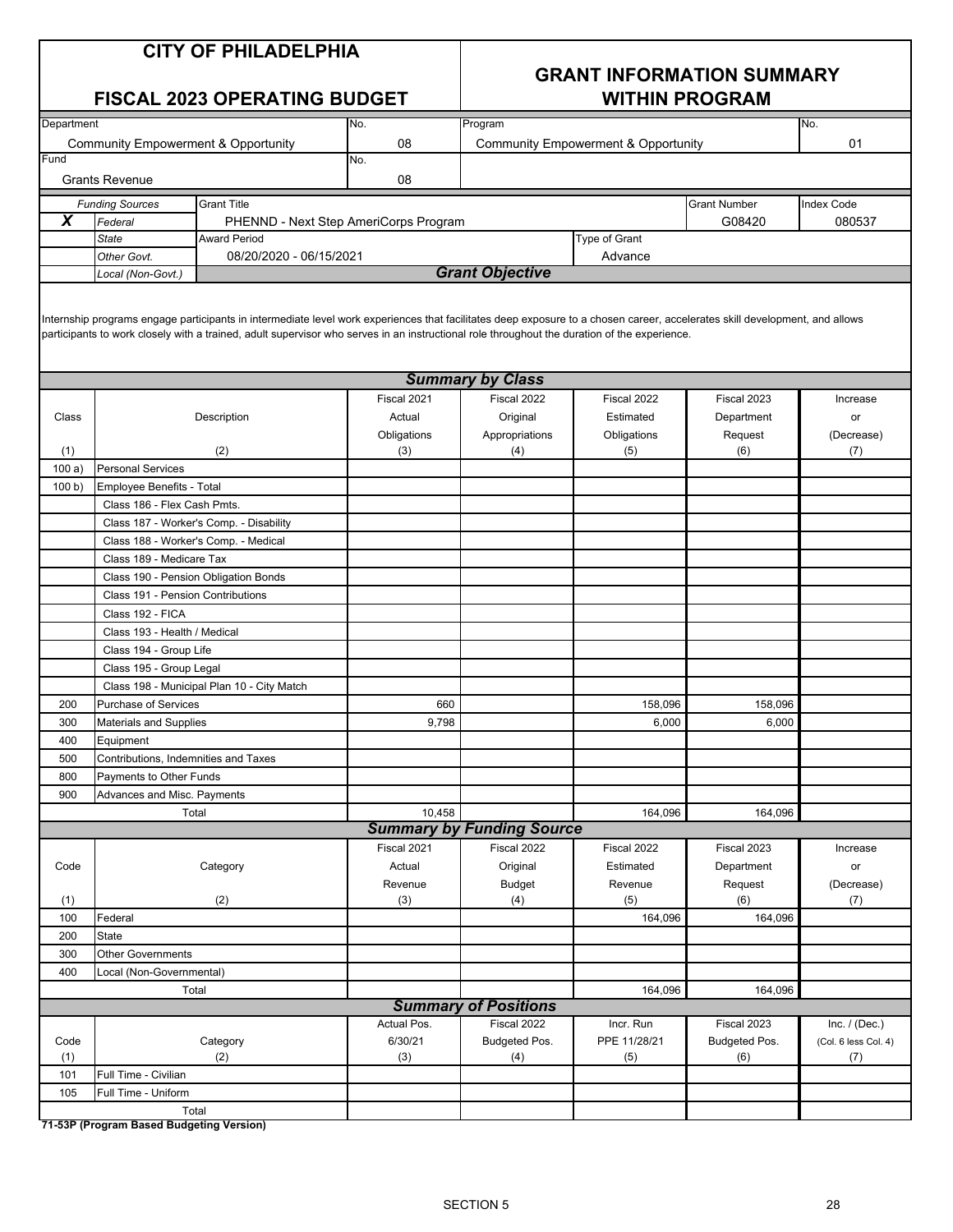| <b>CITY OF PHILADELPHIA</b> |  |
|-----------------------------|--|
|-----------------------------|--|

**FISCAL 2023 OPERATING BUDGET** 

## **GRANT INFORMATION SUMMARY**

| Department |                                                |                                                                                                                                                                                                                                                                                                                             | No.                                   | Program                                              |               |                     | No.                  |
|------------|------------------------------------------------|-----------------------------------------------------------------------------------------------------------------------------------------------------------------------------------------------------------------------------------------------------------------------------------------------------------------------------|---------------------------------------|------------------------------------------------------|---------------|---------------------|----------------------|
|            | <b>Community Empowerment &amp; Opportunity</b> |                                                                                                                                                                                                                                                                                                                             | 08                                    | <b>Community Empowerment &amp; Opportunity</b><br>01 |               |                     |                      |
| Fund       |                                                |                                                                                                                                                                                                                                                                                                                             | No.                                   |                                                      |               |                     |                      |
|            | <b>Grants Revenue</b>                          |                                                                                                                                                                                                                                                                                                                             | 08                                    |                                                      |               |                     |                      |
|            |                                                |                                                                                                                                                                                                                                                                                                                             |                                       |                                                      |               |                     |                      |
|            | <b>Funding Sources</b>                         | <b>Grant Title</b>                                                                                                                                                                                                                                                                                                          |                                       |                                                      |               | <b>Grant Number</b> | <b>Index Code</b>    |
| X          | Federal                                        |                                                                                                                                                                                                                                                                                                                             | PHENND - Next Step AmeriCorps Program |                                                      |               | G08420              | 080537               |
|            | <b>State</b>                                   | <b>Award Period</b>                                                                                                                                                                                                                                                                                                         |                                       |                                                      | Type of Grant |                     |                      |
|            | Other Govt.                                    | 08/20/2020 - 06/15/2021                                                                                                                                                                                                                                                                                                     |                                       |                                                      | Advance       |                     |                      |
|            | Local (Non-Govt.)                              |                                                                                                                                                                                                                                                                                                                             |                                       | <b>Grant Objective</b>                               |               |                     |                      |
|            |                                                | Internship programs engage participants in intermediate level work experiences that facilitates deep exposure to a chosen career, accelerates skill development, and allows<br>participants to work closely with a trained, adult supervisor who serves in an instructional role throughout the duration of the experience. |                                       |                                                      |               |                     |                      |
|            |                                                |                                                                                                                                                                                                                                                                                                                             |                                       | <b>Summary by Class</b>                              |               |                     |                      |
|            |                                                |                                                                                                                                                                                                                                                                                                                             | Fiscal 2021                           | Fiscal 2022                                          | Fiscal 2022   | Fiscal 2023         | Increase             |
| Class      |                                                | Description                                                                                                                                                                                                                                                                                                                 | Actual                                | Original                                             | Estimated     | Department          | or                   |
|            |                                                |                                                                                                                                                                                                                                                                                                                             | Obligations                           | Appropriations                                       | Obligations   | Request             | (Decrease)           |
| (1)        |                                                | (2)                                                                                                                                                                                                                                                                                                                         | (3)                                   | (4)                                                  | (5)           | (6)                 | (7)                  |
| 100a)      | <b>Personal Services</b>                       |                                                                                                                                                                                                                                                                                                                             |                                       |                                                      |               |                     |                      |
| 100 b)     | <b>Employee Benefits - Total</b>               |                                                                                                                                                                                                                                                                                                                             |                                       |                                                      |               |                     |                      |
|            | Class 186 - Flex Cash Pmts.                    |                                                                                                                                                                                                                                                                                                                             |                                       |                                                      |               |                     |                      |
|            |                                                | Class 187 - Worker's Comp. - Disability                                                                                                                                                                                                                                                                                     |                                       |                                                      |               |                     |                      |
|            | Class 188 - Worker's Comp. - Medical           |                                                                                                                                                                                                                                                                                                                             |                                       |                                                      |               |                     |                      |
|            | Class 189 - Medicare Tax                       |                                                                                                                                                                                                                                                                                                                             |                                       |                                                      |               |                     |                      |
|            | Class 190 - Pension Obligation Bonds           |                                                                                                                                                                                                                                                                                                                             |                                       |                                                      |               |                     |                      |
|            | Class 191 - Pension Contributions              |                                                                                                                                                                                                                                                                                                                             |                                       |                                                      |               |                     |                      |
|            | Class 192 - FICA                               |                                                                                                                                                                                                                                                                                                                             |                                       |                                                      |               |                     |                      |
|            | Class 193 - Health / Medical                   |                                                                                                                                                                                                                                                                                                                             |                                       |                                                      |               |                     |                      |
|            | Class 194 - Group Life                         |                                                                                                                                                                                                                                                                                                                             |                                       |                                                      |               |                     |                      |
|            | Class 195 - Group Legal                        |                                                                                                                                                                                                                                                                                                                             |                                       |                                                      |               |                     |                      |
|            |                                                | Class 198 - Municipal Plan 10 - City Match                                                                                                                                                                                                                                                                                  |                                       |                                                      |               |                     |                      |
| 200        | Purchase of Services                           |                                                                                                                                                                                                                                                                                                                             | 660                                   |                                                      | 158,096       | 158,096             |                      |
| 300        | <b>Materials and Supplies</b>                  |                                                                                                                                                                                                                                                                                                                             | 9,798                                 |                                                      | 6,000         | 6,000               |                      |
| 400        | Equipment                                      |                                                                                                                                                                                                                                                                                                                             |                                       |                                                      |               |                     |                      |
| 500        | Contributions, Indemnities and Taxes           |                                                                                                                                                                                                                                                                                                                             |                                       |                                                      |               |                     |                      |
| 800        | Payments to Other Funds                        |                                                                                                                                                                                                                                                                                                                             |                                       |                                                      |               |                     |                      |
| 900        | Advances and Misc. Payments                    |                                                                                                                                                                                                                                                                                                                             |                                       |                                                      |               |                     |                      |
|            | Total                                          |                                                                                                                                                                                                                                                                                                                             | 10,458                                |                                                      | 164,096       | 164,096             |                      |
|            |                                                |                                                                                                                                                                                                                                                                                                                             |                                       | <b>Summary by Funding Source</b>                     |               |                     |                      |
|            |                                                |                                                                                                                                                                                                                                                                                                                             | Fiscal 2021                           | Fiscal 2022                                          | Fiscal 2022   | Fiscal 2023         | Increase             |
| Code       |                                                | Category                                                                                                                                                                                                                                                                                                                    | Actual                                | Original                                             | Estimated     | Department          | or                   |
|            |                                                |                                                                                                                                                                                                                                                                                                                             | Revenue                               | <b>Budget</b>                                        | Revenue       | Request             | (Decrease)           |
| (1)        |                                                | (2)                                                                                                                                                                                                                                                                                                                         | (3)                                   | (4)                                                  | (5)           | (6)                 | (7)                  |
| 100        | Federal                                        |                                                                                                                                                                                                                                                                                                                             |                                       |                                                      | 164,096       | 164,096             |                      |
| 200        | State                                          |                                                                                                                                                                                                                                                                                                                             |                                       |                                                      |               |                     |                      |
| 300        | <b>Other Governments</b>                       |                                                                                                                                                                                                                                                                                                                             |                                       |                                                      |               |                     |                      |
| 400        | Local (Non-Governmental)                       |                                                                                                                                                                                                                                                                                                                             |                                       |                                                      |               |                     |                      |
|            | Total                                          |                                                                                                                                                                                                                                                                                                                             |                                       |                                                      | 164,096       | 164,096             |                      |
|            |                                                |                                                                                                                                                                                                                                                                                                                             |                                       | <b>Summary of Positions</b>                          |               |                     |                      |
|            |                                                |                                                                                                                                                                                                                                                                                                                             | Actual Pos.                           | Fiscal 2022                                          | Incr. Run     | Fiscal 2023         | Inc. $/$ (Dec.)      |
| Code       |                                                | Category                                                                                                                                                                                                                                                                                                                    | 6/30/21                               | Budgeted Pos.                                        | PPE 11/28/21  | Budgeted Pos.       | (Col. 6 less Col. 4) |
| (1)        |                                                | (2)                                                                                                                                                                                                                                                                                                                         | (3)                                   | (4)                                                  | (5)           | (6)                 | (7)                  |
| 101        | Full Time - Civilian                           |                                                                                                                                                                                                                                                                                                                             |                                       |                                                      |               |                     |                      |
| 105        | Full Time - Uniform                            |                                                                                                                                                                                                                                                                                                                             |                                       |                                                      |               |                     |                      |
| Total      |                                                |                                                                                                                                                                                                                                                                                                                             |                                       |                                                      |               |                     |                      |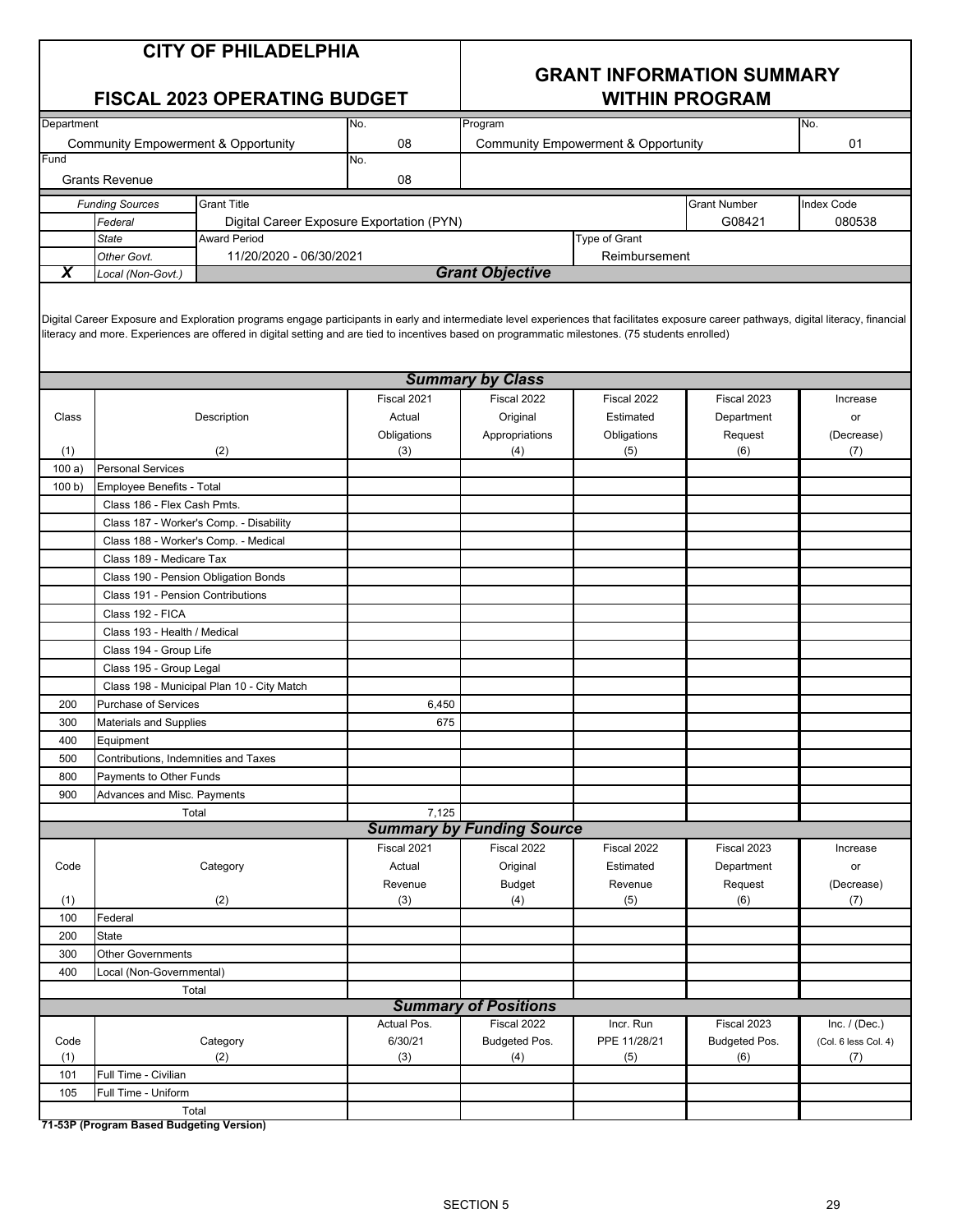| <b>CITY OF PHILADELPHIA</b> |  |
|-----------------------------|--|
|-----------------------------|--|

## **GRANT INFORMATION SUMMARY**

| Program<br>Department<br>No.                                                                                                                                                                                                                                                                                                                 |                             |
|----------------------------------------------------------------------------------------------------------------------------------------------------------------------------------------------------------------------------------------------------------------------------------------------------------------------------------------------|-----------------------------|
|                                                                                                                                                                                                                                                                                                                                              | No.                         |
| <b>Community Empowerment &amp; Opportunity</b><br>08<br><b>Community Empowerment &amp; Opportunity</b>                                                                                                                                                                                                                                       | 01                          |
| Fund<br>No.                                                                                                                                                                                                                                                                                                                                  |                             |
| 08<br><b>Grants Revenue</b>                                                                                                                                                                                                                                                                                                                  |                             |
| <b>Grant Title</b><br><b>Grant Number</b><br><b>Funding Sources</b>                                                                                                                                                                                                                                                                          | <b>Index Code</b>           |
| G08421<br>Digital Career Exposure Exportation (PYN)<br>Federal                                                                                                                                                                                                                                                                               | 080538                      |
| <b>Award Period</b><br>Type of Grant<br><b>State</b>                                                                                                                                                                                                                                                                                         |                             |
| 11/20/2020 - 06/30/2021<br>Reimbursement<br>Other Govt.                                                                                                                                                                                                                                                                                      |                             |
| <b>Grant Objective</b><br>X<br>Local (Non-Govt.)                                                                                                                                                                                                                                                                                             |                             |
| Digital Career Exposure and Exploration programs engage participants in early and intermediate level experiences that facilitates exposure career pathways, digital literacy, financial<br>literacy and more. Experiences are offered in digital setting and are tied to incentives based on programmatic milestones. (75 students enrolled) |                             |
| <b>Summary by Class</b>                                                                                                                                                                                                                                                                                                                      |                             |
| Fiscal 2021<br>Fiscal 2022<br>Fiscal 2022<br>Fiscal 2023                                                                                                                                                                                                                                                                                     | Increase                    |
| Actual<br>Class<br>Description<br>Original<br>Estimated<br>Department                                                                                                                                                                                                                                                                        | or                          |
| Obligations<br>Appropriations<br>Request<br>Obligations                                                                                                                                                                                                                                                                                      | (Decrease)                  |
| (1)<br>(2)<br>(3)<br>(4)<br>(6)<br>(5)                                                                                                                                                                                                                                                                                                       | (7)                         |
| <b>Personal Services</b><br>100a)                                                                                                                                                                                                                                                                                                            |                             |
| 100 b<br><b>Employee Benefits - Total</b><br>Class 186 - Flex Cash Pmts.                                                                                                                                                                                                                                                                     |                             |
| Class 187 - Worker's Comp. - Disability                                                                                                                                                                                                                                                                                                      |                             |
| Class 188 - Worker's Comp. - Medical                                                                                                                                                                                                                                                                                                         |                             |
| Class 189 - Medicare Tax                                                                                                                                                                                                                                                                                                                     |                             |
| Class 190 - Pension Obligation Bonds                                                                                                                                                                                                                                                                                                         |                             |
| Class 191 - Pension Contributions                                                                                                                                                                                                                                                                                                            |                             |
| Class 192 - FICA                                                                                                                                                                                                                                                                                                                             |                             |
| Class 193 - Health / Medical                                                                                                                                                                                                                                                                                                                 |                             |
| Class 194 - Group Life                                                                                                                                                                                                                                                                                                                       |                             |
| Class 195 - Group Legal                                                                                                                                                                                                                                                                                                                      |                             |
| Class 198 - Municipal Plan 10 - City Match                                                                                                                                                                                                                                                                                                   |                             |
| 200<br><b>Purchase of Services</b><br>6,450                                                                                                                                                                                                                                                                                                  |                             |
| 300<br>675<br><b>Materials and Supplies</b>                                                                                                                                                                                                                                                                                                  |                             |
| 400<br>Equipment                                                                                                                                                                                                                                                                                                                             |                             |
| Contributions. Indemnities and Taxes<br>500                                                                                                                                                                                                                                                                                                  |                             |
| 800<br>Payments to Other Funds                                                                                                                                                                                                                                                                                                               |                             |
| 900<br>Advances and Misc. Payments                                                                                                                                                                                                                                                                                                           |                             |
| 7,125<br>Total<br><b>Summary by Funding Source</b>                                                                                                                                                                                                                                                                                           |                             |
| Fiscal 2022<br>Fiscal 2021<br>Fiscal 2022<br>Fiscal 2023                                                                                                                                                                                                                                                                                     | Increase                    |
| Code<br>Actual<br>Original<br>Estimated<br>Category<br>Department                                                                                                                                                                                                                                                                            | or                          |
| Revenue<br><b>Budget</b><br>Request<br>Revenue                                                                                                                                                                                                                                                                                               | (Decrease)                  |
| (2)<br>(3)<br>(1)<br>(4)<br>(5)<br>(6)                                                                                                                                                                                                                                                                                                       | (7)                         |
| Federal<br>100                                                                                                                                                                                                                                                                                                                               |                             |
| 200<br>State                                                                                                                                                                                                                                                                                                                                 |                             |
| 300<br><b>Other Governments</b>                                                                                                                                                                                                                                                                                                              |                             |
| 400<br>Local (Non-Governmental)                                                                                                                                                                                                                                                                                                              |                             |
| Total                                                                                                                                                                                                                                                                                                                                        |                             |
| <b>Summary of Positions</b>                                                                                                                                                                                                                                                                                                                  |                             |
| Actual Pos.<br>Fiscal 2022<br>Fiscal 2023<br>Incr. Run                                                                                                                                                                                                                                                                                       | Inc. $/$ (Dec.)             |
| 6/30/21<br>PPE 11/28/21<br>Code<br>Category<br>Budgeted Pos.<br>Budgeted Pos.<br>(2)<br>(3)<br>(1)                                                                                                                                                                                                                                           | (Col. 6 less Col. 4)<br>(7) |
| (4)<br>(5)<br>(6)<br>Full Time - Civilian<br>101                                                                                                                                                                                                                                                                                             |                             |
| 105<br>Full Time - Uniform                                                                                                                                                                                                                                                                                                                   |                             |
| Total                                                                                                                                                                                                                                                                                                                                        |                             |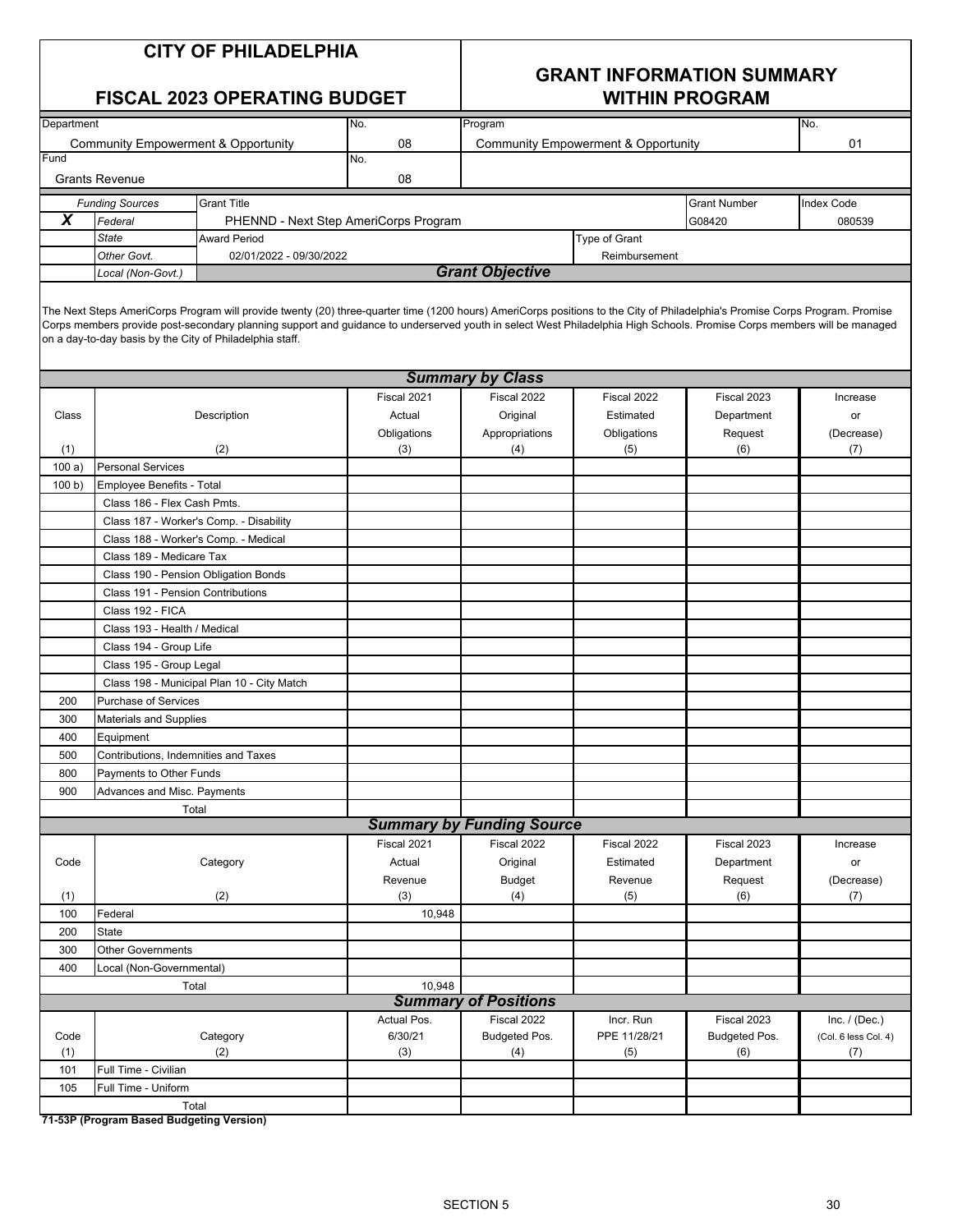#### **GRANT INFORMATION SUMMARY FISCAL 2023 OPERATING BUDGET WITHIN PROGRAM**

| Department                                     |                                      |                                                                                                                                                                                                                                                                                                                                                                                                                     | No.         | Program                                        |               |                     | No.                  |  |
|------------------------------------------------|--------------------------------------|---------------------------------------------------------------------------------------------------------------------------------------------------------------------------------------------------------------------------------------------------------------------------------------------------------------------------------------------------------------------------------------------------------------------|-------------|------------------------------------------------|---------------|---------------------|----------------------|--|
| <b>Community Empowerment &amp; Opportunity</b> |                                      |                                                                                                                                                                                                                                                                                                                                                                                                                     | 08          | <b>Community Empowerment &amp; Opportunity</b> |               |                     | 01                   |  |
| Fund                                           |                                      | No.                                                                                                                                                                                                                                                                                                                                                                                                                 |             |                                                |               |                     |                      |  |
|                                                | <b>Grants Revenue</b>                |                                                                                                                                                                                                                                                                                                                                                                                                                     | 08          |                                                |               |                     |                      |  |
|                                                | <b>Funding Sources</b>               | <b>Grant Title</b>                                                                                                                                                                                                                                                                                                                                                                                                  |             |                                                |               | <b>Grant Number</b> | <b>Index Code</b>    |  |
| X                                              | Federal                              | PHENND - Next Step AmeriCorps Program                                                                                                                                                                                                                                                                                                                                                                               |             |                                                |               | G08420              | 080539               |  |
|                                                | <b>State</b>                         | <b>Award Period</b>                                                                                                                                                                                                                                                                                                                                                                                                 |             |                                                | Type of Grant |                     |                      |  |
|                                                | Other Govt.                          | 02/01/2022 - 09/30/2022                                                                                                                                                                                                                                                                                                                                                                                             |             |                                                | Reimbursement |                     |                      |  |
|                                                | Local (Non-Govt.)                    |                                                                                                                                                                                                                                                                                                                                                                                                                     |             | <b>Grant Objective</b>                         |               |                     |                      |  |
|                                                |                                      |                                                                                                                                                                                                                                                                                                                                                                                                                     |             |                                                |               |                     |                      |  |
|                                                |                                      | The Next Steps AmeriCorps Program will provide twenty (20) three-quarter time (1200 hours) AmeriCorps positions to the City of Philadelphia's Promise Corps Program. Promise<br>Corps members provide post-secondary planning support and guidance to underserved youth in select West Philadelphia High Schools. Promise Corps members will be managed<br>on a day-to-day basis by the City of Philadelphia staff. |             |                                                |               |                     |                      |  |
|                                                |                                      |                                                                                                                                                                                                                                                                                                                                                                                                                     |             | <b>Summary by Class</b>                        |               |                     |                      |  |
|                                                |                                      |                                                                                                                                                                                                                                                                                                                                                                                                                     | Fiscal 2021 | Fiscal 2022                                    | Fiscal 2022   | Fiscal 2023         | Increase             |  |
| Class                                          |                                      | Description                                                                                                                                                                                                                                                                                                                                                                                                         | Actual      | Original                                       | Estimated     | Department          | or                   |  |
|                                                |                                      |                                                                                                                                                                                                                                                                                                                                                                                                                     | Obligations | Appropriations                                 | Obligations   | Request             | (Decrease)           |  |
| (1)                                            |                                      | (2)                                                                                                                                                                                                                                                                                                                                                                                                                 | (3)         | (4)                                            | (5)           | (6)                 | (7)                  |  |
| 100a)                                          | <b>Personal Services</b>             |                                                                                                                                                                                                                                                                                                                                                                                                                     |             |                                                |               |                     |                      |  |
| 100 b)                                         | Employee Benefits - Total            |                                                                                                                                                                                                                                                                                                                                                                                                                     |             |                                                |               |                     |                      |  |
|                                                | Class 186 - Flex Cash Pmts.          |                                                                                                                                                                                                                                                                                                                                                                                                                     |             |                                                |               |                     |                      |  |
|                                                |                                      | Class 187 - Worker's Comp. - Disability                                                                                                                                                                                                                                                                                                                                                                             |             |                                                |               |                     |                      |  |
|                                                | Class 188 - Worker's Comp. - Medical |                                                                                                                                                                                                                                                                                                                                                                                                                     |             |                                                |               |                     |                      |  |
|                                                | Class 189 - Medicare Tax             |                                                                                                                                                                                                                                                                                                                                                                                                                     |             |                                                |               |                     |                      |  |
|                                                | Class 190 - Pension Obligation Bonds |                                                                                                                                                                                                                                                                                                                                                                                                                     |             |                                                |               |                     |                      |  |
|                                                | Class 191 - Pension Contributions    |                                                                                                                                                                                                                                                                                                                                                                                                                     |             |                                                |               |                     |                      |  |
|                                                | Class 192 - FICA                     |                                                                                                                                                                                                                                                                                                                                                                                                                     |             |                                                |               |                     |                      |  |
|                                                | Class 193 - Health / Medical         |                                                                                                                                                                                                                                                                                                                                                                                                                     |             |                                                |               |                     |                      |  |
|                                                | Class 194 - Group Life               |                                                                                                                                                                                                                                                                                                                                                                                                                     |             |                                                |               |                     |                      |  |
|                                                | Class 195 - Group Legal              |                                                                                                                                                                                                                                                                                                                                                                                                                     |             |                                                |               |                     |                      |  |
|                                                |                                      | Class 198 - Municipal Plan 10 - City Match                                                                                                                                                                                                                                                                                                                                                                          |             |                                                |               |                     |                      |  |
| 200                                            | <b>Purchase of Services</b>          |                                                                                                                                                                                                                                                                                                                                                                                                                     |             |                                                |               |                     |                      |  |
| 300                                            | <b>Materials and Supplies</b>        |                                                                                                                                                                                                                                                                                                                                                                                                                     |             |                                                |               |                     |                      |  |
| 400                                            | Equipment                            |                                                                                                                                                                                                                                                                                                                                                                                                                     |             |                                                |               |                     |                      |  |
| 500                                            | Contributions, Indemnities and Taxes |                                                                                                                                                                                                                                                                                                                                                                                                                     |             |                                                |               |                     |                      |  |
| 800                                            | Payments to Other Funds              |                                                                                                                                                                                                                                                                                                                                                                                                                     |             |                                                |               |                     |                      |  |
| 900                                            | Advances and Misc. Payments          |                                                                                                                                                                                                                                                                                                                                                                                                                     |             |                                                |               |                     |                      |  |
|                                                | Total                                |                                                                                                                                                                                                                                                                                                                                                                                                                     |             |                                                |               |                     |                      |  |
|                                                |                                      |                                                                                                                                                                                                                                                                                                                                                                                                                     |             | <b>Summary by Funding Source</b>               |               |                     |                      |  |
|                                                |                                      |                                                                                                                                                                                                                                                                                                                                                                                                                     | Fiscal 2021 | Fiscal 2022                                    | Fiscal 2022   | Fiscal 2023         | Increase             |  |
| Code                                           |                                      | Category                                                                                                                                                                                                                                                                                                                                                                                                            | Actual      | Original                                       | Estimated     | Department          | or                   |  |
|                                                |                                      |                                                                                                                                                                                                                                                                                                                                                                                                                     | Revenue     | <b>Budget</b>                                  | Revenue       | Request             | (Decrease)           |  |
| (1)                                            |                                      | (2)                                                                                                                                                                                                                                                                                                                                                                                                                 | (3)         | (4)                                            | (5)           | (6)                 | (7)                  |  |
| 100                                            | Federal                              |                                                                                                                                                                                                                                                                                                                                                                                                                     | 10,948      |                                                |               |                     |                      |  |
| 200                                            | State                                |                                                                                                                                                                                                                                                                                                                                                                                                                     |             |                                                |               |                     |                      |  |
| 300                                            | <b>Other Governments</b>             |                                                                                                                                                                                                                                                                                                                                                                                                                     |             |                                                |               |                     |                      |  |
| 400<br>Local (Non-Governmental)                |                                      |                                                                                                                                                                                                                                                                                                                                                                                                                     |             |                                                |               |                     |                      |  |
|                                                | Total                                |                                                                                                                                                                                                                                                                                                                                                                                                                     | 10,948      |                                                |               |                     |                      |  |
|                                                | <b>Summary of Positions</b>          |                                                                                                                                                                                                                                                                                                                                                                                                                     |             |                                                |               |                     |                      |  |
|                                                |                                      |                                                                                                                                                                                                                                                                                                                                                                                                                     | Actual Pos. | Fiscal 2022                                    | Incr. Run     | Fiscal 2023         | Inc. $/$ (Dec.)      |  |
| Code                                           |                                      | Category                                                                                                                                                                                                                                                                                                                                                                                                            | 6/30/21     | Budgeted Pos.                                  | PPE 11/28/21  | Budgeted Pos.       | (Col. 6 less Col. 4) |  |
| (1)                                            | Full Time - Civilian                 | (2)                                                                                                                                                                                                                                                                                                                                                                                                                 | (3)         | (4)                                            | (5)           | (6)                 | (7)                  |  |
| 101<br>105                                     | Full Time - Uniform                  |                                                                                                                                                                                                                                                                                                                                                                                                                     |             |                                                |               |                     |                      |  |
|                                                | Total                                |                                                                                                                                                                                                                                                                                                                                                                                                                     |             |                                                |               |                     |                      |  |
|                                                |                                      |                                                                                                                                                                                                                                                                                                                                                                                                                     |             |                                                |               |                     |                      |  |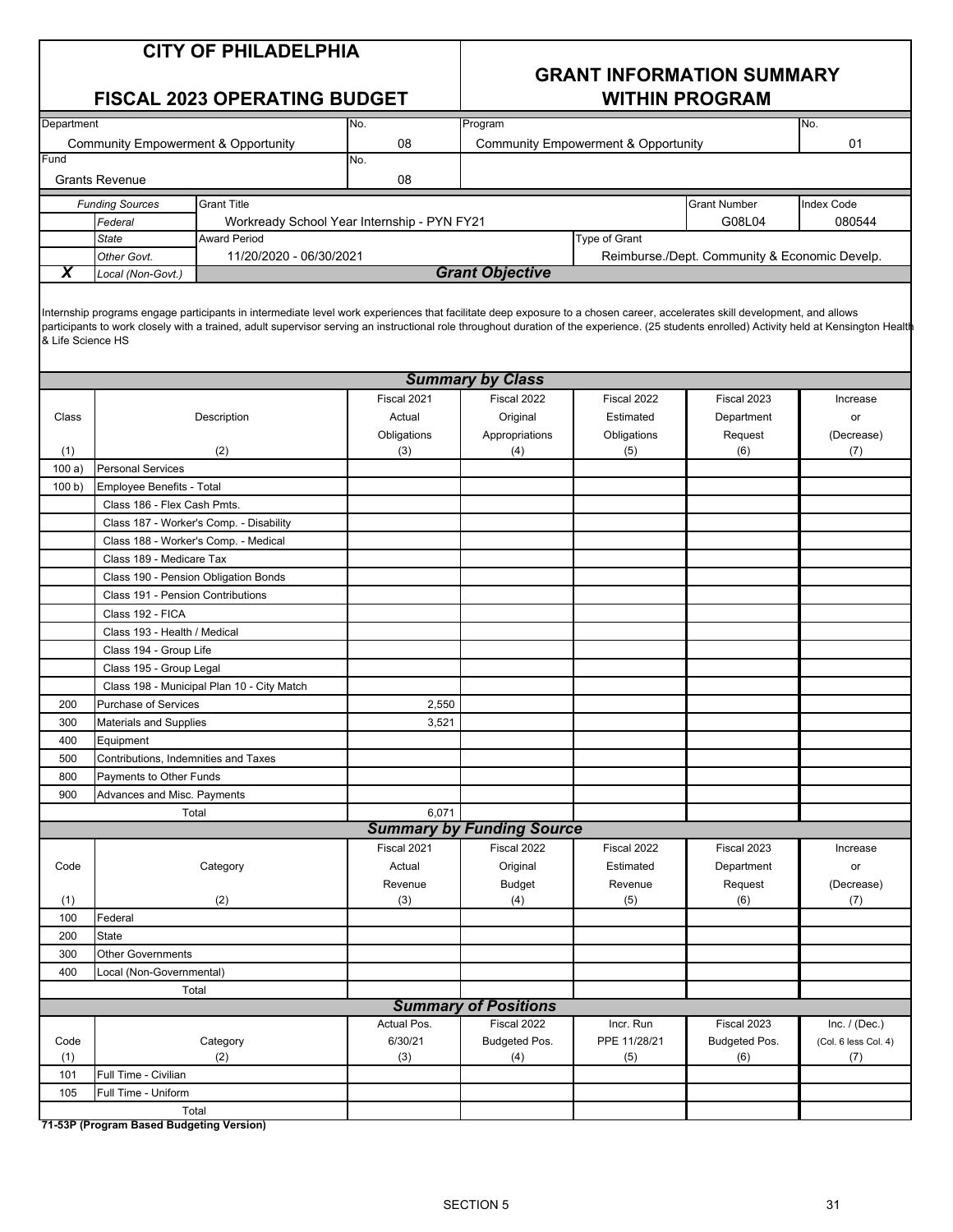### **GRANT INFORMATION SUMMARY**

#### **FISCAL 2023 OPERATING BUDGET WITHIN PROGRAM**

| Department                                   |                   |                                             | No. | Program                                              |                                               |                     | INo.              |  |  |
|----------------------------------------------|-------------------|---------------------------------------------|-----|------------------------------------------------------|-----------------------------------------------|---------------------|-------------------|--|--|
|                                              |                   | Community Empowerment & Opportunity         | 08  | <b>Community Empowerment &amp; Opportunity</b><br>01 |                                               |                     |                   |  |  |
| Fund                                         |                   |                                             | No. |                                                      |                                               |                     |                   |  |  |
| <b>Grants Revenue</b>                        |                   |                                             | 08  |                                                      |                                               |                     |                   |  |  |
|                                              |                   |                                             |     |                                                      |                                               |                     |                   |  |  |
| <b>Grant Title</b><br><b>Funding Sources</b> |                   |                                             |     |                                                      |                                               | <b>Grant Number</b> | <b>Index Code</b> |  |  |
|                                              | Federal           | Workready School Year Internship - PYN FY21 |     |                                                      |                                               | G08L04              | 080544            |  |  |
|                                              | State             | <b>Award Period</b>                         |     |                                                      | <b>Type of Grant</b>                          |                     |                   |  |  |
|                                              | Other Govt.       | 11/20/2020 - 06/30/2021                     |     |                                                      | Reimburse./Dept. Community & Economic Develp. |                     |                   |  |  |
|                                              | Local (Non-Govt.) | <b>Grant Objective</b>                      |     |                                                      |                                               |                     |                   |  |  |

Internship programs engage participants in intermediate level work experiences that facilitate deep exposure to a chosen career, accelerates skill development, and allows participants to work closely with a trained, adult supervisor serving an instructional role throughout duration of the experience. (25 students enrolled) Activity held at Kensington Health & Life Science HS

| <b>Summary by Class</b>                                                   |                                            |             |                                  |              |               |                      |  |  |
|---------------------------------------------------------------------------|--------------------------------------------|-------------|----------------------------------|--------------|---------------|----------------------|--|--|
|                                                                           |                                            | Fiscal 2021 | Fiscal 2022                      | Fiscal 2022  | Fiscal 2023   | Increase             |  |  |
| Class                                                                     | Description                                | Actual      | Original                         | Estimated    | Department    | or                   |  |  |
|                                                                           |                                            | Obligations | Appropriations                   | Obligations  | Request       | (Decrease)           |  |  |
| (1)                                                                       | (2)                                        | (3)         | (4)                              | (5)          | (6)           | (7)                  |  |  |
| 100a)                                                                     | <b>Personal Services</b>                   |             |                                  |              |               |                      |  |  |
| 100 b)                                                                    | <b>Employee Benefits - Total</b>           |             |                                  |              |               |                      |  |  |
|                                                                           | Class 186 - Flex Cash Pmts.                |             |                                  |              |               |                      |  |  |
|                                                                           | Class 187 - Worker's Comp. - Disability    |             |                                  |              |               |                      |  |  |
|                                                                           | Class 188 - Worker's Comp. - Medical       |             |                                  |              |               |                      |  |  |
|                                                                           | Class 189 - Medicare Tax                   |             |                                  |              |               |                      |  |  |
|                                                                           | Class 190 - Pension Obligation Bonds       |             |                                  |              |               |                      |  |  |
|                                                                           | Class 191 - Pension Contributions          |             |                                  |              |               |                      |  |  |
|                                                                           | Class 192 - FICA                           |             |                                  |              |               |                      |  |  |
|                                                                           | Class 193 - Health / Medical               |             |                                  |              |               |                      |  |  |
|                                                                           | Class 194 - Group Life                     |             |                                  |              |               |                      |  |  |
|                                                                           | Class 195 - Group Legal                    |             |                                  |              |               |                      |  |  |
|                                                                           | Class 198 - Municipal Plan 10 - City Match |             |                                  |              |               |                      |  |  |
| 200                                                                       | Purchase of Services                       | 2,550       |                                  |              |               |                      |  |  |
| 300                                                                       | <b>Materials and Supplies</b>              | 3,521       |                                  |              |               |                      |  |  |
| 400                                                                       | Equipment                                  |             |                                  |              |               |                      |  |  |
| 500                                                                       | Contributions, Indemnities and Taxes       |             |                                  |              |               |                      |  |  |
| 800                                                                       | Payments to Other Funds                    |             |                                  |              |               |                      |  |  |
| 900                                                                       | Advances and Misc. Payments                |             |                                  |              |               |                      |  |  |
| 6,071<br>Total                                                            |                                            |             |                                  |              |               |                      |  |  |
|                                                                           |                                            |             | <b>Summary by Funding Source</b> |              |               |                      |  |  |
|                                                                           |                                            | Fiscal 2021 | Fiscal 2022                      | Fiscal 2022  | Fiscal 2023   | Increase             |  |  |
| Code                                                                      | Category                                   | Actual      | Original                         | Estimated    | Department    | or                   |  |  |
|                                                                           |                                            | Revenue     | <b>Budget</b>                    | Revenue      | Request       | (Decrease)           |  |  |
| (1)                                                                       | (2)                                        | (3)         | (4)                              | (5)          | (6)           | (7)                  |  |  |
| 100                                                                       | Federal                                    |             |                                  |              |               |                      |  |  |
| 200                                                                       | State                                      |             |                                  |              |               |                      |  |  |
| 300                                                                       | <b>Other Governments</b>                   |             |                                  |              |               |                      |  |  |
| 400                                                                       | Local (Non-Governmental)                   |             |                                  |              |               |                      |  |  |
| Total<br><b>Summary of Positions</b>                                      |                                            |             |                                  |              |               |                      |  |  |
| Actual Pos.<br>Fiscal 2022<br>Incr. Run<br>Fiscal 2023<br>Inc. $/$ (Dec.) |                                            |             |                                  |              |               |                      |  |  |
| Code                                                                      | Category                                   | 6/30/21     | Budgeted Pos.                    | PPE 11/28/21 | Budgeted Pos. | (Col. 6 less Col. 4) |  |  |
| (1)                                                                       | (2)                                        | (3)         | (4)                              | (5)          | (6)           | (7)                  |  |  |
| 101                                                                       | Full Time - Civilian                       |             |                                  |              |               |                      |  |  |
| 105                                                                       | Full Time - Uniform                        |             |                                  |              |               |                      |  |  |
|                                                                           | Total                                      |             |                                  |              |               |                      |  |  |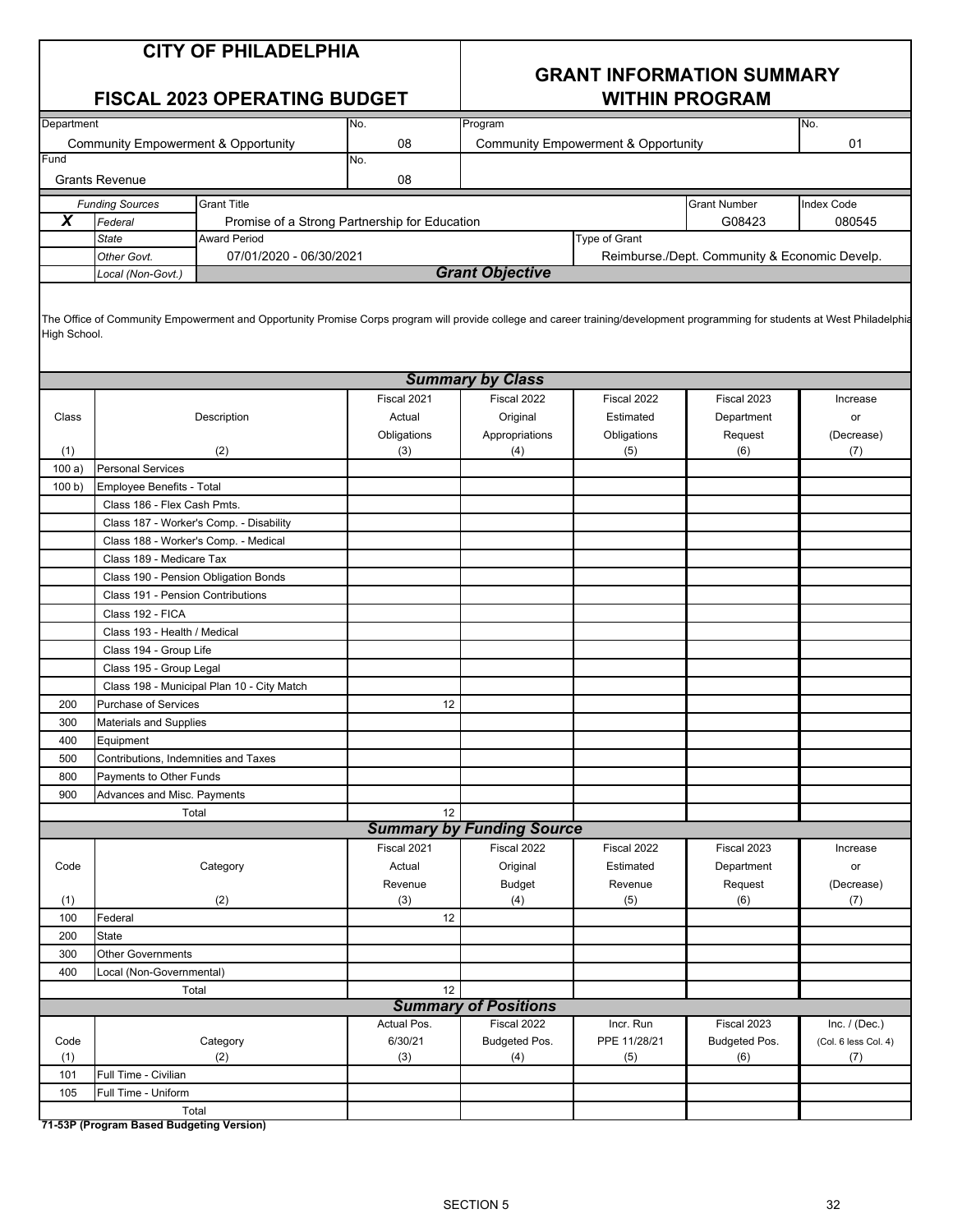#### **GRANT INFORMATION SUMMARY FISCAL 2023 OPERATING BUDGET WITHIN PROGRAM**

| Department<br>No.                              |                                             |                                                                                                                                                                              | Program<br>No.                                |                                  |                                                |                                               |                      |
|------------------------------------------------|---------------------------------------------|------------------------------------------------------------------------------------------------------------------------------------------------------------------------------|-----------------------------------------------|----------------------------------|------------------------------------------------|-----------------------------------------------|----------------------|
| <b>Community Empowerment &amp; Opportunity</b> |                                             |                                                                                                                                                                              | 08                                            |                                  | <b>Community Empowerment &amp; Opportunity</b> |                                               | 01                   |
| Fund                                           |                                             |                                                                                                                                                                              | No.                                           |                                  |                                                |                                               |                      |
| <b>Grants Revenue</b>                          |                                             |                                                                                                                                                                              | 08                                            |                                  |                                                |                                               |                      |
|                                                | <b>Funding Sources</b>                      | <b>Grant Title</b>                                                                                                                                                           |                                               |                                  |                                                | <b>Grant Number</b>                           | <b>Index Code</b>    |
| X                                              |                                             |                                                                                                                                                                              |                                               |                                  |                                                | G08423                                        | 080545               |
|                                                | Federal<br><b>State</b>                     | <b>Award Period</b>                                                                                                                                                          | Promise of a Strong Partnership for Education |                                  | Type of Grant                                  |                                               |                      |
|                                                |                                             | 07/01/2020 - 06/30/2021                                                                                                                                                      |                                               |                                  |                                                | Reimburse./Dept. Community & Economic Develp. |                      |
|                                                | Other Govt.                                 |                                                                                                                                                                              |                                               | <b>Grant Objective</b>           |                                                |                                               |                      |
|                                                | Local (Non-Govt.)                           |                                                                                                                                                                              |                                               |                                  |                                                |                                               |                      |
| High School.                                   |                                             | The Office of Community Empowerment and Opportunity Promise Corps program will provide college and career training/development programming for students at West Philadelphia |                                               |                                  |                                                |                                               |                      |
|                                                |                                             |                                                                                                                                                                              |                                               | <b>Summary by Class</b>          |                                                |                                               |                      |
|                                                |                                             |                                                                                                                                                                              | Fiscal 2021                                   | Fiscal 2022                      | Fiscal 2022                                    | Fiscal 2023                                   | Increase             |
| Class                                          |                                             | Description                                                                                                                                                                  | Actual                                        | Original                         | Estimated                                      | Department                                    | or                   |
|                                                |                                             |                                                                                                                                                                              | Obligations                                   | Appropriations                   | Obligations                                    | Request                                       | (Decrease)           |
| (1)                                            |                                             | (2)                                                                                                                                                                          | (3)                                           | (4)                              | (5)                                            | (6)                                           | (7)                  |
| 100a)                                          | <b>Personal Services</b>                    |                                                                                                                                                                              |                                               |                                  |                                                |                                               |                      |
| 100 b)                                         | Employee Benefits - Total                   |                                                                                                                                                                              |                                               |                                  |                                                |                                               |                      |
|                                                | Class 186 - Flex Cash Pmts.                 |                                                                                                                                                                              |                                               |                                  |                                                |                                               |                      |
|                                                |                                             | Class 187 - Worker's Comp. - Disability                                                                                                                                      |                                               |                                  |                                                |                                               |                      |
|                                                |                                             | Class 188 - Worker's Comp. - Medical                                                                                                                                         |                                               |                                  |                                                |                                               |                      |
|                                                | Class 189 - Medicare Tax                    |                                                                                                                                                                              |                                               |                                  |                                                |                                               |                      |
|                                                |                                             | Class 190 - Pension Obligation Bonds                                                                                                                                         |                                               |                                  |                                                |                                               |                      |
|                                                | Class 191 - Pension Contributions           |                                                                                                                                                                              |                                               |                                  |                                                |                                               |                      |
|                                                | Class 192 - FICA                            |                                                                                                                                                                              |                                               |                                  |                                                |                                               |                      |
|                                                | Class 193 - Health / Medical                |                                                                                                                                                                              |                                               |                                  |                                                |                                               |                      |
|                                                | Class 194 - Group Life                      |                                                                                                                                                                              |                                               |                                  |                                                |                                               |                      |
|                                                | Class 195 - Group Legal                     |                                                                                                                                                                              |                                               |                                  |                                                |                                               |                      |
|                                                |                                             | Class 198 - Municipal Plan 10 - City Match                                                                                                                                   |                                               |                                  |                                                |                                               |                      |
| 200                                            | <b>Purchase of Services</b>                 |                                                                                                                                                                              | 12                                            |                                  |                                                |                                               |                      |
| 300                                            | <b>Materials and Supplies</b>               |                                                                                                                                                                              |                                               |                                  |                                                |                                               |                      |
| 400                                            | Equipment                                   |                                                                                                                                                                              |                                               |                                  |                                                |                                               |                      |
| 500                                            | Contributions, Indemnities and Taxes        |                                                                                                                                                                              |                                               |                                  |                                                |                                               |                      |
| 800                                            | Payments to Other Funds                     |                                                                                                                                                                              |                                               |                                  |                                                |                                               |                      |
| 900                                            | Advances and Misc. Payments                 |                                                                                                                                                                              |                                               |                                  |                                                |                                               |                      |
|                                                |                                             | Total                                                                                                                                                                        | 12                                            |                                  |                                                |                                               |                      |
|                                                |                                             |                                                                                                                                                                              |                                               | <b>Summary by Funding Source</b> |                                                |                                               |                      |
|                                                |                                             |                                                                                                                                                                              | Fiscal 2021                                   | Fiscal 2022                      | Fiscal 2022                                    | Fiscal 2023                                   | Increase             |
| Code                                           |                                             | Category                                                                                                                                                                     | Actual                                        | Original                         | Estimated                                      | Department                                    | or                   |
|                                                |                                             |                                                                                                                                                                              | Revenue                                       | <b>Budget</b>                    | Revenue                                        | Request                                       | (Decrease)           |
| (1)                                            |                                             | (2)                                                                                                                                                                          | (3)                                           | (4)                              | (5)                                            | (6)                                           | (7)                  |
| 100                                            | Federal                                     |                                                                                                                                                                              | 12                                            |                                  |                                                |                                               |                      |
| 200                                            | State                                       |                                                                                                                                                                              |                                               |                                  |                                                |                                               |                      |
| 300                                            | <b>Other Governments</b>                    |                                                                                                                                                                              |                                               |                                  |                                                |                                               |                      |
| 400                                            | Local (Non-Governmental)                    |                                                                                                                                                                              |                                               |                                  |                                                |                                               |                      |
|                                                |                                             | Total                                                                                                                                                                        | 12                                            |                                  |                                                |                                               |                      |
|                                                |                                             |                                                                                                                                                                              |                                               | <b>Summary of Positions</b>      |                                                |                                               |                      |
|                                                |                                             |                                                                                                                                                                              | Actual Pos.                                   | Fiscal 2022                      | Incr. Run                                      | Fiscal 2023                                   | Inc. $/$ (Dec.)      |
| Code                                           |                                             | Category                                                                                                                                                                     | 6/30/21                                       | Budgeted Pos.                    | PPE 11/28/21                                   | Budgeted Pos.                                 | (Col. 6 less Col. 4) |
| (1)                                            |                                             | (2)                                                                                                                                                                          | (3)                                           | (4)                              | (5)                                            | (6)                                           | (7)                  |
| 101                                            | Full Time - Civilian<br>Full Time - Uniform |                                                                                                                                                                              |                                               |                                  |                                                |                                               |                      |
| 105                                            | Total                                       |                                                                                                                                                                              |                                               |                                  |                                                |                                               |                      |
|                                                |                                             |                                                                                                                                                                              |                                               |                                  |                                                |                                               |                      |